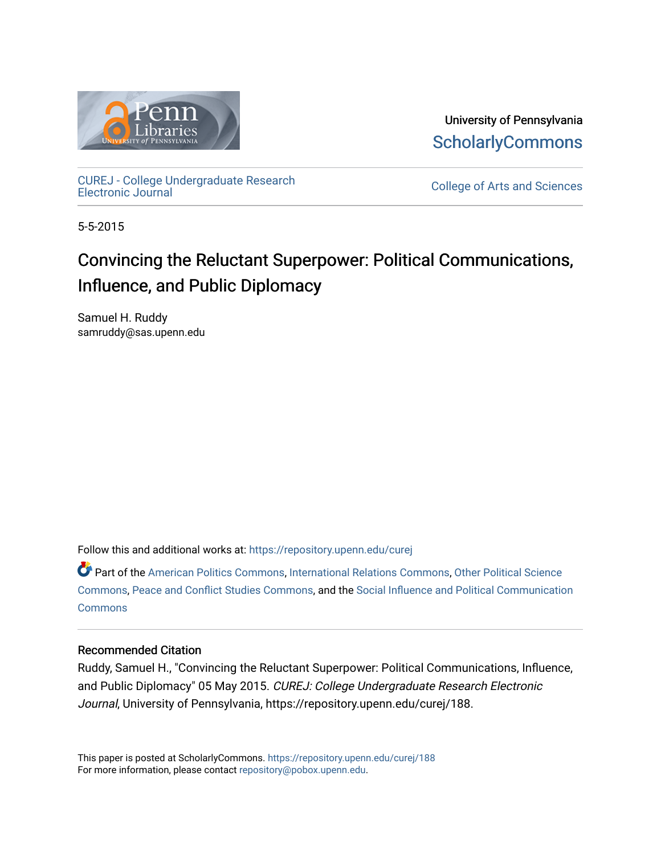

University of Pennsylvania **ScholarlyCommons** 

[CUREJ - College Undergraduate Research](https://repository.upenn.edu/curej) 

College of Arts and Sciences

5-5-2015

# Convincing the Reluctant Superpower: Political Communications, Influence, and Public Diplomacy

Samuel H. Ruddy samruddy@sas.upenn.edu

Follow this and additional works at: [https://repository.upenn.edu/curej](https://repository.upenn.edu/curej?utm_source=repository.upenn.edu%2Fcurej%2F188&utm_medium=PDF&utm_campaign=PDFCoverPages)

Part of the [American Politics Commons,](http://network.bepress.com/hgg/discipline/387?utm_source=repository.upenn.edu%2Fcurej%2F188&utm_medium=PDF&utm_campaign=PDFCoverPages) [International Relations Commons,](http://network.bepress.com/hgg/discipline/389?utm_source=repository.upenn.edu%2Fcurej%2F188&utm_medium=PDF&utm_campaign=PDFCoverPages) [Other Political Science](http://network.bepress.com/hgg/discipline/392?utm_source=repository.upenn.edu%2Fcurej%2F188&utm_medium=PDF&utm_campaign=PDFCoverPages)  [Commons](http://network.bepress.com/hgg/discipline/392?utm_source=repository.upenn.edu%2Fcurej%2F188&utm_medium=PDF&utm_campaign=PDFCoverPages), [Peace and Conflict Studies Commons](http://network.bepress.com/hgg/discipline/397?utm_source=repository.upenn.edu%2Fcurej%2F188&utm_medium=PDF&utm_campaign=PDFCoverPages), and the [Social Influence and Political Communication](http://network.bepress.com/hgg/discipline/337?utm_source=repository.upenn.edu%2Fcurej%2F188&utm_medium=PDF&utm_campaign=PDFCoverPages) **[Commons](http://network.bepress.com/hgg/discipline/337?utm_source=repository.upenn.edu%2Fcurej%2F188&utm_medium=PDF&utm_campaign=PDFCoverPages)** 

#### Recommended Citation

Ruddy, Samuel H., "Convincing the Reluctant Superpower: Political Communications, Influence, and Public Diplomacy" 05 May 2015. CUREJ: College Undergraduate Research Electronic Journal, University of Pennsylvania, https://repository.upenn.edu/curej/188.

This paper is posted at ScholarlyCommons.<https://repository.upenn.edu/curej/188> For more information, please contact [repository@pobox.upenn.edu.](mailto:repository@pobox.upenn.edu)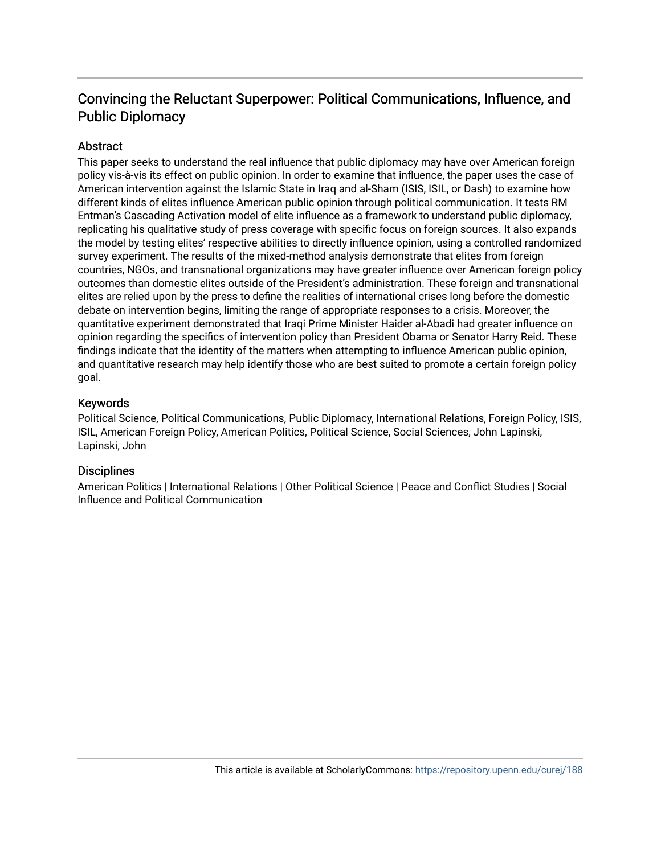### Convincing the Reluctant Superpower: Political Communications, Influence, and Public Diplomacy

#### **Abstract**

This paper seeks to understand the real influence that public diplomacy may have over American foreign policy vis-à-vis its effect on public opinion. In order to examine that influence, the paper uses the case of American intervention against the Islamic State in Iraq and al-Sham (ISIS, ISIL, or Dash) to examine how different kinds of elites influence American public opinion through political communication. It tests RM Entman's Cascading Activation model of elite influence as a framework to understand public diplomacy, replicating his qualitative study of press coverage with specific focus on foreign sources. It also expands the model by testing elites' respective abilities to directly influence opinion, using a controlled randomized survey experiment. The results of the mixed-method analysis demonstrate that elites from foreign countries, NGOs, and transnational organizations may have greater influence over American foreign policy outcomes than domestic elites outside of the President's administration. These foreign and transnational elites are relied upon by the press to define the realities of international crises long before the domestic debate on intervention begins, limiting the range of appropriate responses to a crisis. Moreover, the quantitative experiment demonstrated that Iraqi Prime Minister Haider al-Abadi had greater influence on opinion regarding the specifics of intervention policy than President Obama or Senator Harry Reid. These findings indicate that the identity of the matters when attempting to influence American public opinion, and quantitative research may help identify those who are best suited to promote a certain foreign policy goal.

#### Keywords

Political Science, Political Communications, Public Diplomacy, International Relations, Foreign Policy, ISIS, ISIL, American Foreign Policy, American Politics, Political Science, Social Sciences, John Lapinski, Lapinski, John

#### **Disciplines**

American Politics | International Relations | Other Political Science | Peace and Conflict Studies | Social Influence and Political Communication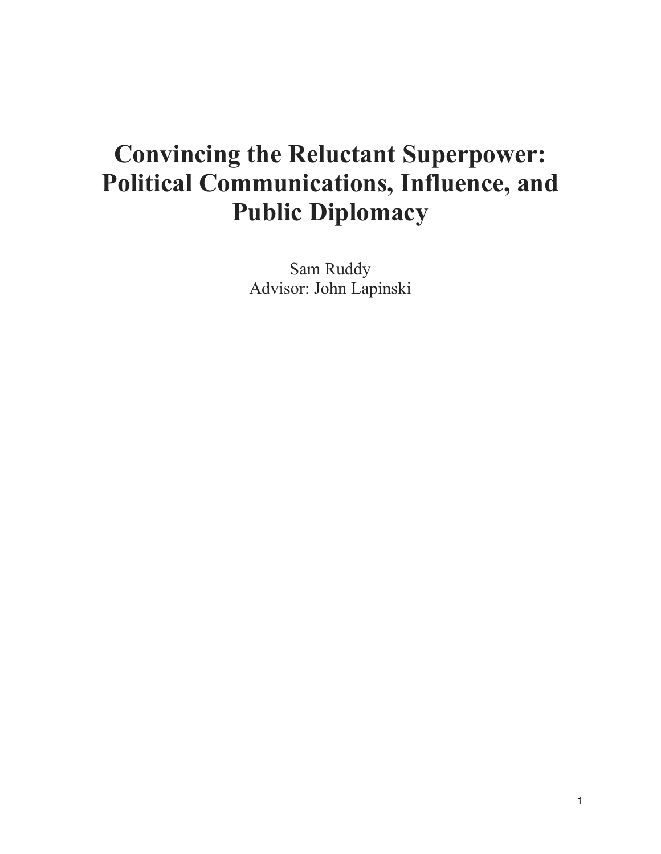# **Convincing the Reluctant Superpower: Political Communications, Influence, and Public Diplomacy**

Sam Ruddy Advisor: John Lapinski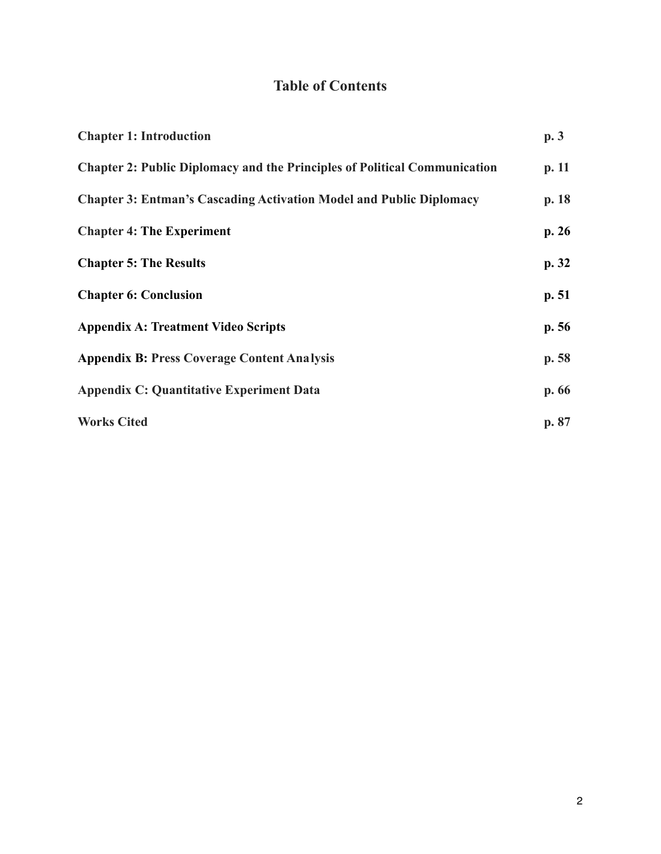## **Table of Contents**

| <b>Chapter 1: Introduction</b>                                                   | p.3   |
|----------------------------------------------------------------------------------|-------|
| <b>Chapter 2: Public Diplomacy and the Principles of Political Communication</b> | p.11  |
| <b>Chapter 3: Entman's Cascading Activation Model and Public Diplomacy</b>       | p.18  |
| <b>Chapter 4: The Experiment</b>                                                 | p.26  |
| <b>Chapter 5: The Results</b>                                                    | p.32  |
| <b>Chapter 6: Conclusion</b>                                                     | p.51  |
| <b>Appendix A: Treatment Video Scripts</b>                                       | p.56  |
| <b>Appendix B: Press Coverage Content Analysis</b>                               | p.58  |
| <b>Appendix C: Quantitative Experiment Data</b>                                  | p. 66 |
| <b>Works Cited</b>                                                               | p. 87 |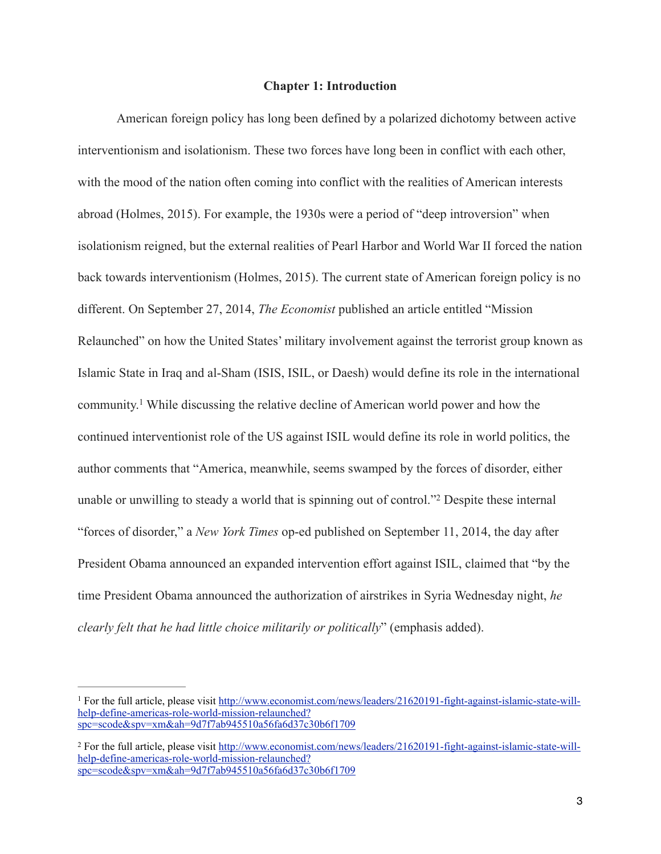#### **Chapter 1: Introduction**

 American foreign policy has long been defined by a polarized dichotomy between active interventionism and isolationism. These two forces have long been in conflict with each other, with the mood of the nation often coming into conflict with the realities of American interests abroad (Holmes, 2015). For example, the 1930s were a period of "deep introversion" when isolationism reigned, but the external realities of Pearl Harbor and World War II forced the nation back towards interventionism (Holmes, 2015). The current state of American foreign policy is no different. On September 27, 2014, *The Economist* published an article entitled "Mission Relaunched" on how the United States' military involvement against the terrorist group known as Islamic State in Iraq and al-Sham (ISIS, ISIL, or Daesh) would define its role in the international community.<sup>1</sup> While discussing the relative decline of American world power and how the continued interventionist role of the US against ISIL would define its role in world politics, the author comments that "America, meanwhile, seems swamped by the forces of disorder, either unable or unwilling to steady a world that is spinning out of control."<sup>2</sup> Despite these internal "forces of disorder," a *New York Times* op-ed published on September 11, 2014, the day after President Obama announced an expanded intervention effort against ISIL, claimed that "by the time President Obama announced the authorization of airstrikes in Syria Wednesday night, *he clearly felt that he had little choice militarily or politically*" (emphasis added).

<sup>&</sup>lt;sup>1</sup> [For the full article, please visit http://www.economist.com/news/leaders/21620191-fight-against-islamic-state-will](http://www.economist.com/news/leaders/21620191-fight-against-islamic-state-will-help-define-americas-role-world-mission-relaunched?spc=scode&spv=xm&ah=9d7f7ab945510a56fa6d37c30b6f1709) help-define-americas-role-world-mission-relaunched? spc=scode&spv=xm&ah=9d7f7ab945510a56fa6d37c30b6f1709

<sup>&</sup>lt;sup>2</sup> [For the full article, please visit http://www.economist.com/news/leaders/21620191-fight-against-islamic-state-will](http://www.economist.com/news/leaders/21620191-fight-against-islamic-state-will-help-define-americas-role-world-mission-relaunched?spc=scode&spv=xm&ah=9d7f7ab945510a56fa6d37c30b6f1709) help-define-americas-role-world-mission-relaunched? spc=scode&spv=xm&ah=9d7f7ab945510a56fa6d37c30b6f1709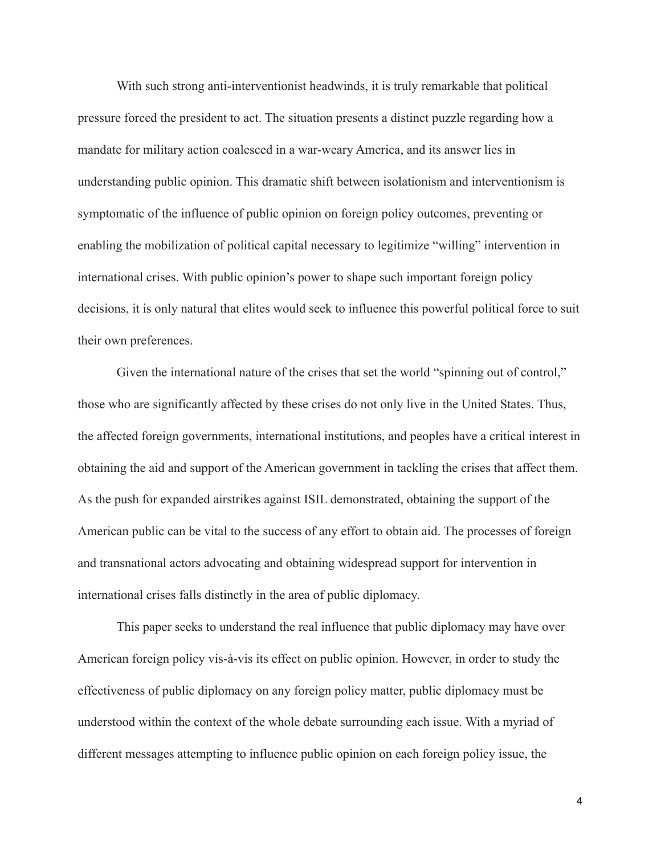With such strong anti-interventionist headwinds, it is truly remarkable that political pressure forced the president to act. The situation presents a distinct puzzle regarding how a mandate for military action coalesced in a war-weary America, and its answer lies in understanding public opinion. This dramatic shift between isolationism and interventionism is symptomatic of the influence of public opinion on foreign policy outcomes, preventing or enabling the mobilization of political capital necessary to legitimize "willing" intervention in international crises. With public opinion's power to shape such important foreign policy decisions, it is only natural that elites would seek to influence this powerful political force to suit their own preferences.

Given the international nature of the crises that set the world "spinning out of control," those who are significantly affected by these crises do not only live in the United States. Thus, the affected foreign governments, international institutions, and peoples have a critical interest in obtaining the aid and support of the American government in tackling the crises that affect them. As the push for expanded airstrikes against ISIL demonstrated, obtaining the support of the American public can be vital to the success of any effort to obtain aid. The processes of foreign and transnational actors advocating and obtaining widespread support for intervention in international crises falls distinctly in the area of public diplomacy.

 This paper seeks to understand the real influence that public diplomacy may have over American foreign policy vis-à-vis its effect on public opinion. However, in order to study the effectiveness of public diplomacy on any foreign policy matter, public diplomacy must be understood within the context of the whole debate surrounding each issue. With a myriad of different messages attempting to influence public opinion on each foreign policy issue, the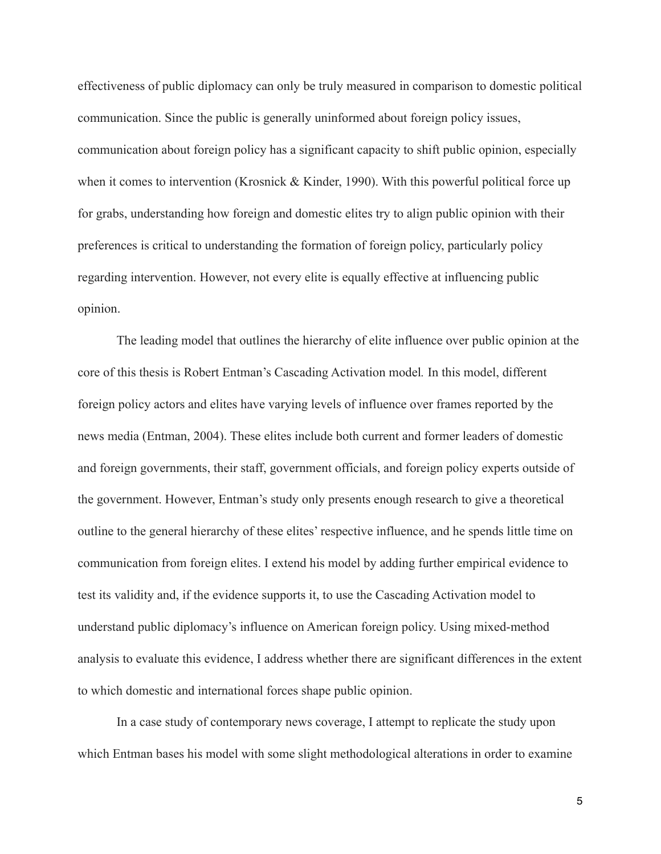effectiveness of public diplomacy can only be truly measured in comparison to domestic political communication. Since the public is generally uninformed about foreign policy issues, communication about foreign policy has a significant capacity to shift public opinion, especially when it comes to intervention (Krosnick & Kinder, 1990). With this powerful political force up for grabs, understanding how foreign and domestic elites try to align public opinion with their preferences is critical to understanding the formation of foreign policy, particularly policy regarding intervention. However, not every elite is equally effective at influencing public opinion.

 The leading model that outlines the hierarchy of elite influence over public opinion at the core of this thesis is Robert Entman's Cascading Activation model*.* In this model, different foreign policy actors and elites have varying levels of influence over frames reported by the news media (Entman, 2004). These elites include both current and former leaders of domestic and foreign governments, their staff, government officials, and foreign policy experts outside of the government. However, Entman's study only presents enough research to give a theoretical outline to the general hierarchy of these elites' respective influence, and he spends little time on communication from foreign elites. I extend his model by adding further empirical evidence to test its validity and, if the evidence supports it, to use the Cascading Activation model to understand public diplomacy's influence on American foreign policy. Using mixed-method analysis to evaluate this evidence, I address whether there are significant differences in the extent to which domestic and international forces shape public opinion.

 In a case study of contemporary news coverage, I attempt to replicate the study upon which Entman bases his model with some slight methodological alterations in order to examine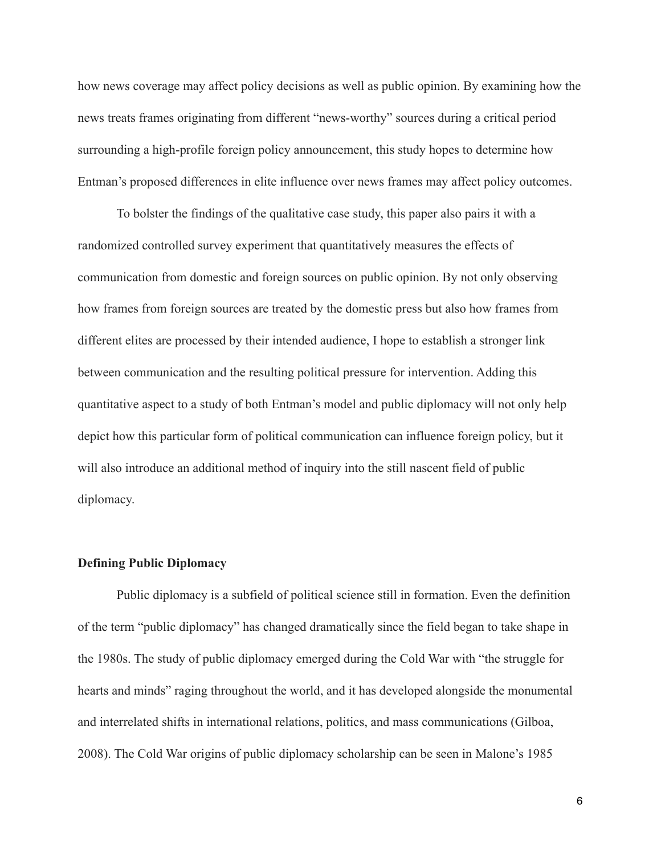how news coverage may affect policy decisions as well as public opinion. By examining how the news treats frames originating from different "news-worthy" sources during a critical period surrounding a high-profile foreign policy announcement, this study hopes to determine how Entman's proposed differences in elite influence over news frames may affect policy outcomes.

 To bolster the findings of the qualitative case study, this paper also pairs it with a randomized controlled survey experiment that quantitatively measures the effects of communication from domestic and foreign sources on public opinion. By not only observing how frames from foreign sources are treated by the domestic press but also how frames from different elites are processed by their intended audience, I hope to establish a stronger link between communication and the resulting political pressure for intervention. Adding this quantitative aspect to a study of both Entman's model and public diplomacy will not only help depict how this particular form of political communication can influence foreign policy, but it will also introduce an additional method of inquiry into the still nascent field of public diplomacy.

#### **Defining Public Diplomacy**

 Public diplomacy is a subfield of political science still in formation. Even the definition of the term "public diplomacy" has changed dramatically since the field began to take shape in the 1980s. The study of public diplomacy emerged during the Cold War with "the struggle for hearts and minds" raging throughout the world, and it has developed alongside the monumental and interrelated shifts in international relations, politics, and mass communications (Gilboa, 2008). The Cold War origins of public diplomacy scholarship can be seen in Malone's 1985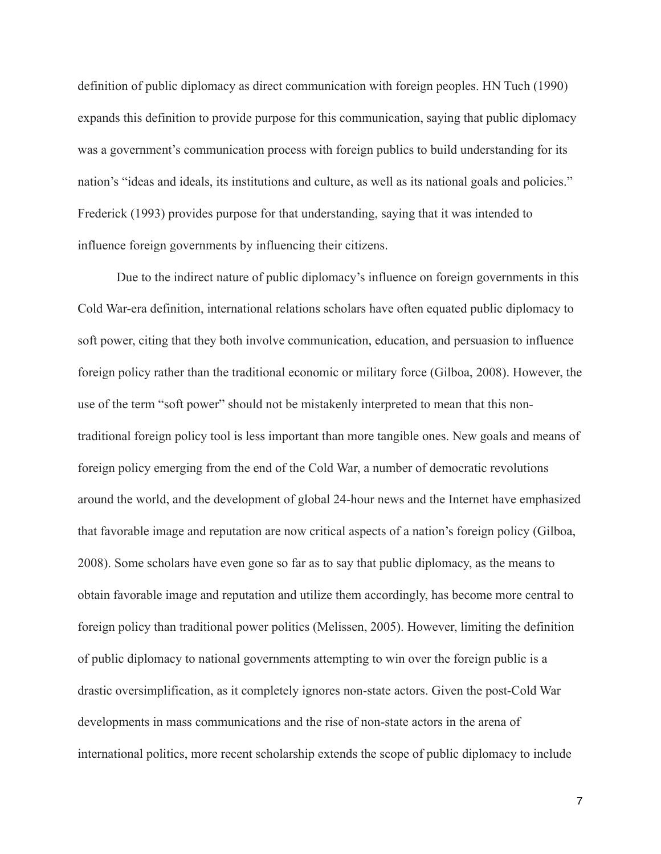definition of public diplomacy as direct communication with foreign peoples. HN Tuch (1990) expands this definition to provide purpose for this communication, saying that public diplomacy was a government's communication process with foreign publics to build understanding for its nation's "ideas and ideals, its institutions and culture, as well as its national goals and policies." Frederick (1993) provides purpose for that understanding, saying that it was intended to influence foreign governments by influencing their citizens.

 Due to the indirect nature of public diplomacy's influence on foreign governments in this Cold War-era definition, international relations scholars have often equated public diplomacy to soft power, citing that they both involve communication, education, and persuasion to influence foreign policy rather than the traditional economic or military force (Gilboa, 2008). However, the use of the term "soft power" should not be mistakenly interpreted to mean that this nontraditional foreign policy tool is less important than more tangible ones. New goals and means of foreign policy emerging from the end of the Cold War, a number of democratic revolutions around the world, and the development of global 24-hour news and the Internet have emphasized that favorable image and reputation are now critical aspects of a nation's foreign policy (Gilboa, 2008). Some scholars have even gone so far as to say that public diplomacy, as the means to obtain favorable image and reputation and utilize them accordingly, has become more central to foreign policy than traditional power politics (Melissen, 2005). However, limiting the definition of public diplomacy to national governments attempting to win over the foreign public is a drastic oversimplification, as it completely ignores non-state actors. Given the post-Cold War developments in mass communications and the rise of non-state actors in the arena of international politics, more recent scholarship extends the scope of public diplomacy to include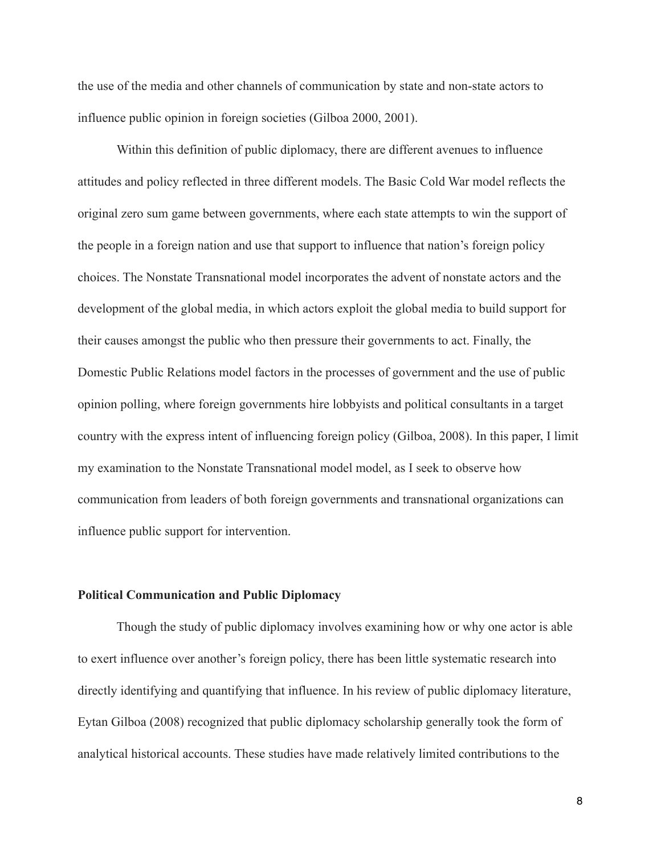the use of the media and other channels of communication by state and non-state actors to influence public opinion in foreign societies (Gilboa 2000, 2001).

 Within this definition of public diplomacy, there are different avenues to influence attitudes and policy reflected in three different models. The Basic Cold War model reflects the original zero sum game between governments, where each state attempts to win the support of the people in a foreign nation and use that support to influence that nation's foreign policy choices. The Nonstate Transnational model incorporates the advent of nonstate actors and the development of the global media, in which actors exploit the global media to build support for their causes amongst the public who then pressure their governments to act. Finally, the Domestic Public Relations model factors in the processes of government and the use of public opinion polling, where foreign governments hire lobbyists and political consultants in a target country with the express intent of influencing foreign policy (Gilboa, 2008). In this paper, I limit my examination to the Nonstate Transnational model model, as I seek to observe how communication from leaders of both foreign governments and transnational organizations can influence public support for intervention.

#### **Political Communication and Public Diplomacy**

 Though the study of public diplomacy involves examining how or why one actor is able to exert influence over another's foreign policy, there has been little systematic research into directly identifying and quantifying that influence. In his review of public diplomacy literature, Eytan Gilboa (2008) recognized that public diplomacy scholarship generally took the form of analytical historical accounts. These studies have made relatively limited contributions to the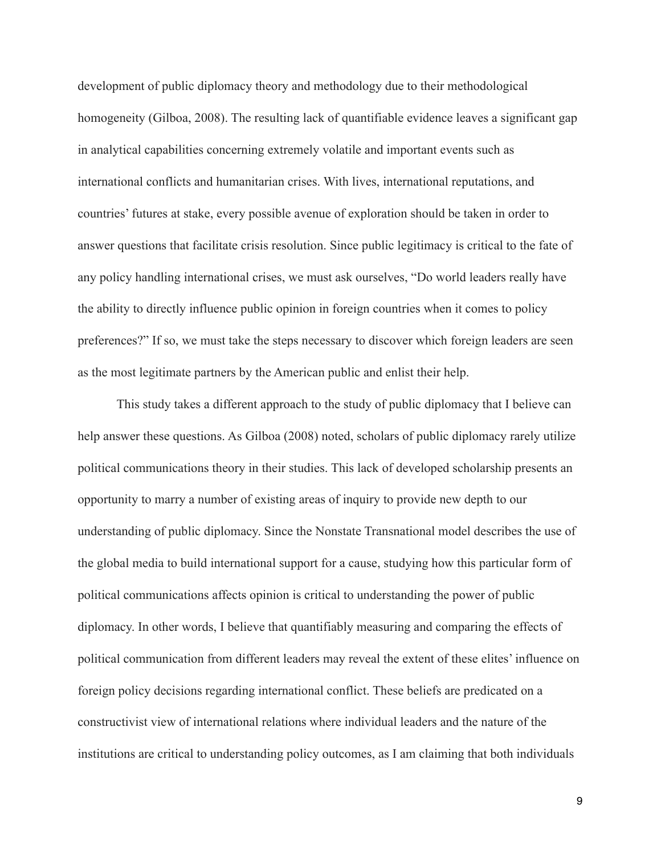development of public diplomacy theory and methodology due to their methodological homogeneity (Gilboa, 2008). The resulting lack of quantifiable evidence leaves a significant gap in analytical capabilities concerning extremely volatile and important events such as international conflicts and humanitarian crises. With lives, international reputations, and countries' futures at stake, every possible avenue of exploration should be taken in order to answer questions that facilitate crisis resolution. Since public legitimacy is critical to the fate of any policy handling international crises, we must ask ourselves, "Do world leaders really have the ability to directly influence public opinion in foreign countries when it comes to policy preferences?" If so, we must take the steps necessary to discover which foreign leaders are seen as the most legitimate partners by the American public and enlist their help.

 This study takes a different approach to the study of public diplomacy that I believe can help answer these questions. As Gilboa (2008) noted, scholars of public diplomacy rarely utilize political communications theory in their studies. This lack of developed scholarship presents an opportunity to marry a number of existing areas of inquiry to provide new depth to our understanding of public diplomacy. Since the Nonstate Transnational model describes the use of the global media to build international support for a cause, studying how this particular form of political communications affects opinion is critical to understanding the power of public diplomacy. In other words, I believe that quantifiably measuring and comparing the effects of political communication from different leaders may reveal the extent of these elites' influence on foreign policy decisions regarding international conflict. These beliefs are predicated on a constructivist view of international relations where individual leaders and the nature of the institutions are critical to understanding policy outcomes, as I am claiming that both individuals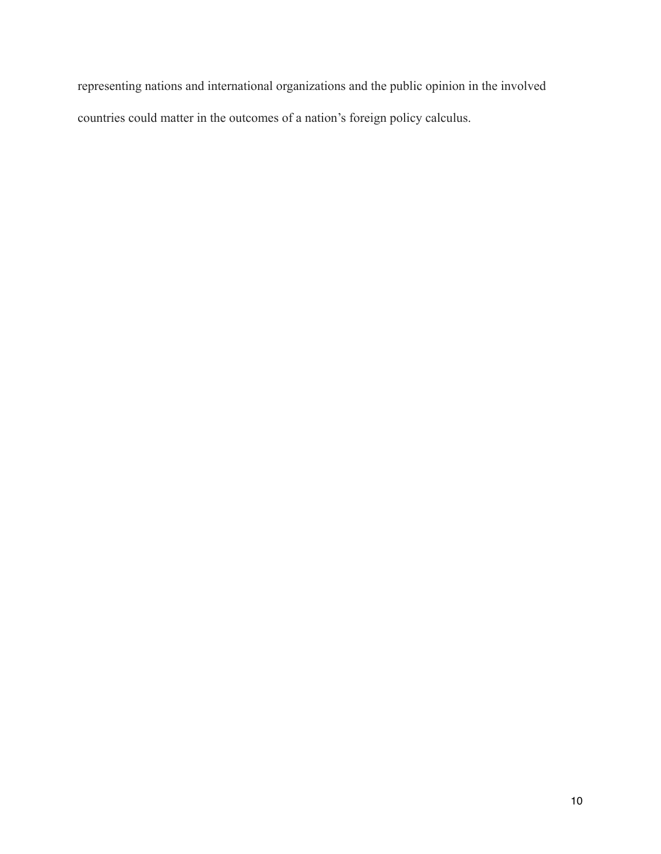representing nations and international organizations and the public opinion in the involved countries could matter in the outcomes of a nation's foreign policy calculus.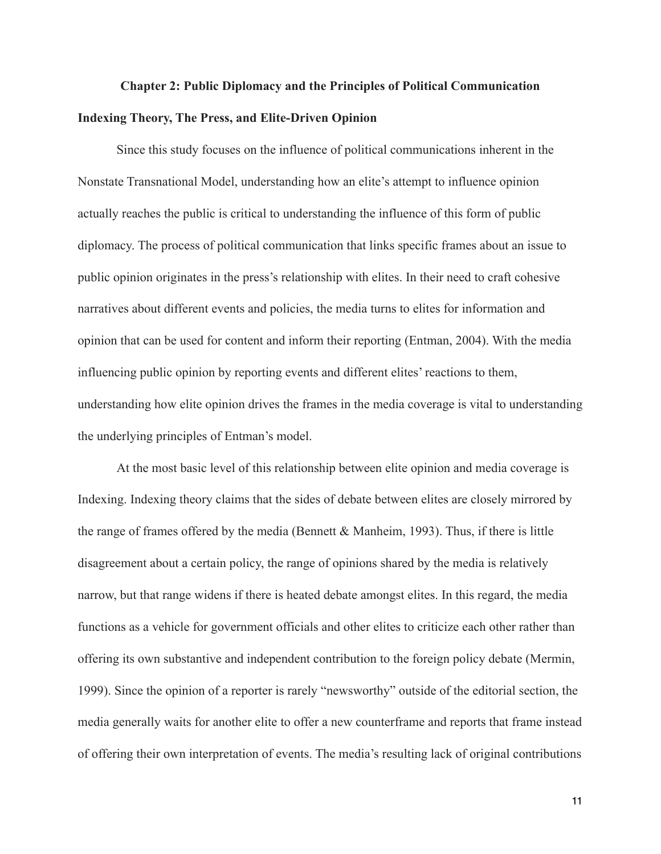## **Chapter 2: Public Diplomacy and the Principles of Political Communication Indexing Theory, The Press, and Elite-Driven Opinion**

 Since this study focuses on the influence of political communications inherent in the Nonstate Transnational Model, understanding how an elite's attempt to influence opinion actually reaches the public is critical to understanding the influence of this form of public diplomacy. The process of political communication that links specific frames about an issue to public opinion originates in the press's relationship with elites. In their need to craft cohesive narratives about different events and policies, the media turns to elites for information and opinion that can be used for content and inform their reporting (Entman, 2004). With the media influencing public opinion by reporting events and different elites' reactions to them, understanding how elite opinion drives the frames in the media coverage is vital to understanding the underlying principles of Entman's model.

 At the most basic level of this relationship between elite opinion and media coverage is Indexing. Indexing theory claims that the sides of debate between elites are closely mirrored by the range of frames offered by the media (Bennett & Manheim, 1993). Thus, if there is little disagreement about a certain policy, the range of opinions shared by the media is relatively narrow, but that range widens if there is heated debate amongst elites. In this regard, the media functions as a vehicle for government officials and other elites to criticize each other rather than offering its own substantive and independent contribution to the foreign policy debate (Mermin, 1999). Since the opinion of a reporter is rarely "newsworthy" outside of the editorial section, the media generally waits for another elite to offer a new counterframe and reports that frame instead of offering their own interpretation of events. The media's resulting lack of original contributions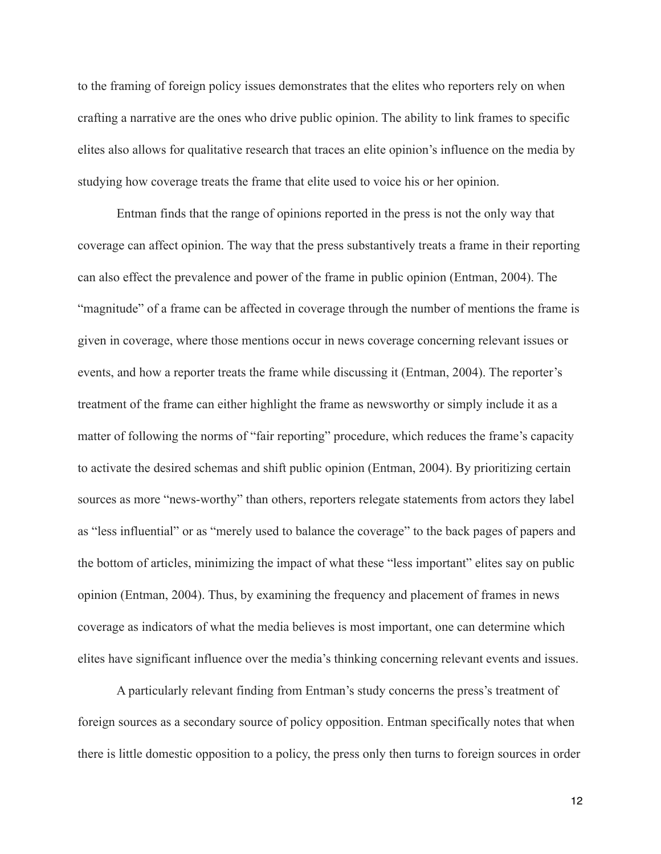to the framing of foreign policy issues demonstrates that the elites who reporters rely on when crafting a narrative are the ones who drive public opinion. The ability to link frames to specific elites also allows for qualitative research that traces an elite opinion's influence on the media by studying how coverage treats the frame that elite used to voice his or her opinion.

 Entman finds that the range of opinions reported in the press is not the only way that coverage can affect opinion. The way that the press substantively treats a frame in their reporting can also effect the prevalence and power of the frame in public opinion (Entman, 2004). The "magnitude" of a frame can be affected in coverage through the number of mentions the frame is given in coverage, where those mentions occur in news coverage concerning relevant issues or events, and how a reporter treats the frame while discussing it (Entman, 2004). The reporter's treatment of the frame can either highlight the frame as newsworthy or simply include it as a matter of following the norms of "fair reporting" procedure, which reduces the frame's capacity to activate the desired schemas and shift public opinion (Entman, 2004). By prioritizing certain sources as more "news-worthy" than others, reporters relegate statements from actors they label as "less influential" or as "merely used to balance the coverage" to the back pages of papers and the bottom of articles, minimizing the impact of what these "less important" elites say on public opinion (Entman, 2004). Thus, by examining the frequency and placement of frames in news coverage as indicators of what the media believes is most important, one can determine which elites have significant influence over the media's thinking concerning relevant events and issues.

 A particularly relevant finding from Entman's study concerns the press's treatment of foreign sources as a secondary source of policy opposition. Entman specifically notes that when there is little domestic opposition to a policy, the press only then turns to foreign sources in order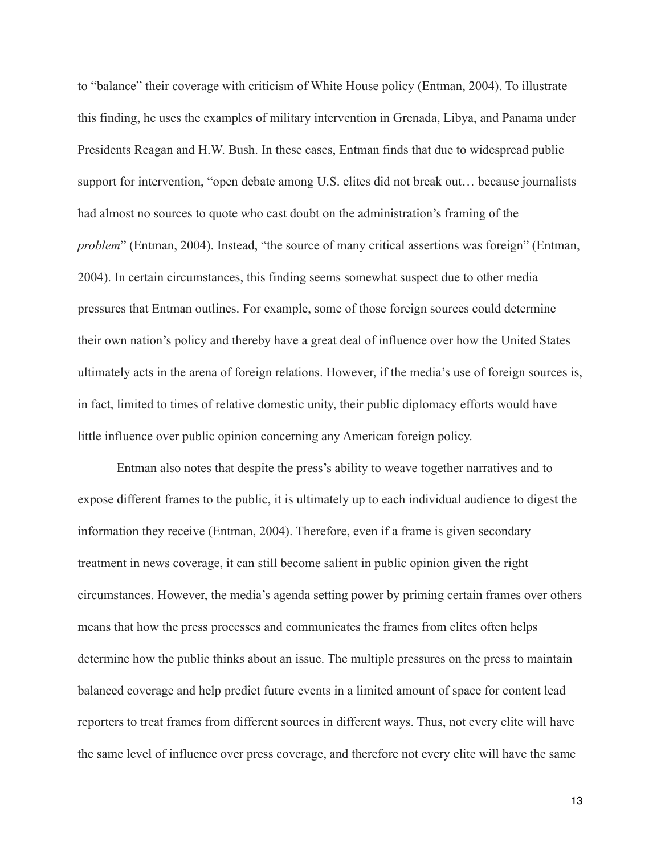to "balance" their coverage with criticism of White House policy (Entman, 2004). To illustrate this finding, he uses the examples of military intervention in Grenada, Libya, and Panama under Presidents Reagan and H.W. Bush. In these cases, Entman finds that due to widespread public support for intervention, "open debate among U.S. elites did not break out… because journalists had almost no sources to quote who cast doubt on the administration's framing of the *problem*" (Entman, 2004). Instead, "the source of many critical assertions was foreign" (Entman, 2004). In certain circumstances, this finding seems somewhat suspect due to other media pressures that Entman outlines. For example, some of those foreign sources could determine their own nation's policy and thereby have a great deal of influence over how the United States ultimately acts in the arena of foreign relations. However, if the media's use of foreign sources is, in fact, limited to times of relative domestic unity, their public diplomacy efforts would have little influence over public opinion concerning any American foreign policy.

 Entman also notes that despite the press's ability to weave together narratives and to expose different frames to the public, it is ultimately up to each individual audience to digest the information they receive (Entman, 2004). Therefore, even if a frame is given secondary treatment in news coverage, it can still become salient in public opinion given the right circumstances. However, the media's agenda setting power by priming certain frames over others means that how the press processes and communicates the frames from elites often helps determine how the public thinks about an issue. The multiple pressures on the press to maintain balanced coverage and help predict future events in a limited amount of space for content lead reporters to treat frames from different sources in different ways. Thus, not every elite will have the same level of influence over press coverage, and therefore not every elite will have the same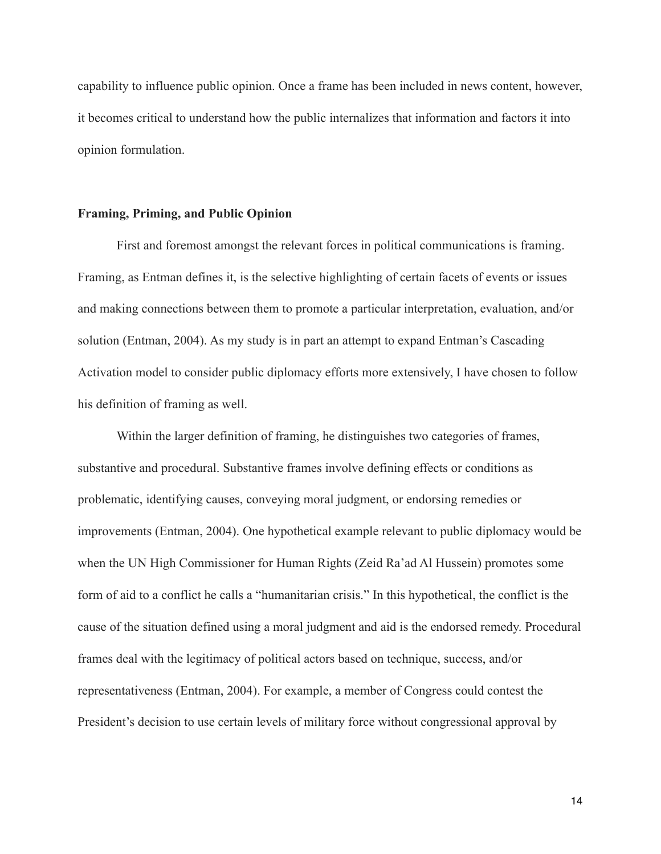capability to influence public opinion. Once a frame has been included in news content, however, it becomes critical to understand how the public internalizes that information and factors it into opinion formulation.

#### **Framing, Priming, and Public Opinion**

 First and foremost amongst the relevant forces in political communications is framing. Framing, as Entman defines it, is the selective highlighting of certain facets of events or issues and making connections between them to promote a particular interpretation, evaluation, and/or solution (Entman, 2004). As my study is in part an attempt to expand Entman's Cascading Activation model to consider public diplomacy efforts more extensively, I have chosen to follow his definition of framing as well.

 Within the larger definition of framing, he distinguishes two categories of frames, substantive and procedural. Substantive frames involve defining effects or conditions as problematic, identifying causes, conveying moral judgment, or endorsing remedies or improvements (Entman, 2004). One hypothetical example relevant to public diplomacy would be when the UN High Commissioner for Human Rights (Zeid Ra'ad Al Hussein) promotes some form of aid to a conflict he calls a "humanitarian crisis." In this hypothetical, the conflict is the cause of the situation defined using a moral judgment and aid is the endorsed remedy. Procedural frames deal with the legitimacy of political actors based on technique, success, and/or representativeness (Entman, 2004). For example, a member of Congress could contest the President's decision to use certain levels of military force without congressional approval by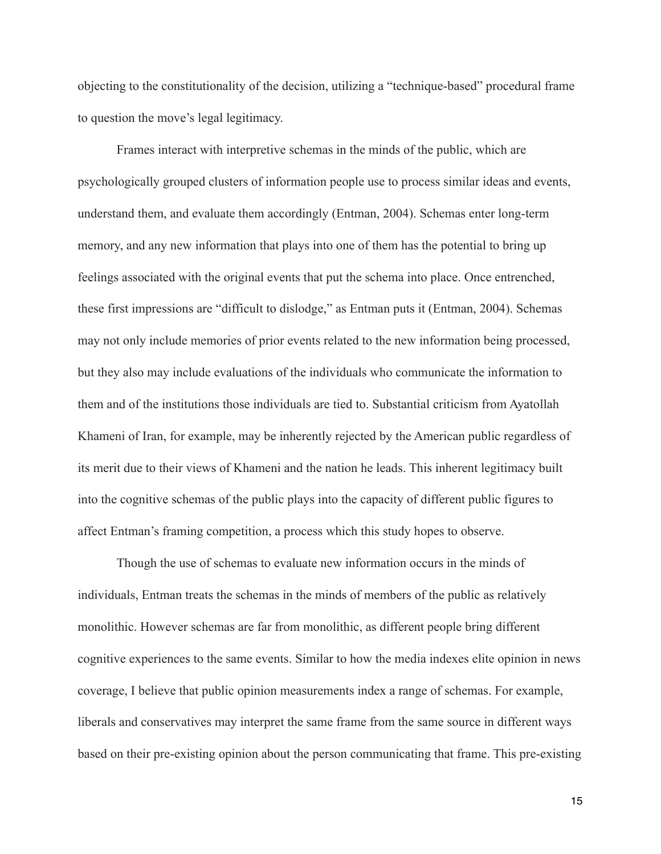objecting to the constitutionality of the decision, utilizing a "technique-based" procedural frame to question the move's legal legitimacy.

 Frames interact with interpretive schemas in the minds of the public, which are psychologically grouped clusters of information people use to process similar ideas and events, understand them, and evaluate them accordingly (Entman, 2004). Schemas enter long-term memory, and any new information that plays into one of them has the potential to bring up feelings associated with the original events that put the schema into place. Once entrenched, these first impressions are "difficult to dislodge," as Entman puts it (Entman, 2004). Schemas may not only include memories of prior events related to the new information being processed, but they also may include evaluations of the individuals who communicate the information to them and of the institutions those individuals are tied to. Substantial criticism from Ayatollah Khameni of Iran, for example, may be inherently rejected by the American public regardless of its merit due to their views of Khameni and the nation he leads. This inherent legitimacy built into the cognitive schemas of the public plays into the capacity of different public figures to affect Entman's framing competition, a process which this study hopes to observe.

 Though the use of schemas to evaluate new information occurs in the minds of individuals, Entman treats the schemas in the minds of members of the public as relatively monolithic. However schemas are far from monolithic, as different people bring different cognitive experiences to the same events. Similar to how the media indexes elite opinion in news coverage, I believe that public opinion measurements index a range of schemas. For example, liberals and conservatives may interpret the same frame from the same source in different ways based on their pre-existing opinion about the person communicating that frame. This pre-existing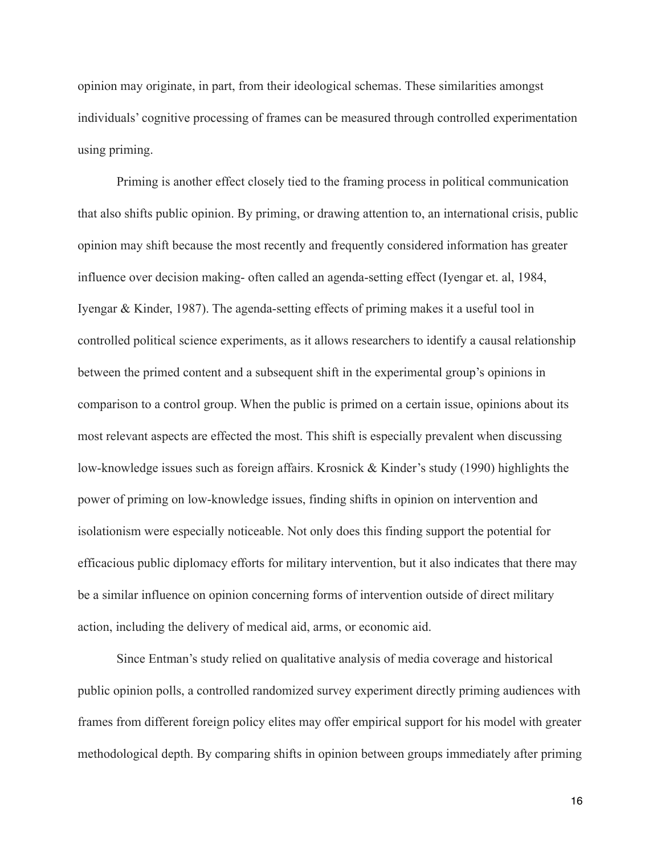opinion may originate, in part, from their ideological schemas. These similarities amongst individuals' cognitive processing of frames can be measured through controlled experimentation using priming.

 Priming is another effect closely tied to the framing process in political communication that also shifts public opinion. By priming, or drawing attention to, an international crisis, public opinion may shift because the most recently and frequently considered information has greater influence over decision making- often called an agenda-setting effect (Iyengar et. al, 1984, Iyengar & Kinder, 1987). The agenda-setting effects of priming makes it a useful tool in controlled political science experiments, as it allows researchers to identify a causal relationship between the primed content and a subsequent shift in the experimental group's opinions in comparison to a control group. When the public is primed on a certain issue, opinions about its most relevant aspects are effected the most. This shift is especially prevalent when discussing low-knowledge issues such as foreign affairs. Krosnick & Kinder's study (1990) highlights the power of priming on low-knowledge issues, finding shifts in opinion on intervention and isolationism were especially noticeable. Not only does this finding support the potential for efficacious public diplomacy efforts for military intervention, but it also indicates that there may be a similar influence on opinion concerning forms of intervention outside of direct military action, including the delivery of medical aid, arms, or economic aid.

 Since Entman's study relied on qualitative analysis of media coverage and historical public opinion polls, a controlled randomized survey experiment directly priming audiences with frames from different foreign policy elites may offer empirical support for his model with greater methodological depth. By comparing shifts in opinion between groups immediately after priming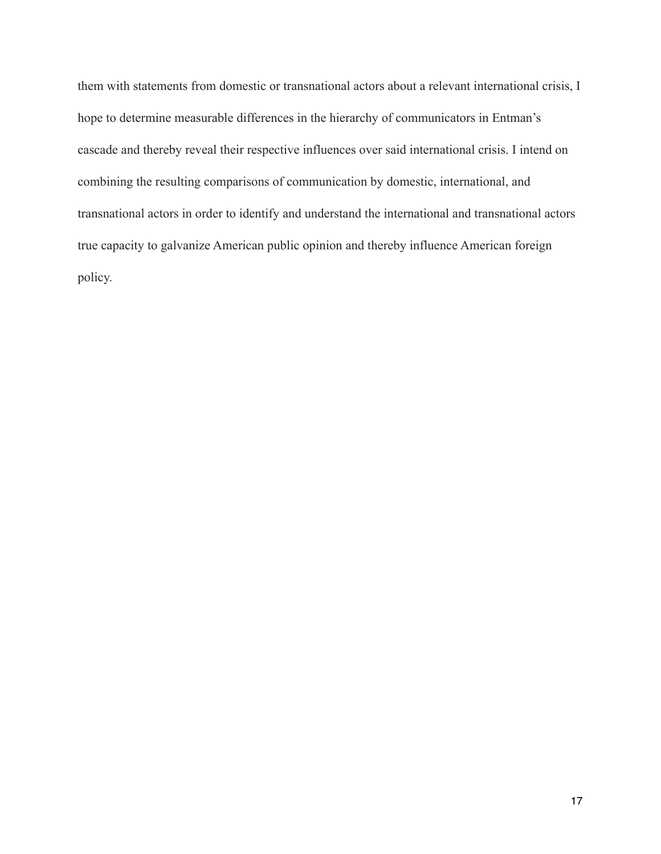them with statements from domestic or transnational actors about a relevant international crisis, I hope to determine measurable differences in the hierarchy of communicators in Entman's cascade and thereby reveal their respective influences over said international crisis. I intend on combining the resulting comparisons of communication by domestic, international, and transnational actors in order to identify and understand the international and transnational actors true capacity to galvanize American public opinion and thereby influence American foreign policy.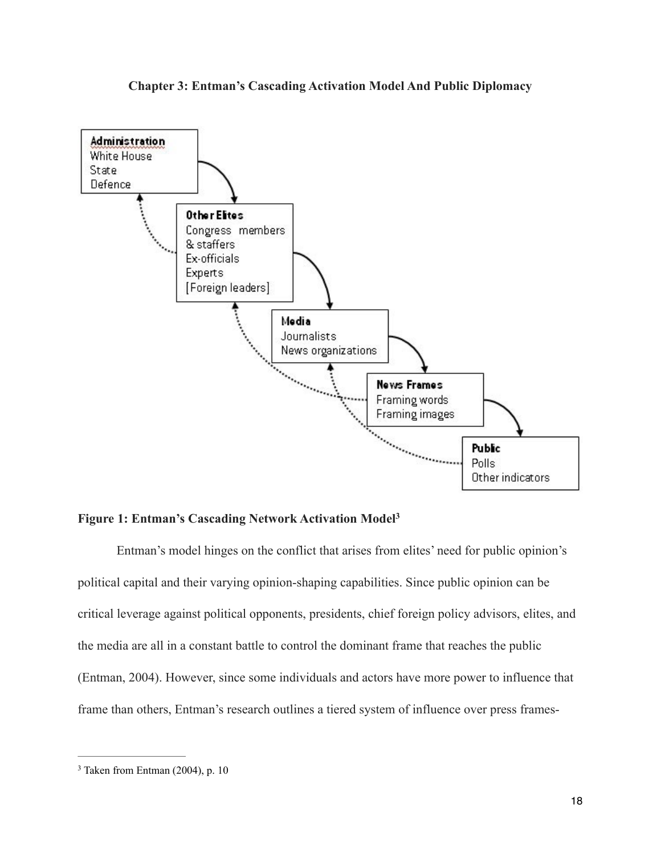



#### **Figure 1: Entman's Cascading Network Activation Model3**

 Entman's model hinges on the conflict that arises from elites' need for public opinion's political capital and their varying opinion-shaping capabilities. Since public opinion can be critical leverage against political opponents, presidents, chief foreign policy advisors, elites, and the media are all in a constant battle to control the dominant frame that reaches the public (Entman, 2004). However, since some individuals and actors have more power to influence that frame than others, Entman's research outlines a tiered system of influence over press frames-

 $3$  Taken from Entman (2004), p. 10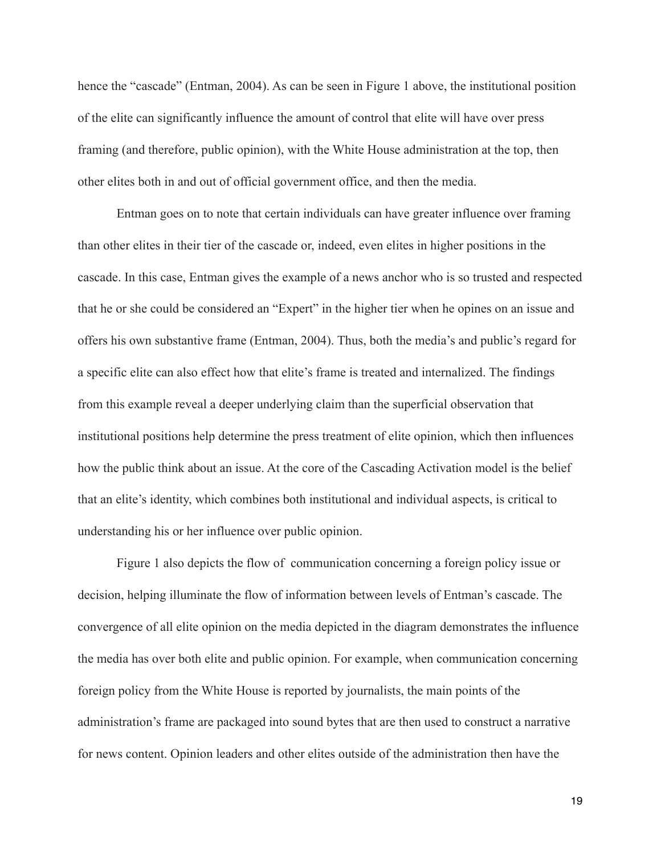hence the "cascade" (Entman, 2004). As can be seen in Figure 1 above, the institutional position of the elite can significantly influence the amount of control that elite will have over press framing (and therefore, public opinion), with the White House administration at the top, then other elites both in and out of official government office, and then the media.

 Entman goes on to note that certain individuals can have greater influence over framing than other elites in their tier of the cascade or, indeed, even elites in higher positions in the cascade. In this case, Entman gives the example of a news anchor who is so trusted and respected that he or she could be considered an "Expert" in the higher tier when he opines on an issue and offers his own substantive frame (Entman, 2004). Thus, both the media's and public's regard for a specific elite can also effect how that elite's frame is treated and internalized. The findings from this example reveal a deeper underlying claim than the superficial observation that institutional positions help determine the press treatment of elite opinion, which then influences how the public think about an issue. At the core of the Cascading Activation model is the belief that an elite's identity, which combines both institutional and individual aspects, is critical to understanding his or her influence over public opinion.

 Figure 1 also depicts the flow of communication concerning a foreign policy issue or decision, helping illuminate the flow of information between levels of Entman's cascade. The convergence of all elite opinion on the media depicted in the diagram demonstrates the influence the media has over both elite and public opinion. For example, when communication concerning foreign policy from the White House is reported by journalists, the main points of the administration's frame are packaged into sound bytes that are then used to construct a narrative for news content. Opinion leaders and other elites outside of the administration then have the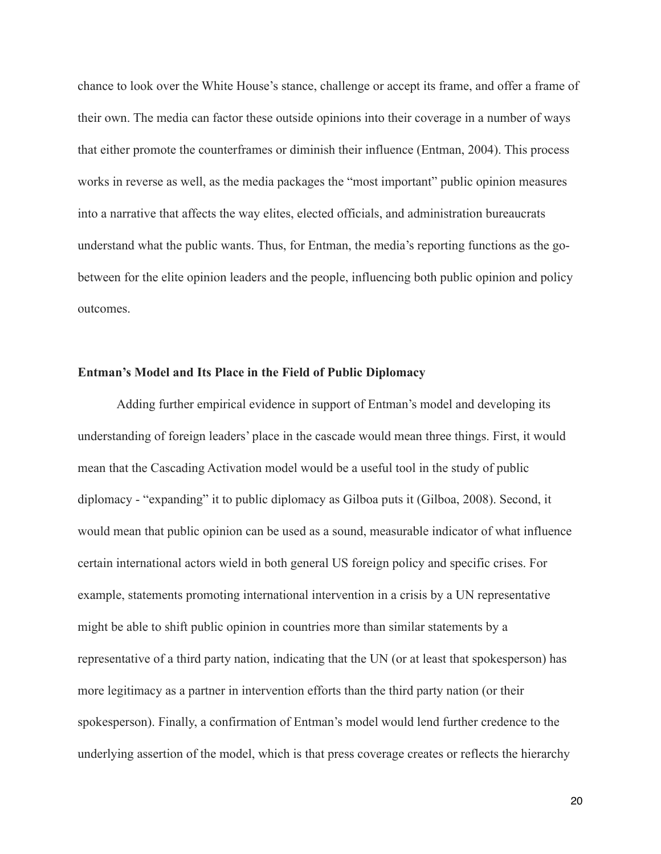chance to look over the White House's stance, challenge or accept its frame, and offer a frame of their own. The media can factor these outside opinions into their coverage in a number of ways that either promote the counterframes or diminish their influence (Entman, 2004). This process works in reverse as well, as the media packages the "most important" public opinion measures into a narrative that affects the way elites, elected officials, and administration bureaucrats understand what the public wants. Thus, for Entman, the media's reporting functions as the gobetween for the elite opinion leaders and the people, influencing both public opinion and policy outcomes.

#### **Entman's Model and Its Place in the Field of Public Diplomacy**

 Adding further empirical evidence in support of Entman's model and developing its understanding of foreign leaders' place in the cascade would mean three things. First, it would mean that the Cascading Activation model would be a useful tool in the study of public diplomacy - "expanding" it to public diplomacy as Gilboa puts it (Gilboa, 2008). Second, it would mean that public opinion can be used as a sound, measurable indicator of what influence certain international actors wield in both general US foreign policy and specific crises. For example, statements promoting international intervention in a crisis by a UN representative might be able to shift public opinion in countries more than similar statements by a representative of a third party nation, indicating that the UN (or at least that spokesperson) has more legitimacy as a partner in intervention efforts than the third party nation (or their spokesperson). Finally, a confirmation of Entman's model would lend further credence to the underlying assertion of the model, which is that press coverage creates or reflects the hierarchy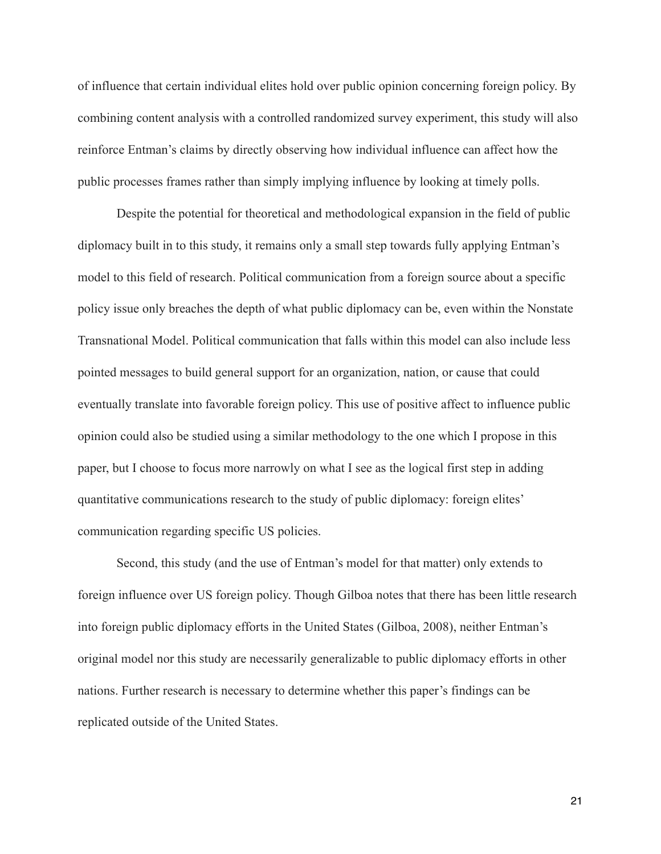of influence that certain individual elites hold over public opinion concerning foreign policy. By combining content analysis with a controlled randomized survey experiment, this study will also reinforce Entman's claims by directly observing how individual influence can affect how the public processes frames rather than simply implying influence by looking at timely polls.

Despite the potential for theoretical and methodological expansion in the field of public diplomacy built in to this study, it remains only a small step towards fully applying Entman's model to this field of research. Political communication from a foreign source about a specific policy issue only breaches the depth of what public diplomacy can be, even within the Nonstate Transnational Model. Political communication that falls within this model can also include less pointed messages to build general support for an organization, nation, or cause that could eventually translate into favorable foreign policy. This use of positive affect to influence public opinion could also be studied using a similar methodology to the one which I propose in this paper, but I choose to focus more narrowly on what I see as the logical first step in adding quantitative communications research to the study of public diplomacy: foreign elites' communication regarding specific US policies.

 Second, this study (and the use of Entman's model for that matter) only extends to foreign influence over US foreign policy. Though Gilboa notes that there has been little research into foreign public diplomacy efforts in the United States (Gilboa, 2008), neither Entman's original model nor this study are necessarily generalizable to public diplomacy efforts in other nations. Further research is necessary to determine whether this paper's findings can be replicated outside of the United States.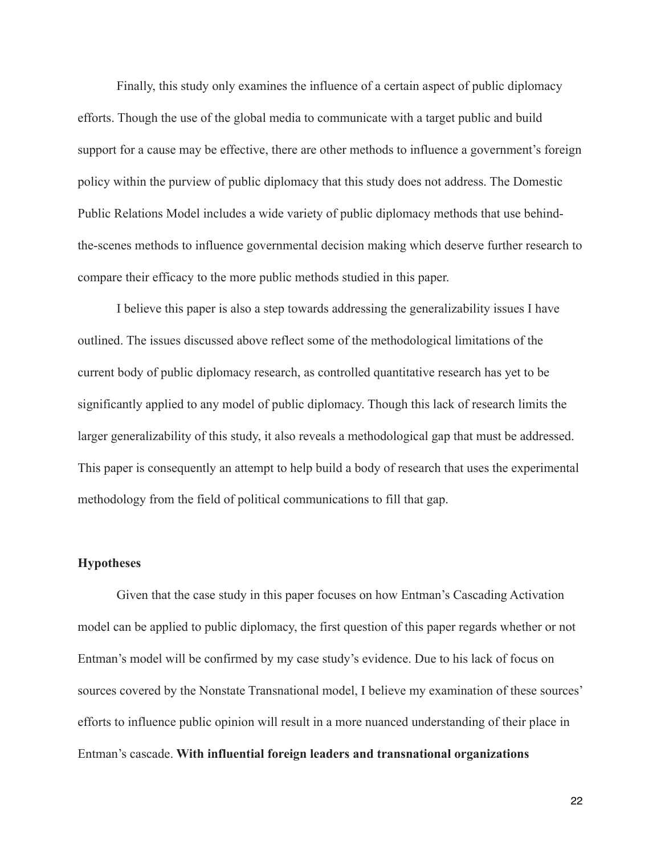Finally, this study only examines the influence of a certain aspect of public diplomacy efforts. Though the use of the global media to communicate with a target public and build support for a cause may be effective, there are other methods to influence a government's foreign policy within the purview of public diplomacy that this study does not address. The Domestic Public Relations Model includes a wide variety of public diplomacy methods that use behindthe-scenes methods to influence governmental decision making which deserve further research to compare their efficacy to the more public methods studied in this paper.

 I believe this paper is also a step towards addressing the generalizability issues I have outlined. The issues discussed above reflect some of the methodological limitations of the current body of public diplomacy research, as controlled quantitative research has yet to be significantly applied to any model of public diplomacy. Though this lack of research limits the larger generalizability of this study, it also reveals a methodological gap that must be addressed. This paper is consequently an attempt to help build a body of research that uses the experimental methodology from the field of political communications to fill that gap.

#### **Hypotheses**

Given that the case study in this paper focuses on how Entman's Cascading Activation model can be applied to public diplomacy, the first question of this paper regards whether or not Entman's model will be confirmed by my case study's evidence. Due to his lack of focus on sources covered by the Nonstate Transnational model, I believe my examination of these sources' efforts to influence public opinion will result in a more nuanced understanding of their place in Entman's cascade. **With influential foreign leaders and transnational organizations**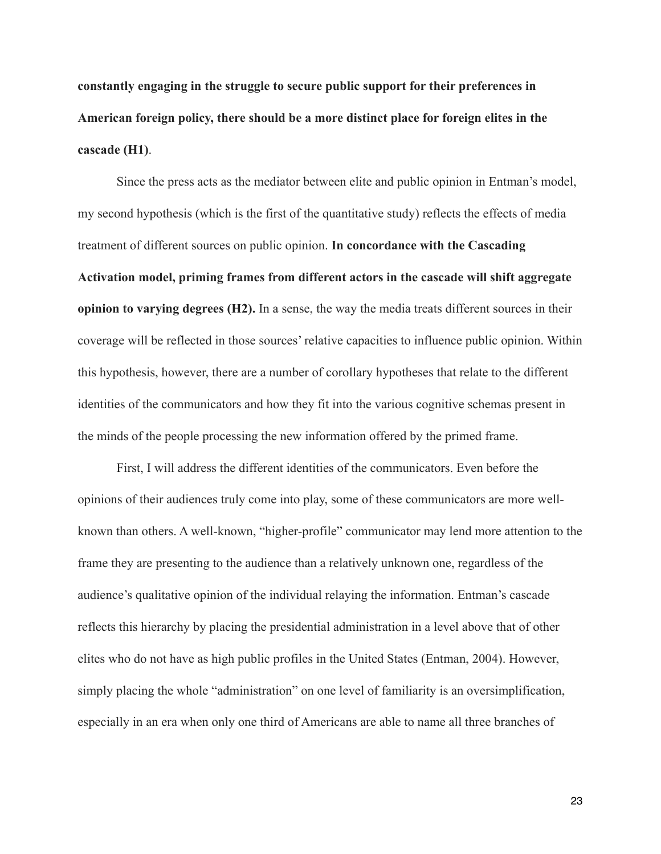**constantly engaging in the struggle to secure public support for their preferences in American foreign policy, there should be a more distinct place for foreign elites in the cascade (H1)**.

 Since the press acts as the mediator between elite and public opinion in Entman's model, my second hypothesis (which is the first of the quantitative study) reflects the effects of media treatment of different sources on public opinion. **In concordance with the Cascading Activation model, priming frames from different actors in the cascade will shift aggregate opinion to varying degrees (H2).** In a sense, the way the media treats different sources in their coverage will be reflected in those sources' relative capacities to influence public opinion. Within this hypothesis, however, there are a number of corollary hypotheses that relate to the different identities of the communicators and how they fit into the various cognitive schemas present in the minds of the people processing the new information offered by the primed frame.

 First, I will address the different identities of the communicators. Even before the opinions of their audiences truly come into play, some of these communicators are more wellknown than others. A well-known, "higher-profile" communicator may lend more attention to the frame they are presenting to the audience than a relatively unknown one, regardless of the audience's qualitative opinion of the individual relaying the information. Entman's cascade reflects this hierarchy by placing the presidential administration in a level above that of other elites who do not have as high public profiles in the United States (Entman, 2004). However, simply placing the whole "administration" on one level of familiarity is an oversimplification, especially in an era when only one third of Americans are able to name all three branches of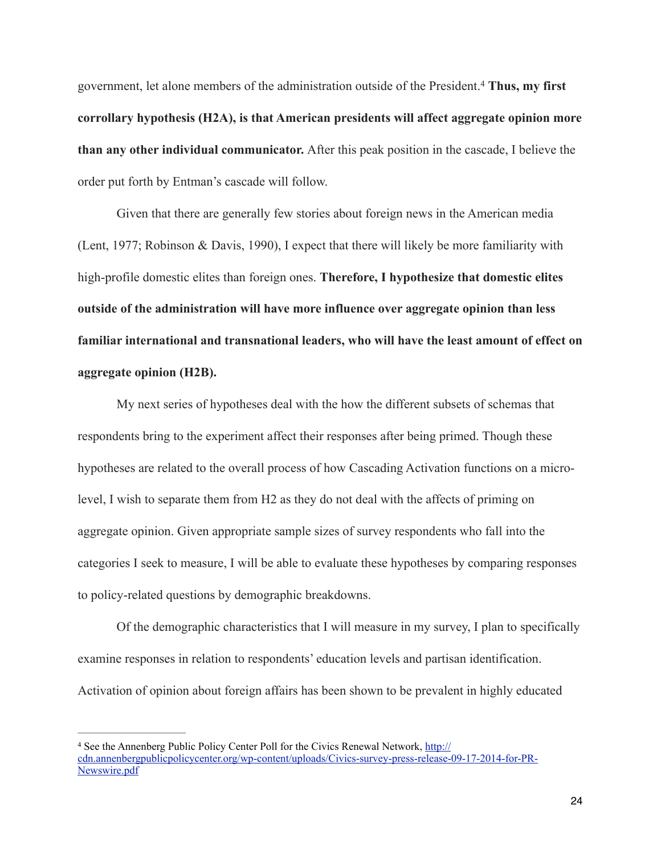government, let alone members of the administration outside of the President. **Thus, my first** <sup>4</sup> **corrollary hypothesis (H2A), is that American presidents will affect aggregate opinion more than any other individual communicator.** After this peak position in the cascade, I believe the order put forth by Entman's cascade will follow.

Given that there are generally few stories about foreign news in the American media (Lent, 1977; Robinson & Davis, 1990), I expect that there will likely be more familiarity with high-profile domestic elites than foreign ones. **Therefore, I hypothesize that domestic elites outside of the administration will have more influence over aggregate opinion than less familiar international and transnational leaders, who will have the least amount of effect on aggregate opinion (H2B).** 

 My next series of hypotheses deal with the how the different subsets of schemas that respondents bring to the experiment affect their responses after being primed. Though these hypotheses are related to the overall process of how Cascading Activation functions on a microlevel, I wish to separate them from H2 as they do not deal with the affects of priming on aggregate opinion. Given appropriate sample sizes of survey respondents who fall into the categories I seek to measure, I will be able to evaluate these hypotheses by comparing responses to policy-related questions by demographic breakdowns.

 Of the demographic characteristics that I will measure in my survey, I plan to specifically examine responses in relation to respondents' education levels and partisan identification. Activation of opinion about foreign affairs has been shown to be prevalent in highly educated

<sup>&</sup>lt;sup>4</sup> See the Annenberg Public Policy Center Poll for the Civics Renewal Network, http:// [cdn.annenbergpublicpolicycenter.org/wp-content/uploads/Civics-survey-press-release-09-17-2014-for-PR-](http://cdn.annenbergpublicpolicycenter.org/wp-content/uploads/Civics-survey-press-release-09-17-2014-for-PR-Newswire.pdf)Newswire.pdf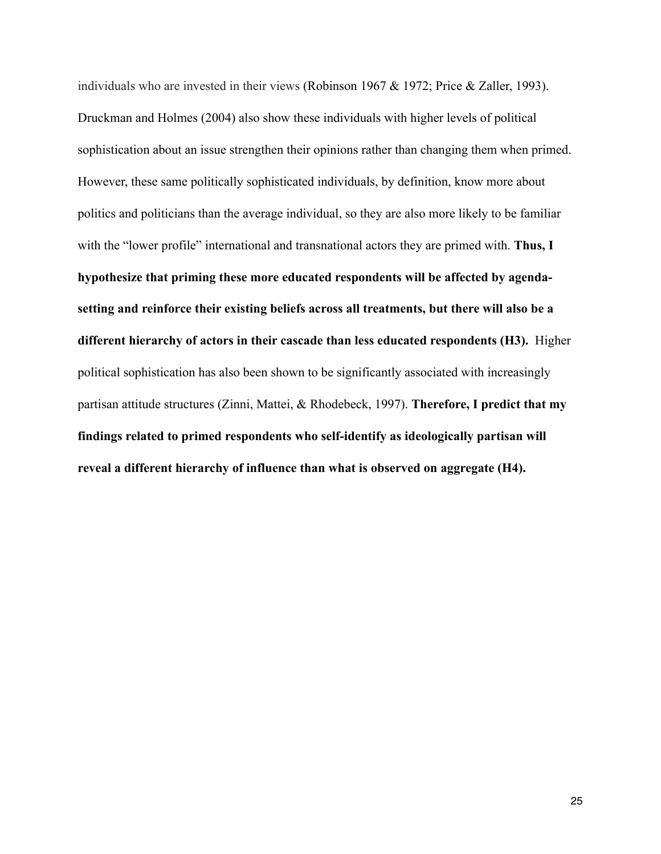individuals who are invested in their views (Robinson 1967 & 1972; Price & Zaller, 1993). Druckman and Holmes (2004) also show these individuals with higher levels of political sophistication about an issue strengthen their opinions rather than changing them when primed. However, these same politically sophisticated individuals, by definition, know more about politics and politicians than the average individual, so they are also more likely to be familiar with the "lower profile" international and transnational actors they are primed with. **Thus, I hypothesize that priming these more educated respondents will be affected by agendasetting and reinforce their existing beliefs across all treatments, but there will also be a different hierarchy of actors in their cascade than less educated respondents (H3).** Higher political sophistication has also been shown to be significantly associated with increasingly partisan attitude structures (Zinni, Mattei, & Rhodebeck, 1997). **Therefore, I predict that my findings related to primed respondents who self-identify as ideologically partisan will reveal a different hierarchy of influence than what is observed on aggregate (H4).**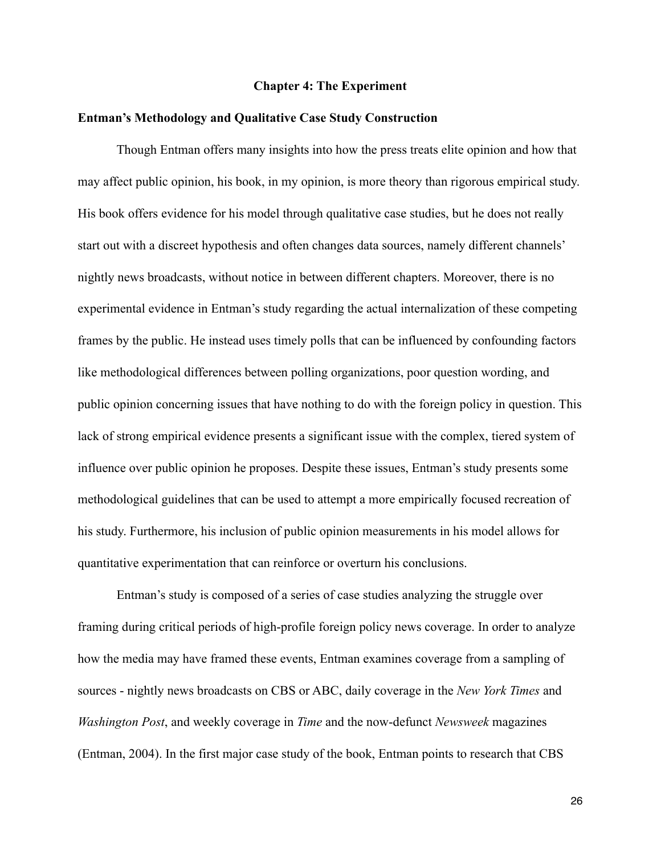#### **Chapter 4: The Experiment**

#### **Entman's Methodology and Qualitative Case Study Construction**

 Though Entman offers many insights into how the press treats elite opinion and how that may affect public opinion, his book, in my opinion, is more theory than rigorous empirical study. His book offers evidence for his model through qualitative case studies, but he does not really start out with a discreet hypothesis and often changes data sources, namely different channels' nightly news broadcasts, without notice in between different chapters. Moreover, there is no experimental evidence in Entman's study regarding the actual internalization of these competing frames by the public. He instead uses timely polls that can be influenced by confounding factors like methodological differences between polling organizations, poor question wording, and public opinion concerning issues that have nothing to do with the foreign policy in question. This lack of strong empirical evidence presents a significant issue with the complex, tiered system of influence over public opinion he proposes. Despite these issues, Entman's study presents some methodological guidelines that can be used to attempt a more empirically focused recreation of his study. Furthermore, his inclusion of public opinion measurements in his model allows for quantitative experimentation that can reinforce or overturn his conclusions.

 Entman's study is composed of a series of case studies analyzing the struggle over framing during critical periods of high-profile foreign policy news coverage. In order to analyze how the media may have framed these events, Entman examines coverage from a sampling of sources - nightly news broadcasts on CBS or ABC, daily coverage in the *New York Times* and *Washington Post*, and weekly coverage in *Time* and the now-defunct *Newsweek* magazines (Entman, 2004). In the first major case study of the book, Entman points to research that CBS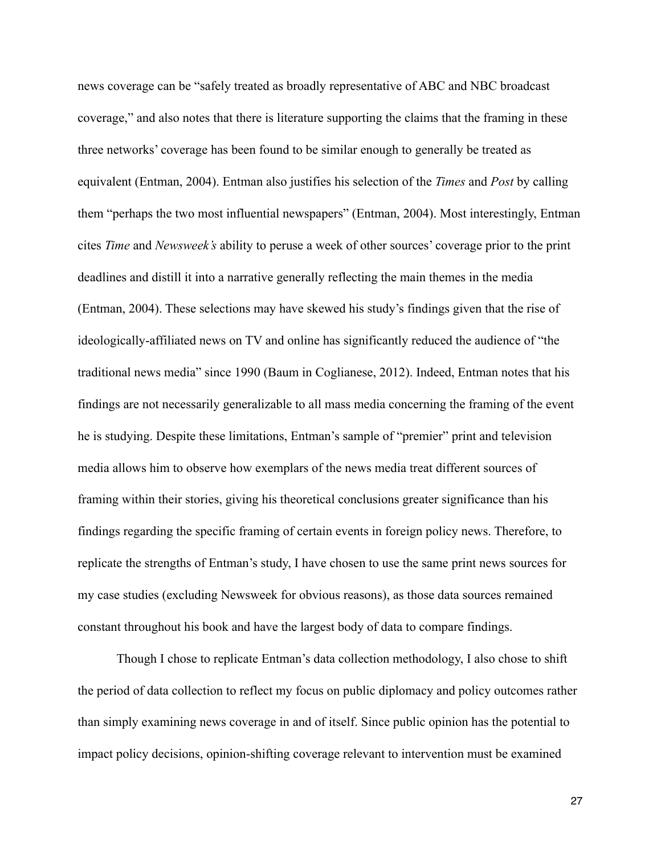news coverage can be "safely treated as broadly representative of ABC and NBC broadcast coverage," and also notes that there is literature supporting the claims that the framing in these three networks' coverage has been found to be similar enough to generally be treated as equivalent (Entman, 2004). Entman also justifies his selection of the *Times* and *Post* by calling them "perhaps the two most influential newspapers" (Entman, 2004). Most interestingly, Entman cites *Time* and *Newsweek's* ability to peruse a week of other sources' coverage prior to the print deadlines and distill it into a narrative generally reflecting the main themes in the media (Entman, 2004). These selections may have skewed his study's findings given that the rise of ideologically-affiliated news on TV and online has significantly reduced the audience of "the traditional news media" since 1990 (Baum in Coglianese, 2012). Indeed, Entman notes that his findings are not necessarily generalizable to all mass media concerning the framing of the event he is studying. Despite these limitations, Entman's sample of "premier" print and television media allows him to observe how exemplars of the news media treat different sources of framing within their stories, giving his theoretical conclusions greater significance than his findings regarding the specific framing of certain events in foreign policy news. Therefore, to replicate the strengths of Entman's study, I have chosen to use the same print news sources for my case studies (excluding Newsweek for obvious reasons), as those data sources remained constant throughout his book and have the largest body of data to compare findings.

 Though I chose to replicate Entman's data collection methodology, I also chose to shift the period of data collection to reflect my focus on public diplomacy and policy outcomes rather than simply examining news coverage in and of itself. Since public opinion has the potential to impact policy decisions, opinion-shifting coverage relevant to intervention must be examined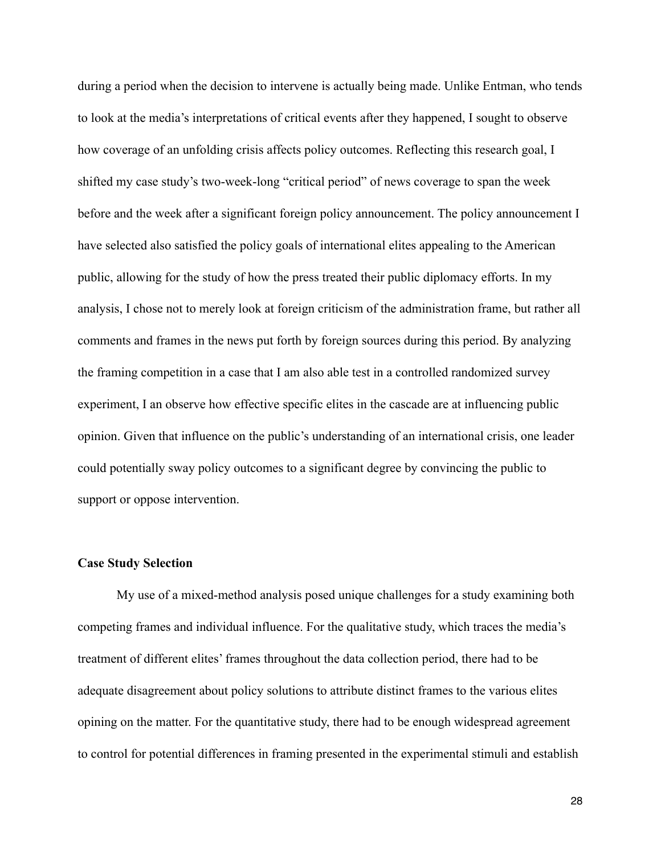during a period when the decision to intervene is actually being made. Unlike Entman, who tends to look at the media's interpretations of critical events after they happened, I sought to observe how coverage of an unfolding crisis affects policy outcomes. Reflecting this research goal, I shifted my case study's two-week-long "critical period" of news coverage to span the week before and the week after a significant foreign policy announcement. The policy announcement I have selected also satisfied the policy goals of international elites appealing to the American public, allowing for the study of how the press treated their public diplomacy efforts. In my analysis, I chose not to merely look at foreign criticism of the administration frame, but rather all comments and frames in the news put forth by foreign sources during this period. By analyzing the framing competition in a case that I am also able test in a controlled randomized survey experiment, I an observe how effective specific elites in the cascade are at influencing public opinion. Given that influence on the public's understanding of an international crisis, one leader could potentially sway policy outcomes to a significant degree by convincing the public to support or oppose intervention.

#### **Case Study Selection**

My use of a mixed-method analysis posed unique challenges for a study examining both competing frames and individual influence. For the qualitative study, which traces the media's treatment of different elites' frames throughout the data collection period, there had to be adequate disagreement about policy solutions to attribute distinct frames to the various elites opining on the matter. For the quantitative study, there had to be enough widespread agreement to control for potential differences in framing presented in the experimental stimuli and establish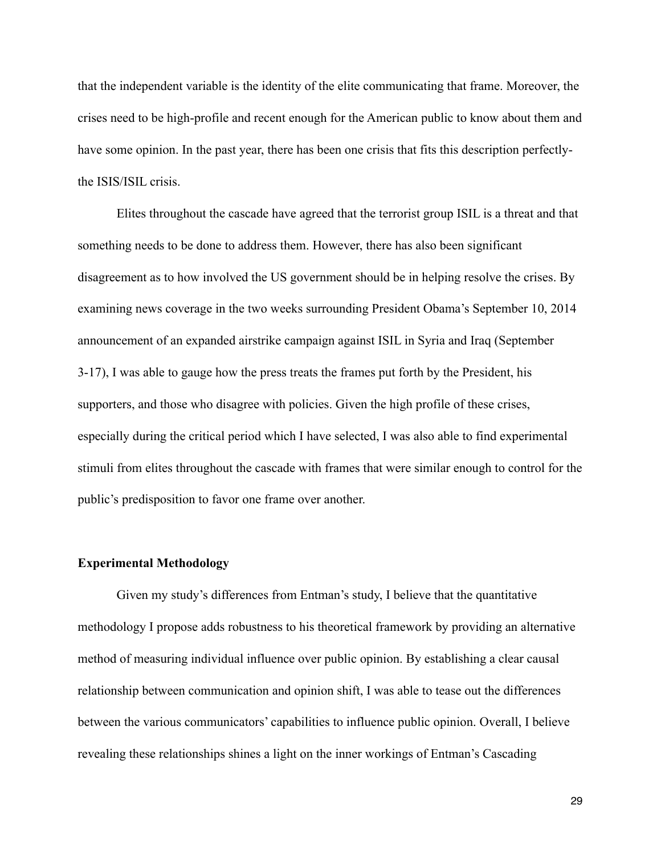that the independent variable is the identity of the elite communicating that frame. Moreover, the crises need to be high-profile and recent enough for the American public to know about them and have some opinion. In the past year, there has been one crisis that fits this description perfectlythe ISIS/ISIL crisis.

 Elites throughout the cascade have agreed that the terrorist group ISIL is a threat and that something needs to be done to address them. However, there has also been significant disagreement as to how involved the US government should be in helping resolve the crises. By examining news coverage in the two weeks surrounding President Obama's September 10, 2014 announcement of an expanded airstrike campaign against ISIL in Syria and Iraq (September 3-17), I was able to gauge how the press treats the frames put forth by the President, his supporters, and those who disagree with policies. Given the high profile of these crises, especially during the critical period which I have selected, I was also able to find experimental stimuli from elites throughout the cascade with frames that were similar enough to control for the public's predisposition to favor one frame over another.

#### **Experimental Methodology**

 Given my study's differences from Entman's study, I believe that the quantitative methodology I propose adds robustness to his theoretical framework by providing an alternative method of measuring individual influence over public opinion. By establishing a clear causal relationship between communication and opinion shift, I was able to tease out the differences between the various communicators' capabilities to influence public opinion. Overall, I believe revealing these relationships shines a light on the inner workings of Entman's Cascading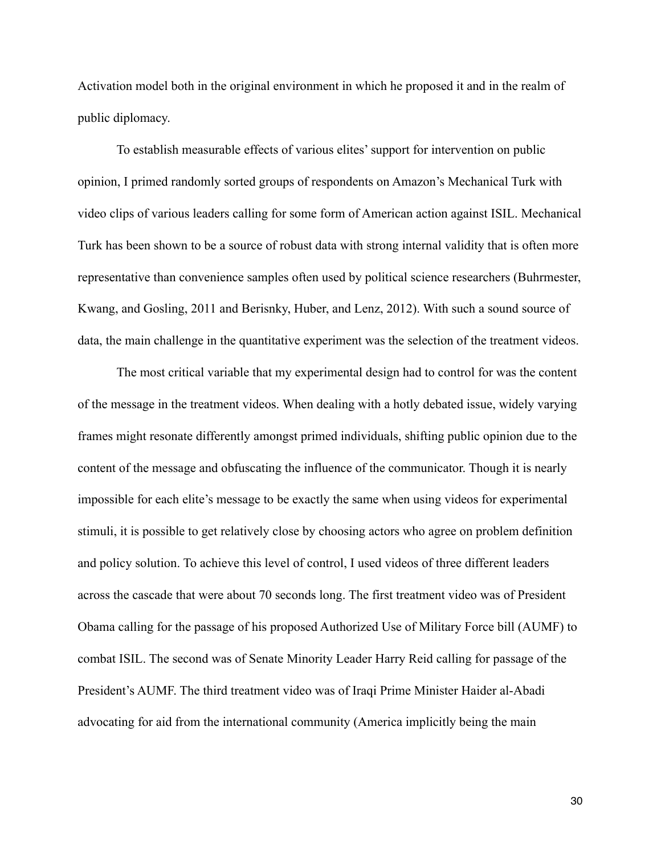Activation model both in the original environment in which he proposed it and in the realm of public diplomacy.

 To establish measurable effects of various elites' support for intervention on public opinion, I primed randomly sorted groups of respondents on Amazon's Mechanical Turk with video clips of various leaders calling for some form of American action against ISIL. Mechanical Turk has been shown to be a source of robust data with strong internal validity that is often more representative than convenience samples often used by political science researchers (Buhrmester, Kwang, and Gosling, 2011 and Berisnky, Huber, and Lenz, 2012). With such a sound source of data, the main challenge in the quantitative experiment was the selection of the treatment videos.

 The most critical variable that my experimental design had to control for was the content of the message in the treatment videos. When dealing with a hotly debated issue, widely varying frames might resonate differently amongst primed individuals, shifting public opinion due to the content of the message and obfuscating the influence of the communicator. Though it is nearly impossible for each elite's message to be exactly the same when using videos for experimental stimuli, it is possible to get relatively close by choosing actors who agree on problem definition and policy solution. To achieve this level of control, I used videos of three different leaders across the cascade that were about 70 seconds long. The first treatment video was of President Obama calling for the passage of his proposed Authorized Use of Military Force bill (AUMF) to combat ISIL. The second was of Senate Minority Leader Harry Reid calling for passage of the President's AUMF. The third treatment video was of Iraqi Prime Minister Haider al-Abadi advocating for aid from the international community (America implicitly being the main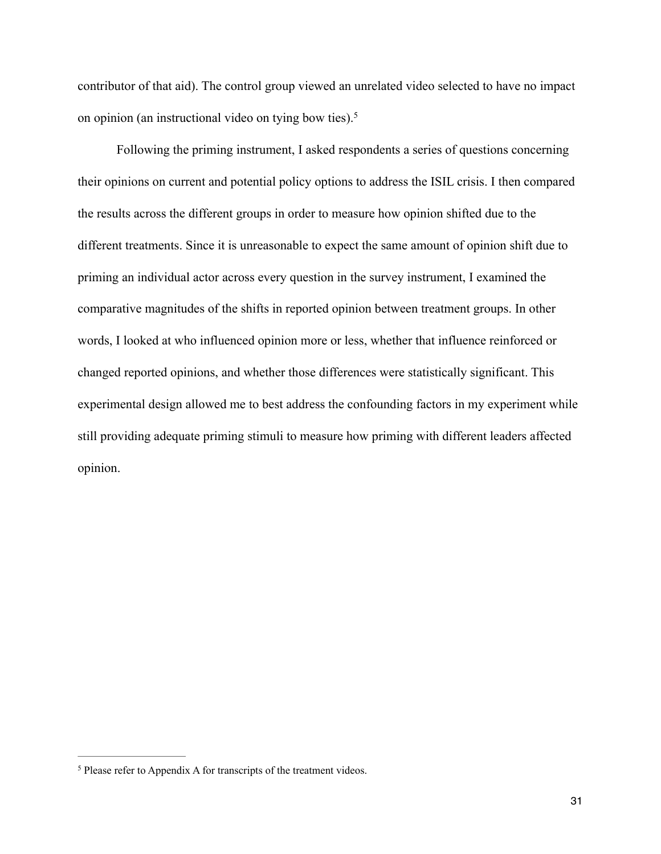contributor of that aid). The control group viewed an unrelated video selected to have no impact on opinion (an instructional video on tying bow ties).5

 Following the priming instrument, I asked respondents a series of questions concerning their opinions on current and potential policy options to address the ISIL crisis. I then compared the results across the different groups in order to measure how opinion shifted due to the different treatments. Since it is unreasonable to expect the same amount of opinion shift due to priming an individual actor across every question in the survey instrument, I examined the comparative magnitudes of the shifts in reported opinion between treatment groups. In other words, I looked at who influenced opinion more or less, whether that influence reinforced or changed reported opinions, and whether those differences were statistically significant. This experimental design allowed me to best address the confounding factors in my experiment while still providing adequate priming stimuli to measure how priming with different leaders affected opinion.

<sup>&</sup>lt;sup>5</sup> Please refer to Appendix A for transcripts of the treatment videos.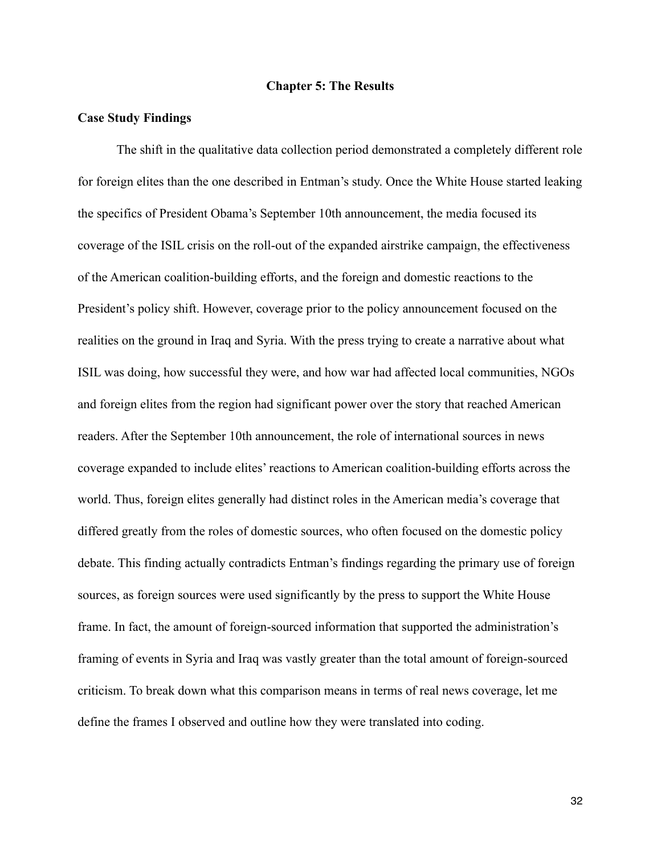#### **Chapter 5: The Results**

#### **Case Study Findings**

 The shift in the qualitative data collection period demonstrated a completely different role for foreign elites than the one described in Entman's study. Once the White House started leaking the specifics of President Obama's September 10th announcement, the media focused its coverage of the ISIL crisis on the roll-out of the expanded airstrike campaign, the effectiveness of the American coalition-building efforts, and the foreign and domestic reactions to the President's policy shift. However, coverage prior to the policy announcement focused on the realities on the ground in Iraq and Syria. With the press trying to create a narrative about what ISIL was doing, how successful they were, and how war had affected local communities, NGOs and foreign elites from the region had significant power over the story that reached American readers. After the September 10th announcement, the role of international sources in news coverage expanded to include elites' reactions to American coalition-building efforts across the world. Thus, foreign elites generally had distinct roles in the American media's coverage that differed greatly from the roles of domestic sources, who often focused on the domestic policy debate. This finding actually contradicts Entman's findings regarding the primary use of foreign sources, as foreign sources were used significantly by the press to support the White House frame. In fact, the amount of foreign-sourced information that supported the administration's framing of events in Syria and Iraq was vastly greater than the total amount of foreign-sourced criticism. To break down what this comparison means in terms of real news coverage, let me define the frames I observed and outline how they were translated into coding.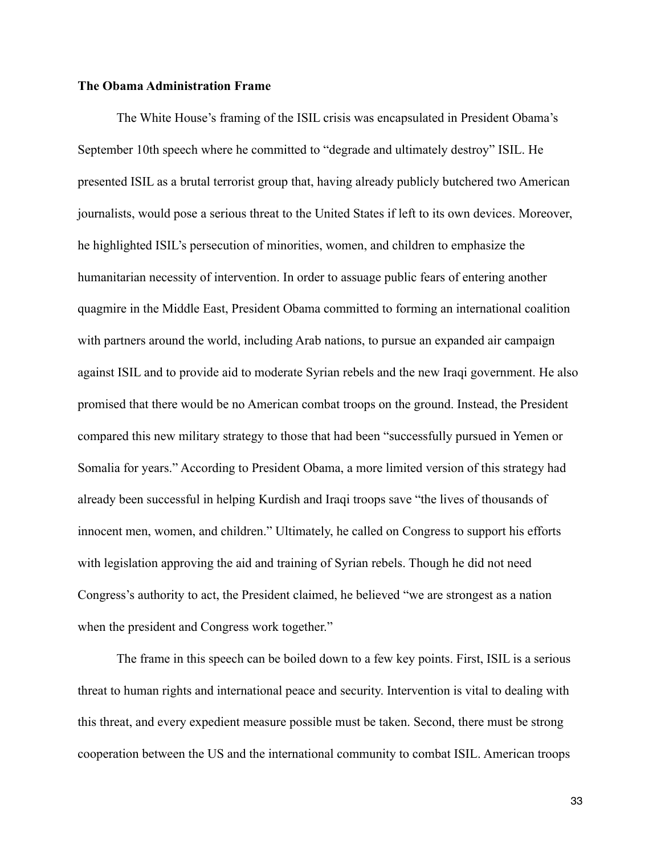#### **The Obama Administration Frame**

 The White House's framing of the ISIL crisis was encapsulated in President Obama's September 10th speech where he committed to "degrade and ultimately destroy" ISIL. He presented ISIL as a brutal terrorist group that, having already publicly butchered two American journalists, would pose a serious threat to the United States if left to its own devices. Moreover, he highlighted ISIL's persecution of minorities, women, and children to emphasize the humanitarian necessity of intervention. In order to assuage public fears of entering another quagmire in the Middle East, President Obama committed to forming an international coalition with partners around the world, including Arab nations, to pursue an expanded air campaign against ISIL and to provide aid to moderate Syrian rebels and the new Iraqi government. He also promised that there would be no American combat troops on the ground. Instead, the President compared this new military strategy to those that had been "successfully pursued in Yemen or Somalia for years." According to President Obama, a more limited version of this strategy had already been successful in helping Kurdish and Iraqi troops save "the lives of thousands of innocent men, women, and children." Ultimately, he called on Congress to support his efforts with legislation approving the aid and training of Syrian rebels. Though he did not need Congress's authority to act, the President claimed, he believed "we are strongest as a nation when the president and Congress work together."

 The frame in this speech can be boiled down to a few key points. First, ISIL is a serious threat to human rights and international peace and security. Intervention is vital to dealing with this threat, and every expedient measure possible must be taken. Second, there must be strong cooperation between the US and the international community to combat ISIL. American troops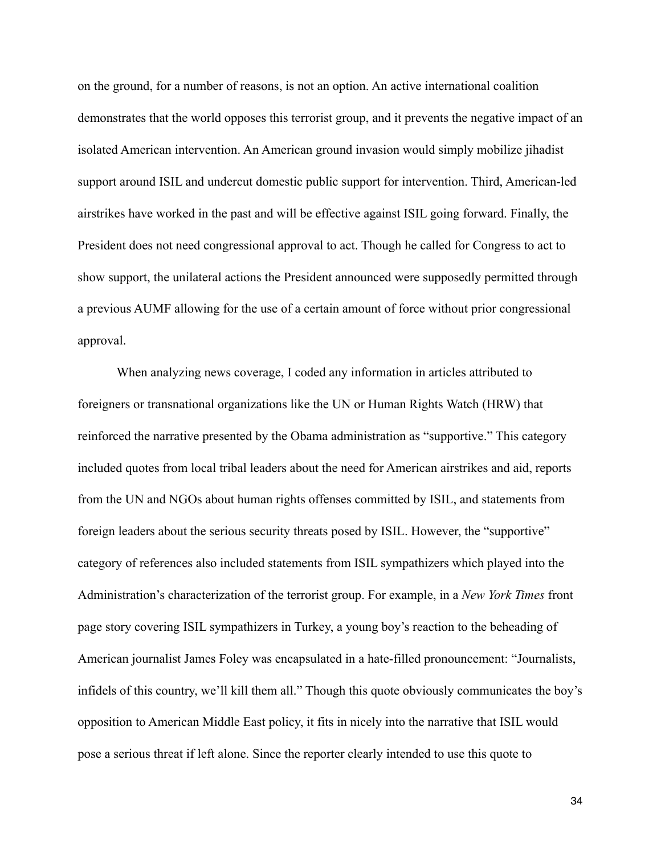on the ground, for a number of reasons, is not an option. An active international coalition demonstrates that the world opposes this terrorist group, and it prevents the negative impact of an isolated American intervention. An American ground invasion would simply mobilize jihadist support around ISIL and undercut domestic public support for intervention. Third, American-led airstrikes have worked in the past and will be effective against ISIL going forward. Finally, the President does not need congressional approval to act. Though he called for Congress to act to show support, the unilateral actions the President announced were supposedly permitted through a previous AUMF allowing for the use of a certain amount of force without prior congressional approval.

 When analyzing news coverage, I coded any information in articles attributed to foreigners or transnational organizations like the UN or Human Rights Watch (HRW) that reinforced the narrative presented by the Obama administration as "supportive." This category included quotes from local tribal leaders about the need for American airstrikes and aid, reports from the UN and NGOs about human rights offenses committed by ISIL, and statements from foreign leaders about the serious security threats posed by ISIL. However, the "supportive" category of references also included statements from ISIL sympathizers which played into the Administration's characterization of the terrorist group. For example, in a *New York Times* front page story covering ISIL sympathizers in Turkey, a young boy's reaction to the beheading of American journalist James Foley was encapsulated in a hate-filled pronouncement: "Journalists, infidels of this country, we'll kill them all." Though this quote obviously communicates the boy's opposition to American Middle East policy, it fits in nicely into the narrative that ISIL would pose a serious threat if left alone. Since the reporter clearly intended to use this quote to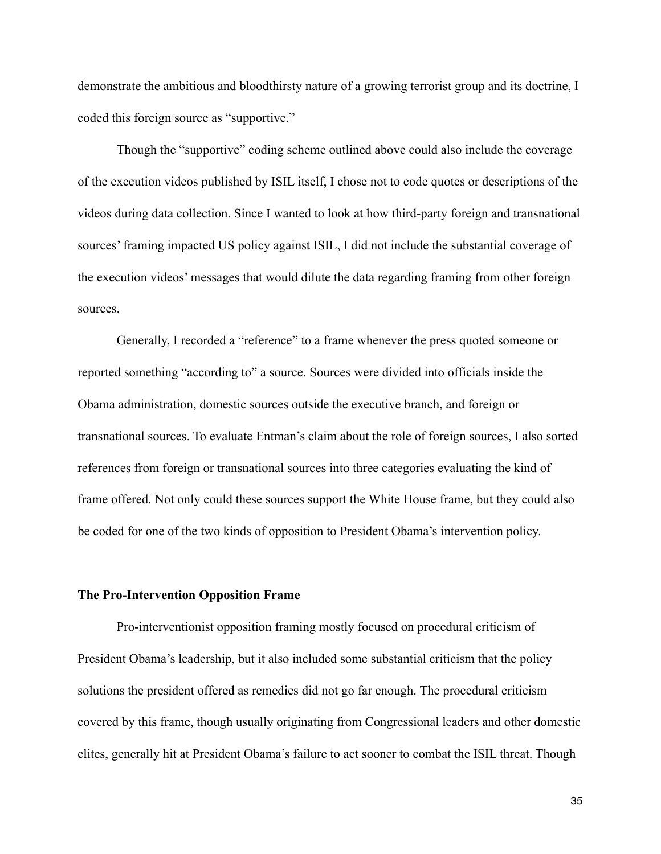demonstrate the ambitious and bloodthirsty nature of a growing terrorist group and its doctrine, I coded this foreign source as "supportive."

 Though the "supportive" coding scheme outlined above could also include the coverage of the execution videos published by ISIL itself, I chose not to code quotes or descriptions of the videos during data collection. Since I wanted to look at how third-party foreign and transnational sources' framing impacted US policy against ISIL, I did not include the substantial coverage of the execution videos' messages that would dilute the data regarding framing from other foreign sources.

 Generally, I recorded a "reference" to a frame whenever the press quoted someone or reported something "according to" a source. Sources were divided into officials inside the Obama administration, domestic sources outside the executive branch, and foreign or transnational sources. To evaluate Entman's claim about the role of foreign sources, I also sorted references from foreign or transnational sources into three categories evaluating the kind of frame offered. Not only could these sources support the White House frame, but they could also be coded for one of the two kinds of opposition to President Obama's intervention policy.

### **The Pro-Intervention Opposition Frame**

Pro-interventionist opposition framing mostly focused on procedural criticism of President Obama's leadership, but it also included some substantial criticism that the policy solutions the president offered as remedies did not go far enough. The procedural criticism covered by this frame, though usually originating from Congressional leaders and other domestic elites, generally hit at President Obama's failure to act sooner to combat the ISIL threat. Though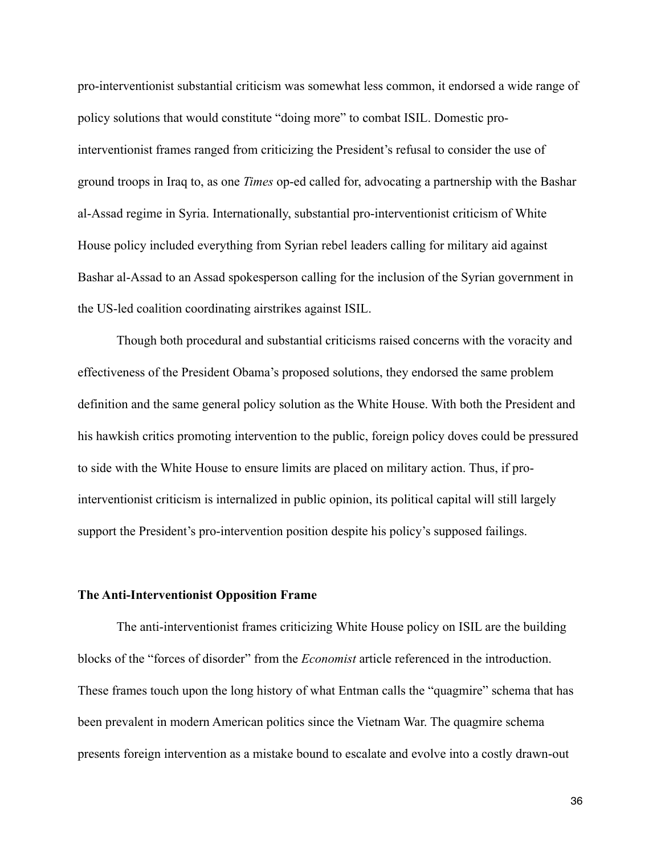pro-interventionist substantial criticism was somewhat less common, it endorsed a wide range of policy solutions that would constitute "doing more" to combat ISIL. Domestic prointerventionist frames ranged from criticizing the President's refusal to consider the use of ground troops in Iraq to, as one *Times* op-ed called for, advocating a partnership with the Bashar al-Assad regime in Syria. Internationally, substantial pro-interventionist criticism of White House policy included everything from Syrian rebel leaders calling for military aid against Bashar al-Assad to an Assad spokesperson calling for the inclusion of the Syrian government in the US-led coalition coordinating airstrikes against ISIL.

 Though both procedural and substantial criticisms raised concerns with the voracity and effectiveness of the President Obama's proposed solutions, they endorsed the same problem definition and the same general policy solution as the White House. With both the President and his hawkish critics promoting intervention to the public, foreign policy doves could be pressured to side with the White House to ensure limits are placed on military action. Thus, if prointerventionist criticism is internalized in public opinion, its political capital will still largely support the President's pro-intervention position despite his policy's supposed failings.

### **The Anti-Interventionist Opposition Frame**

The anti-interventionist frames criticizing White House policy on ISIL are the building blocks of the "forces of disorder" from the *Economist* article referenced in the introduction. These frames touch upon the long history of what Entman calls the "quagmire" schema that has been prevalent in modern American politics since the Vietnam War. The quagmire schema presents foreign intervention as a mistake bound to escalate and evolve into a costly drawn-out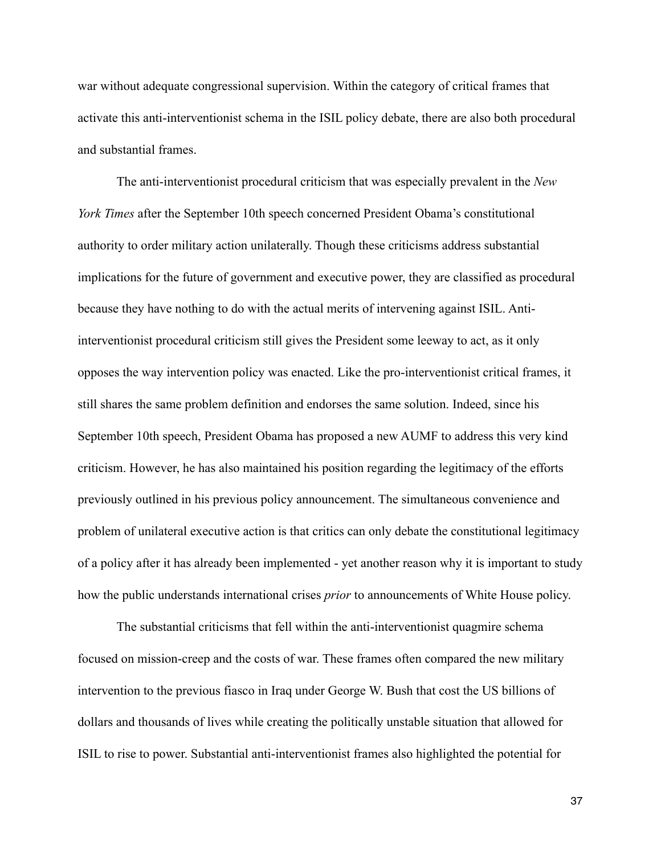war without adequate congressional supervision. Within the category of critical frames that activate this anti-interventionist schema in the ISIL policy debate, there are also both procedural and substantial frames.

 The anti-interventionist procedural criticism that was especially prevalent in the *New York Times* after the September 10th speech concerned President Obama's constitutional authority to order military action unilaterally. Though these criticisms address substantial implications for the future of government and executive power, they are classified as procedural because they have nothing to do with the actual merits of intervening against ISIL. Antiinterventionist procedural criticism still gives the President some leeway to act, as it only opposes the way intervention policy was enacted. Like the pro-interventionist critical frames, it still shares the same problem definition and endorses the same solution. Indeed, since his September 10th speech, President Obama has proposed a new AUMF to address this very kind criticism. However, he has also maintained his position regarding the legitimacy of the efforts previously outlined in his previous policy announcement. The simultaneous convenience and problem of unilateral executive action is that critics can only debate the constitutional legitimacy of a policy after it has already been implemented - yet another reason why it is important to study how the public understands international crises *prior* to announcements of White House policy.

 The substantial criticisms that fell within the anti-interventionist quagmire schema focused on mission-creep and the costs of war. These frames often compared the new military intervention to the previous fiasco in Iraq under George W. Bush that cost the US billions of dollars and thousands of lives while creating the politically unstable situation that allowed for ISIL to rise to power. Substantial anti-interventionist frames also highlighted the potential for

37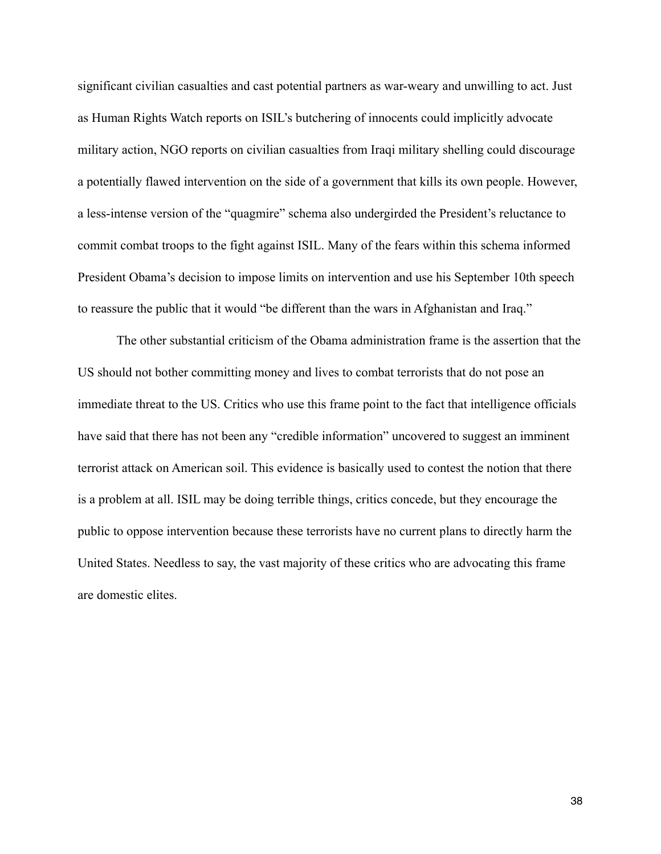significant civilian casualties and cast potential partners as war-weary and unwilling to act. Just as Human Rights Watch reports on ISIL's butchering of innocents could implicitly advocate military action, NGO reports on civilian casualties from Iraqi military shelling could discourage a potentially flawed intervention on the side of a government that kills its own people. However, a less-intense version of the "quagmire" schema also undergirded the President's reluctance to commit combat troops to the fight against ISIL. Many of the fears within this schema informed President Obama's decision to impose limits on intervention and use his September 10th speech to reassure the public that it would "be different than the wars in Afghanistan and Iraq."

 The other substantial criticism of the Obama administration frame is the assertion that the US should not bother committing money and lives to combat terrorists that do not pose an immediate threat to the US. Critics who use this frame point to the fact that intelligence officials have said that there has not been any "credible information" uncovered to suggest an imminent terrorist attack on American soil. This evidence is basically used to contest the notion that there is a problem at all. ISIL may be doing terrible things, critics concede, but they encourage the public to oppose intervention because these terrorists have no current plans to directly harm the United States. Needless to say, the vast majority of these critics who are advocating this frame are domestic elites.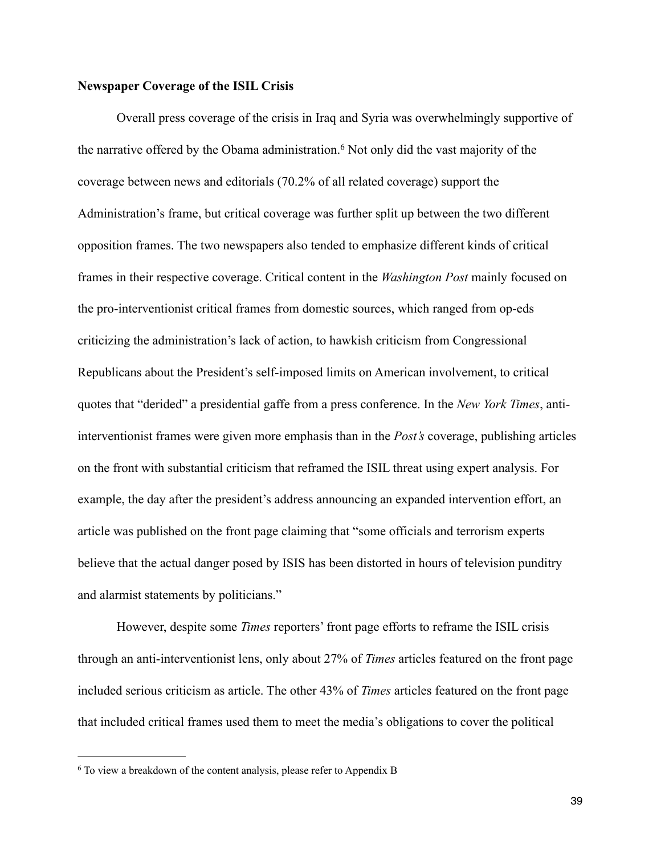### **Newspaper Coverage of the ISIL Crisis**

 Overall press coverage of the crisis in Iraq and Syria was overwhelmingly supportive of the narrative offered by the Obama administration.<sup>6</sup> Not only did the vast majority of the coverage between news and editorials (70.2% of all related coverage) support the Administration's frame, but critical coverage was further split up between the two different opposition frames. The two newspapers also tended to emphasize different kinds of critical frames in their respective coverage. Critical content in the *Washington Post* mainly focused on the pro-interventionist critical frames from domestic sources, which ranged from op-eds criticizing the administration's lack of action, to hawkish criticism from Congressional Republicans about the President's self-imposed limits on American involvement, to critical quotes that "derided" a presidential gaffe from a press conference. In the *New York Times*, antiinterventionist frames were given more emphasis than in the *Post's* coverage, publishing articles on the front with substantial criticism that reframed the ISIL threat using expert analysis. For example, the day after the president's address announcing an expanded intervention effort, an article was published on the front page claiming that "some officials and terrorism experts believe that the actual danger posed by ISIS has been distorted in hours of television punditry and alarmist statements by politicians."

 However, despite some *Times* reporters' front page efforts to reframe the ISIL crisis through an anti-interventionist lens, only about 27% of *Times* articles featured on the front page included serious criticism as article. The other 43% of *Times* articles featured on the front page that included critical frames used them to meet the media's obligations to cover the political

<sup>6</sup> To view a breakdown of the content analysis, please refer to Appendix B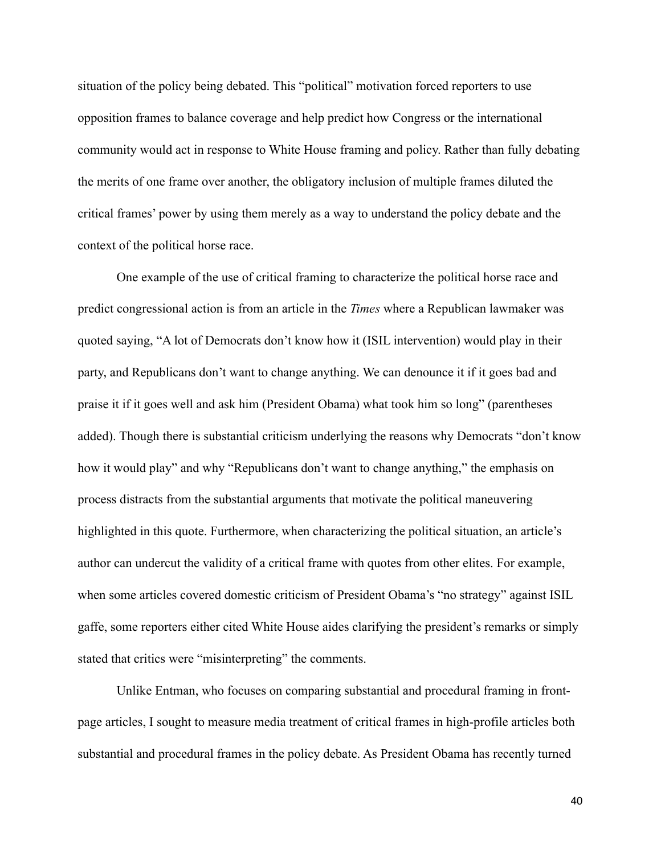situation of the policy being debated. This "political" motivation forced reporters to use opposition frames to balance coverage and help predict how Congress or the international community would act in response to White House framing and policy. Rather than fully debating the merits of one frame over another, the obligatory inclusion of multiple frames diluted the critical frames' power by using them merely as a way to understand the policy debate and the context of the political horse race.

 One example of the use of critical framing to characterize the political horse race and predict congressional action is from an article in the *Times* where a Republican lawmaker was quoted saying, "A lot of Democrats don't know how it (ISIL intervention) would play in their party, and Republicans don't want to change anything. We can denounce it if it goes bad and praise it if it goes well and ask him (President Obama) what took him so long" (parentheses added). Though there is substantial criticism underlying the reasons why Democrats "don't know how it would play" and why "Republicans don't want to change anything," the emphasis on process distracts from the substantial arguments that motivate the political maneuvering highlighted in this quote. Furthermore, when characterizing the political situation, an article's author can undercut the validity of a critical frame with quotes from other elites. For example, when some articles covered domestic criticism of President Obama's "no strategy" against ISIL gaffe, some reporters either cited White House aides clarifying the president's remarks or simply stated that critics were "misinterpreting" the comments.

 Unlike Entman, who focuses on comparing substantial and procedural framing in frontpage articles, I sought to measure media treatment of critical frames in high-profile articles both substantial and procedural frames in the policy debate. As President Obama has recently turned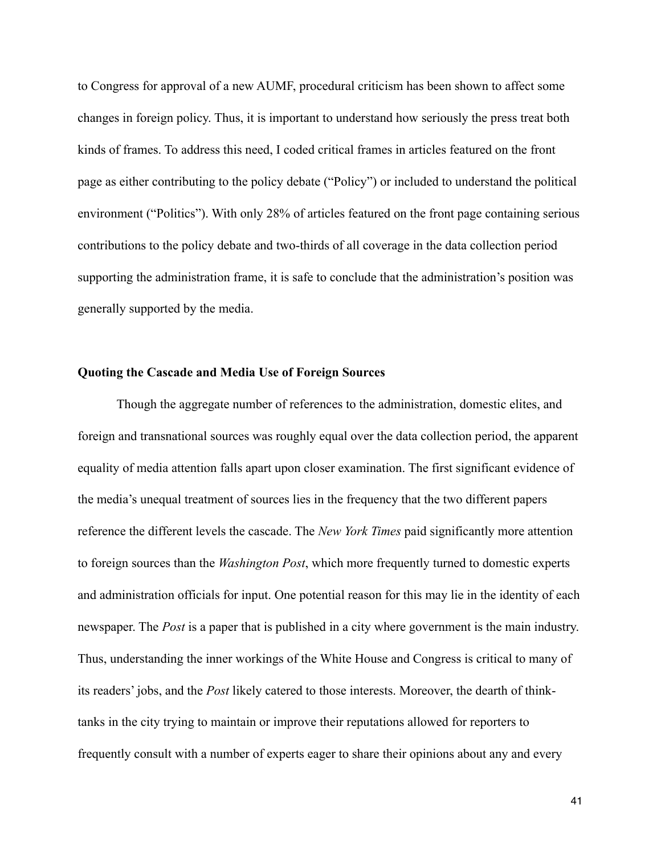to Congress for approval of a new AUMF, procedural criticism has been shown to affect some changes in foreign policy. Thus, it is important to understand how seriously the press treat both kinds of frames. To address this need, I coded critical frames in articles featured on the front page as either contributing to the policy debate ("Policy") or included to understand the political environment ("Politics"). With only 28% of articles featured on the front page containing serious contributions to the policy debate and two-thirds of all coverage in the data collection period supporting the administration frame, it is safe to conclude that the administration's position was generally supported by the media.

### **Quoting the Cascade and Media Use of Foreign Sources**

 Though the aggregate number of references to the administration, domestic elites, and foreign and transnational sources was roughly equal over the data collection period, the apparent equality of media attention falls apart upon closer examination. The first significant evidence of the media's unequal treatment of sources lies in the frequency that the two different papers reference the different levels the cascade. The *New York Times* paid significantly more attention to foreign sources than the *Washington Post*, which more frequently turned to domestic experts and administration officials for input. One potential reason for this may lie in the identity of each newspaper. The *Post* is a paper that is published in a city where government is the main industry. Thus, understanding the inner workings of the White House and Congress is critical to many of its readers' jobs, and the *Post* likely catered to those interests. Moreover, the dearth of thinktanks in the city trying to maintain or improve their reputations allowed for reporters to frequently consult with a number of experts eager to share their opinions about any and every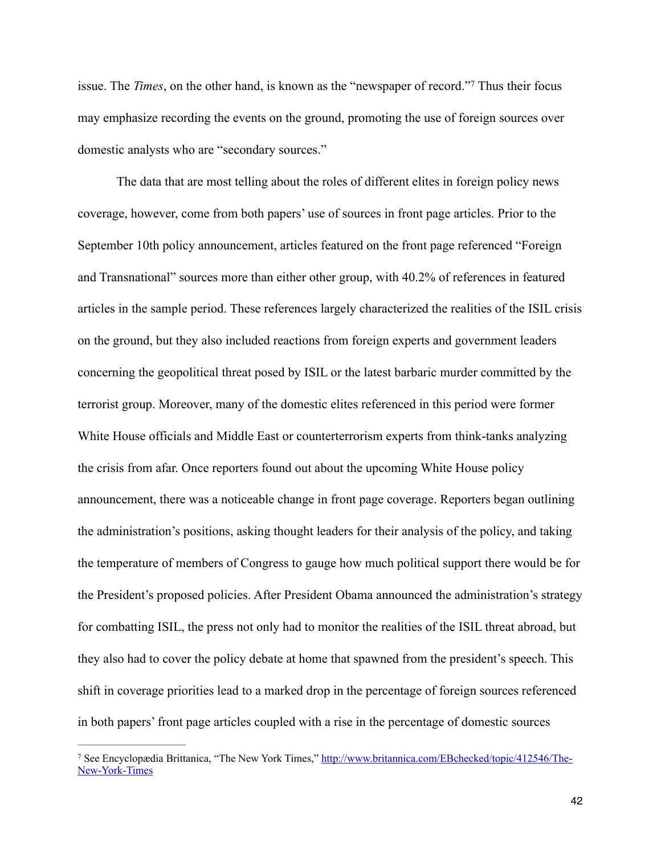issue. The *Times*, on the other hand, is known as the "newspaper of record."<sup>7</sup> Thus their focus may emphasize recording the events on the ground, promoting the use of foreign sources over domestic analysts who are "secondary sources."

 The data that are most telling about the roles of different elites in foreign policy news coverage, however, come from both papers' use of sources in front page articles. Prior to the September 10th policy announcement, articles featured on the front page referenced "Foreign and Transnational" sources more than either other group, with 40.2% of references in featured articles in the sample period. These references largely characterized the realities of the ISIL crisis on the ground, but they also included reactions from foreign experts and government leaders concerning the geopolitical threat posed by ISIL or the latest barbaric murder committed by the terrorist group. Moreover, many of the domestic elites referenced in this period were former White House officials and Middle East or counterterrorism experts from think-tanks analyzing the crisis from afar. Once reporters found out about the upcoming White House policy announcement, there was a noticeable change in front page coverage. Reporters began outlining the administration's positions, asking thought leaders for their analysis of the policy, and taking the temperature of members of Congress to gauge how much political support there would be for the President's proposed policies. After President Obama announced the administration's strategy for combatting ISIL, the press not only had to monitor the realities of the ISIL threat abroad, but they also had to cover the policy debate at home that spawned from the president's speech. This shift in coverage priorities lead to a marked drop in the percentage of foreign sources referenced in both papers' front page articles coupled with a rise in the percentage of domestic sources

<sup>&</sup>lt;sup>7</sup> [See Encyclopædia Brittanica, "The New York Times," http://www.britannica.com/EBchecked/topic/412546/The-](http://www.britannica.com/EBchecked/topic/412546/The-New-York-Times) New-York-Times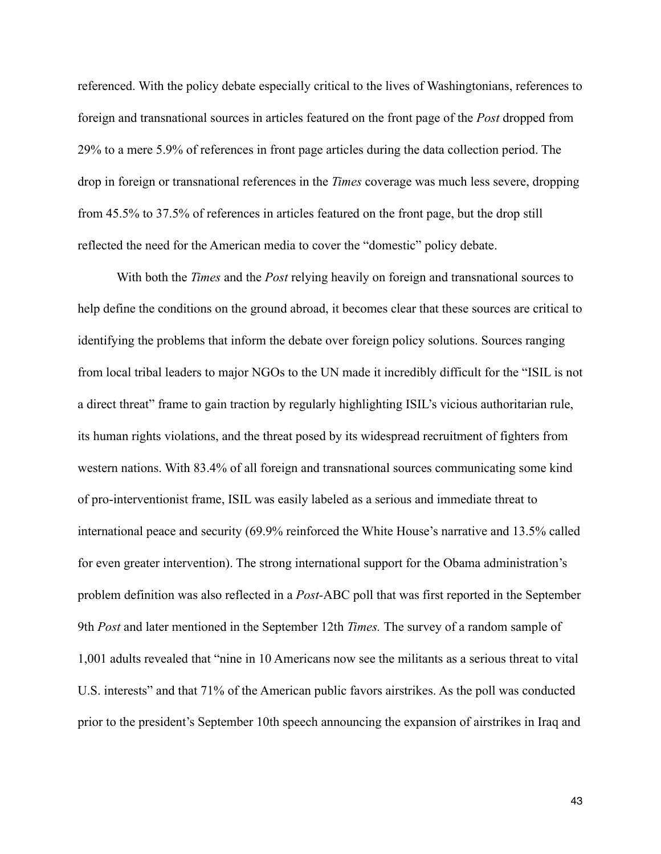referenced. With the policy debate especially critical to the lives of Washingtonians, references to foreign and transnational sources in articles featured on the front page of the *Post* dropped from 29% to a mere 5.9% of references in front page articles during the data collection period. The drop in foreign or transnational references in the *Times* coverage was much less severe, dropping from 45.5% to 37.5% of references in articles featured on the front page, but the drop still reflected the need for the American media to cover the "domestic" policy debate.

 With both the *Times* and the *Post* relying heavily on foreign and transnational sources to help define the conditions on the ground abroad, it becomes clear that these sources are critical to identifying the problems that inform the debate over foreign policy solutions. Sources ranging from local tribal leaders to major NGOs to the UN made it incredibly difficult for the "ISIL is not a direct threat" frame to gain traction by regularly highlighting ISIL's vicious authoritarian rule, its human rights violations, and the threat posed by its widespread recruitment of fighters from western nations. With 83.4% of all foreign and transnational sources communicating some kind of pro-interventionist frame, ISIL was easily labeled as a serious and immediate threat to international peace and security (69.9% reinforced the White House's narrative and 13.5% called for even greater intervention). The strong international support for the Obama administration's problem definition was also reflected in a *Post-*ABC poll that was first reported in the September 9th *Post* and later mentioned in the September 12th *Times.* The survey of a random sample of 1,001 adults revealed that "nine in 10 Americans now see the militants as a serious threat to vital U.S. interests" and that 71% of the American public favors airstrikes. As the poll was conducted prior to the president's September 10th speech announcing the expansion of airstrikes in Iraq and

43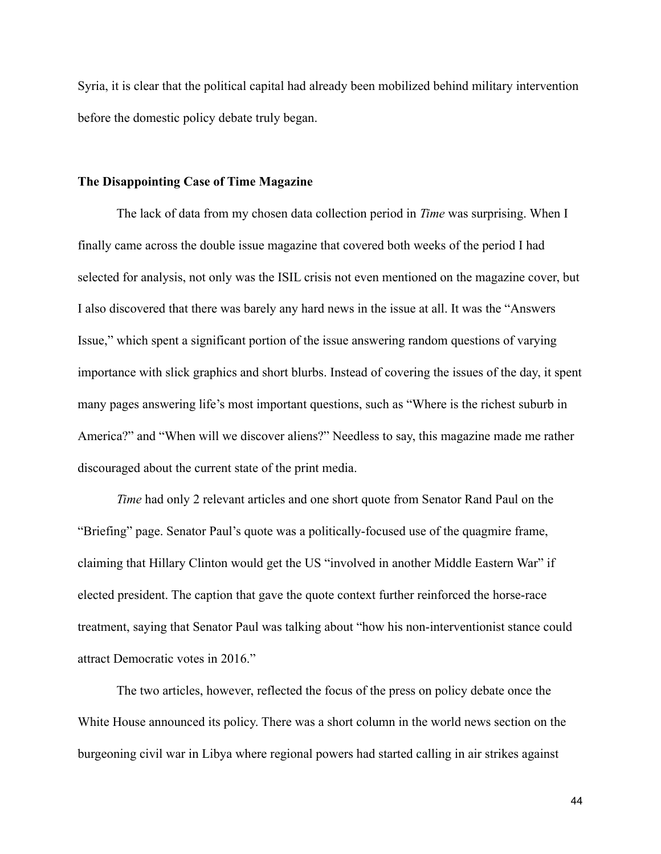Syria, it is clear that the political capital had already been mobilized behind military intervention before the domestic policy debate truly began.

#### **The Disappointing Case of Time Magazine**

 The lack of data from my chosen data collection period in *Time* was surprising. When I finally came across the double issue magazine that covered both weeks of the period I had selected for analysis, not only was the ISIL crisis not even mentioned on the magazine cover, but I also discovered that there was barely any hard news in the issue at all. It was the "Answers Issue," which spent a significant portion of the issue answering random questions of varying importance with slick graphics and short blurbs. Instead of covering the issues of the day, it spent many pages answering life's most important questions, such as "Where is the richest suburb in America?" and "When will we discover aliens?" Needless to say, this magazine made me rather discouraged about the current state of the print media.

*Time* had only 2 relevant articles and one short quote from Senator Rand Paul on the "Briefing" page. Senator Paul's quote was a politically-focused use of the quagmire frame, claiming that Hillary Clinton would get the US "involved in another Middle Eastern War" if elected president. The caption that gave the quote context further reinforced the horse-race treatment, saying that Senator Paul was talking about "how his non-interventionist stance could attract Democratic votes in 2016."

 The two articles, however, reflected the focus of the press on policy debate once the White House announced its policy. There was a short column in the world news section on the burgeoning civil war in Libya where regional powers had started calling in air strikes against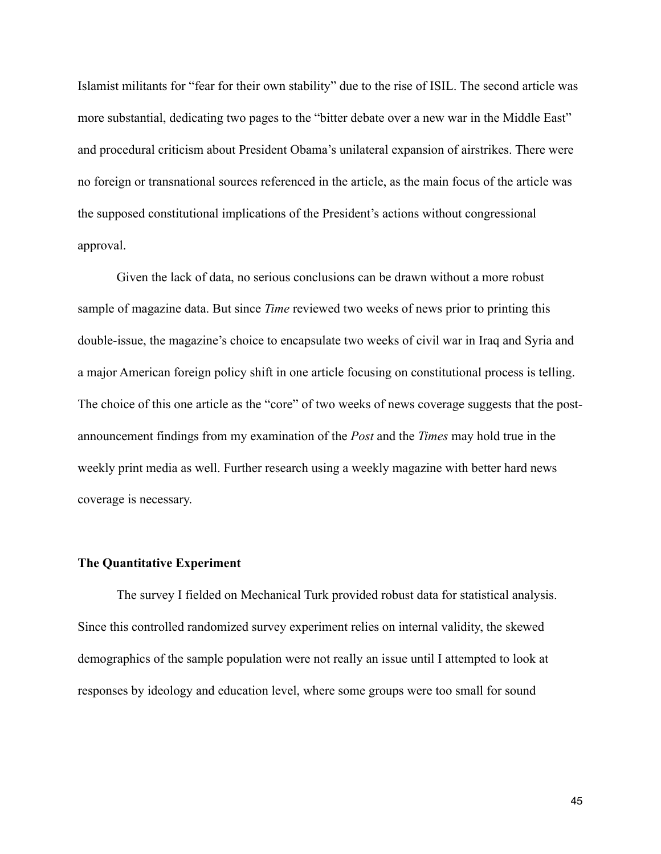Islamist militants for "fear for their own stability" due to the rise of ISIL. The second article was more substantial, dedicating two pages to the "bitter debate over a new war in the Middle East" and procedural criticism about President Obama's unilateral expansion of airstrikes. There were no foreign or transnational sources referenced in the article, as the main focus of the article was the supposed constitutional implications of the President's actions without congressional approval.

 Given the lack of data, no serious conclusions can be drawn without a more robust sample of magazine data. But since *Time* reviewed two weeks of news prior to printing this double-issue, the magazine's choice to encapsulate two weeks of civil war in Iraq and Syria and a major American foreign policy shift in one article focusing on constitutional process is telling. The choice of this one article as the "core" of two weeks of news coverage suggests that the postannouncement findings from my examination of the *Post* and the *Times* may hold true in the weekly print media as well. Further research using a weekly magazine with better hard news coverage is necessary.

### **The Quantitative Experiment**

The survey I fielded on Mechanical Turk provided robust data for statistical analysis. Since this controlled randomized survey experiment relies on internal validity, the skewed demographics of the sample population were not really an issue until I attempted to look at responses by ideology and education level, where some groups were too small for sound

45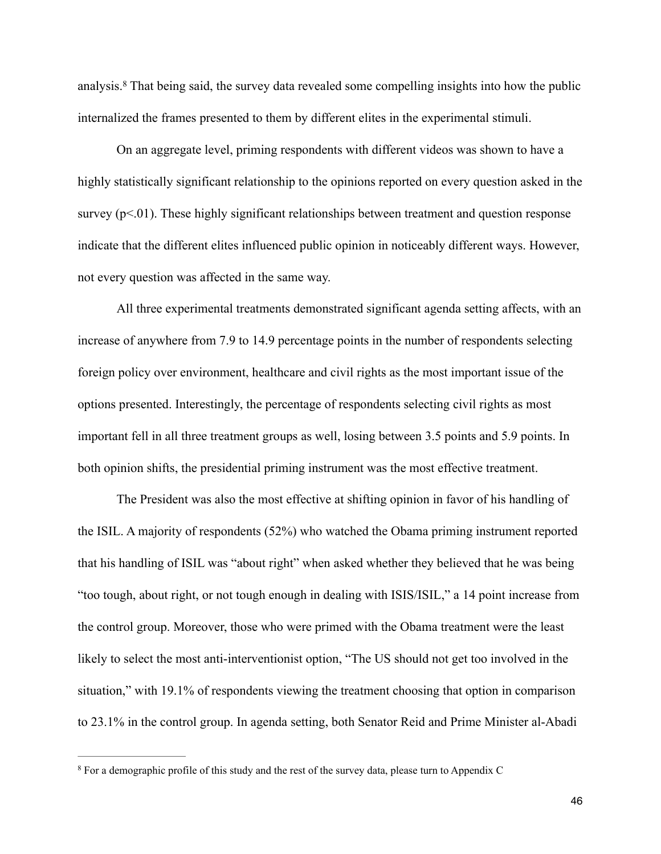analysis.<sup>8</sup> That being said, the survey data revealed some compelling insights into how the public internalized the frames presented to them by different elites in the experimental stimuli.

 On an aggregate level, priming respondents with different videos was shown to have a highly statistically significant relationship to the opinions reported on every question asked in the survey (p<.01). These highly significant relationships between treatment and question response indicate that the different elites influenced public opinion in noticeably different ways. However, not every question was affected in the same way.

 All three experimental treatments demonstrated significant agenda setting affects, with an increase of anywhere from 7.9 to 14.9 percentage points in the number of respondents selecting foreign policy over environment, healthcare and civil rights as the most important issue of the options presented. Interestingly, the percentage of respondents selecting civil rights as most important fell in all three treatment groups as well, losing between 3.5 points and 5.9 points. In both opinion shifts, the presidential priming instrument was the most effective treatment.

 The President was also the most effective at shifting opinion in favor of his handling of the ISIL. A majority of respondents (52%) who watched the Obama priming instrument reported that his handling of ISIL was "about right" when asked whether they believed that he was being "too tough, about right, or not tough enough in dealing with ISIS/ISIL," a 14 point increase from the control group. Moreover, those who were primed with the Obama treatment were the least likely to select the most anti-interventionist option, "The US should not get too involved in the situation," with 19.1% of respondents viewing the treatment choosing that option in comparison to 23.1% in the control group. In agenda setting, both Senator Reid and Prime Minister al-Abadi

<sup>8</sup> For a demographic profile of this study and the rest of the survey data, please turn to Appendix C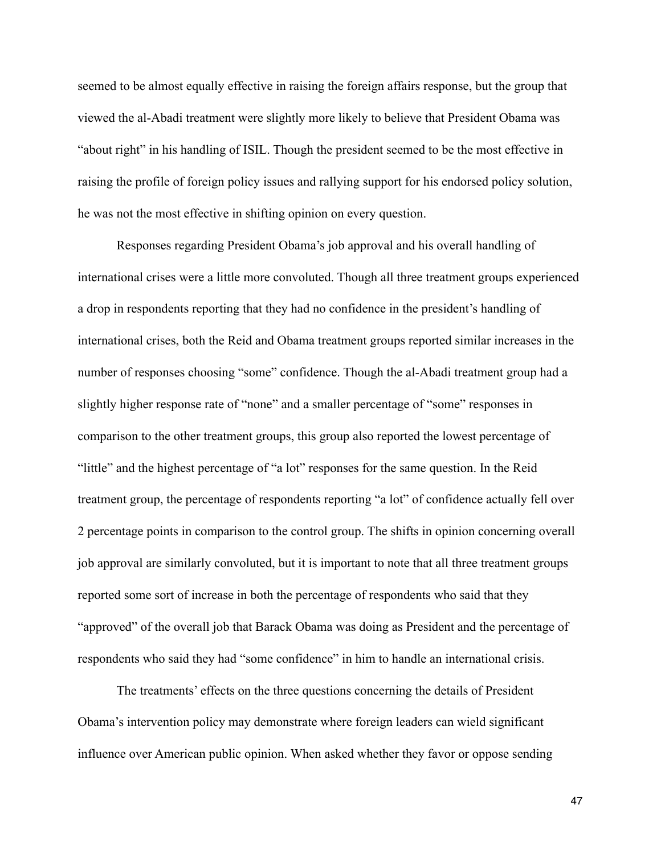seemed to be almost equally effective in raising the foreign affairs response, but the group that viewed the al-Abadi treatment were slightly more likely to believe that President Obama was "about right" in his handling of ISIL. Though the president seemed to be the most effective in raising the profile of foreign policy issues and rallying support for his endorsed policy solution, he was not the most effective in shifting opinion on every question.

 Responses regarding President Obama's job approval and his overall handling of international crises were a little more convoluted. Though all three treatment groups experienced a drop in respondents reporting that they had no confidence in the president's handling of international crises, both the Reid and Obama treatment groups reported similar increases in the number of responses choosing "some" confidence. Though the al-Abadi treatment group had a slightly higher response rate of "none" and a smaller percentage of "some" responses in comparison to the other treatment groups, this group also reported the lowest percentage of "little" and the highest percentage of "a lot" responses for the same question. In the Reid treatment group, the percentage of respondents reporting "a lot" of confidence actually fell over 2 percentage points in comparison to the control group. The shifts in opinion concerning overall job approval are similarly convoluted, but it is important to note that all three treatment groups reported some sort of increase in both the percentage of respondents who said that they "approved" of the overall job that Barack Obama was doing as President and the percentage of respondents who said they had "some confidence" in him to handle an international crisis.

 The treatments' effects on the three questions concerning the details of President Obama's intervention policy may demonstrate where foreign leaders can wield significant influence over American public opinion. When asked whether they favor or oppose sending

47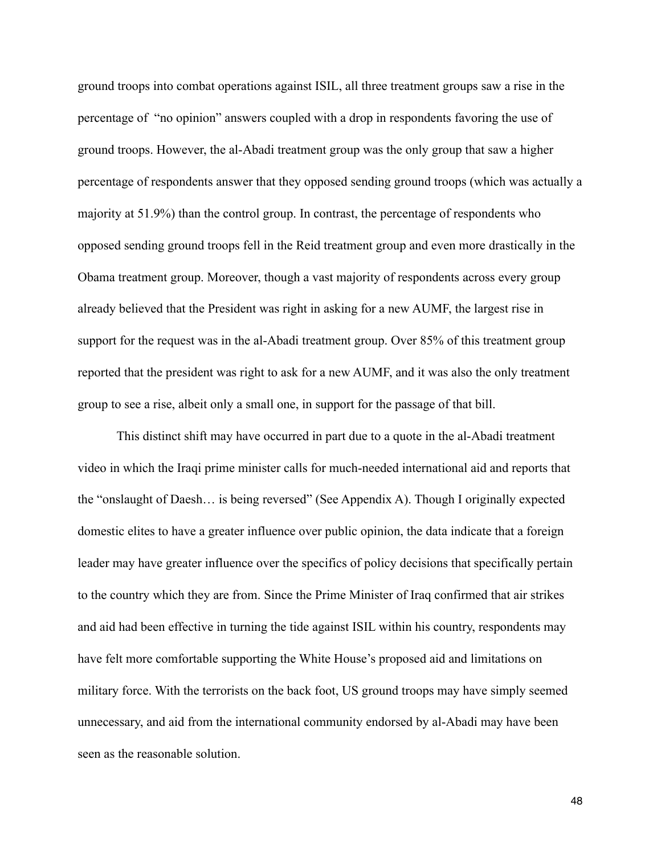ground troops into combat operations against ISIL, all three treatment groups saw a rise in the percentage of "no opinion" answers coupled with a drop in respondents favoring the use of ground troops. However, the al-Abadi treatment group was the only group that saw a higher percentage of respondents answer that they opposed sending ground troops (which was actually a majority at 51.9%) than the control group. In contrast, the percentage of respondents who opposed sending ground troops fell in the Reid treatment group and even more drastically in the Obama treatment group. Moreover, though a vast majority of respondents across every group already believed that the President was right in asking for a new AUMF, the largest rise in support for the request was in the al-Abadi treatment group. Over 85% of this treatment group reported that the president was right to ask for a new AUMF, and it was also the only treatment group to see a rise, albeit only a small one, in support for the passage of that bill.

 This distinct shift may have occurred in part due to a quote in the al-Abadi treatment video in which the Iraqi prime minister calls for much-needed international aid and reports that the "onslaught of Daesh… is being reversed" (See Appendix A). Though I originally expected domestic elites to have a greater influence over public opinion, the data indicate that a foreign leader may have greater influence over the specifics of policy decisions that specifically pertain to the country which they are from. Since the Prime Minister of Iraq confirmed that air strikes and aid had been effective in turning the tide against ISIL within his country, respondents may have felt more comfortable supporting the White House's proposed aid and limitations on military force. With the terrorists on the back foot, US ground troops may have simply seemed unnecessary, and aid from the international community endorsed by al-Abadi may have been seen as the reasonable solution.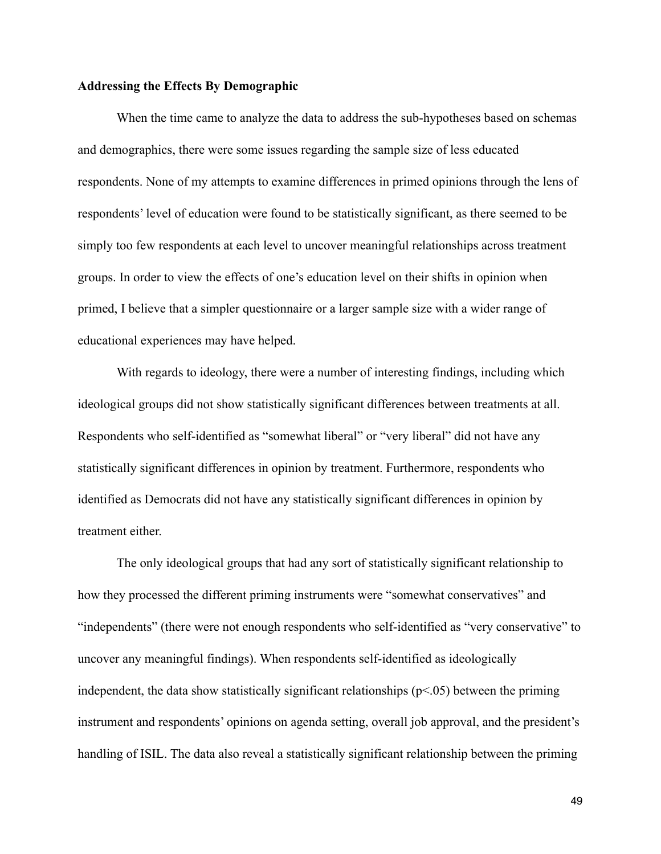### **Addressing the Effects By Demographic**

When the time came to analyze the data to address the sub-hypotheses based on schemas and demographics, there were some issues regarding the sample size of less educated respondents. None of my attempts to examine differences in primed opinions through the lens of respondents' level of education were found to be statistically significant, as there seemed to be simply too few respondents at each level to uncover meaningful relationships across treatment groups. In order to view the effects of one's education level on their shifts in opinion when primed, I believe that a simpler questionnaire or a larger sample size with a wider range of educational experiences may have helped.

 With regards to ideology, there were a number of interesting findings, including which ideological groups did not show statistically significant differences between treatments at all. Respondents who self-identified as "somewhat liberal" or "very liberal" did not have any statistically significant differences in opinion by treatment. Furthermore, respondents who identified as Democrats did not have any statistically significant differences in opinion by treatment either.

 The only ideological groups that had any sort of statistically significant relationship to how they processed the different priming instruments were "somewhat conservatives" and "independents" (there were not enough respondents who self-identified as "very conservative" to uncover any meaningful findings). When respondents self-identified as ideologically independent, the data show statistically significant relationships  $(p<0.05)$  between the priming instrument and respondents' opinions on agenda setting, overall job approval, and the president's handling of ISIL. The data also reveal a statistically significant relationship between the priming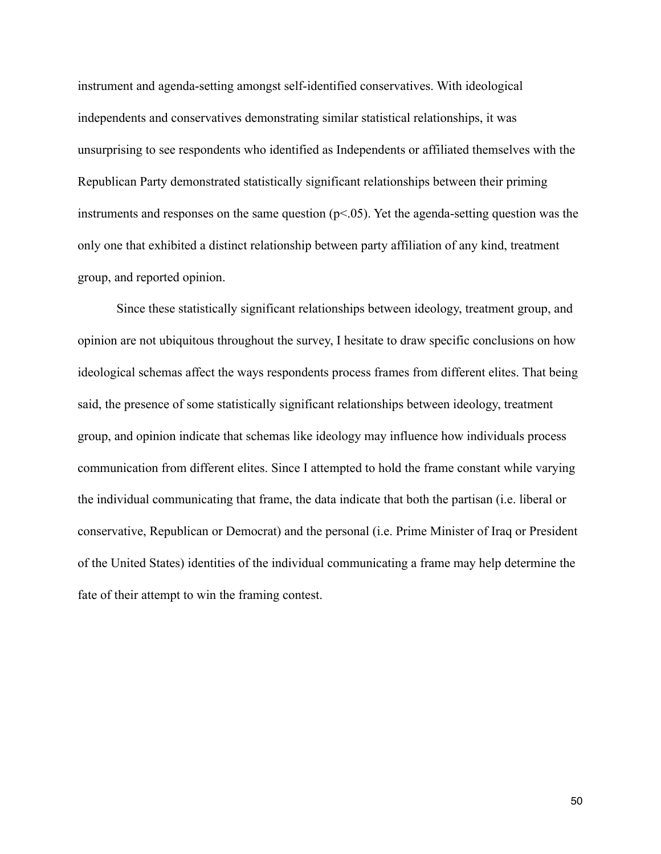instrument and agenda-setting amongst self-identified conservatives. With ideological independents and conservatives demonstrating similar statistical relationships, it was unsurprising to see respondents who identified as Independents or affiliated themselves with the Republican Party demonstrated statistically significant relationships between their priming instruments and responses on the same question  $(p<.05)$ . Yet the agenda-setting question was the only one that exhibited a distinct relationship between party affiliation of any kind, treatment group, and reported opinion.

 Since these statistically significant relationships between ideology, treatment group, and opinion are not ubiquitous throughout the survey, I hesitate to draw specific conclusions on how ideological schemas affect the ways respondents process frames from different elites. That being said, the presence of some statistically significant relationships between ideology, treatment group, and opinion indicate that schemas like ideology may influence how individuals process communication from different elites. Since I attempted to hold the frame constant while varying the individual communicating that frame, the data indicate that both the partisan (i.e. liberal or conservative, Republican or Democrat) and the personal (i.e. Prime Minister of Iraq or President of the United States) identities of the individual communicating a frame may help determine the fate of their attempt to win the framing contest.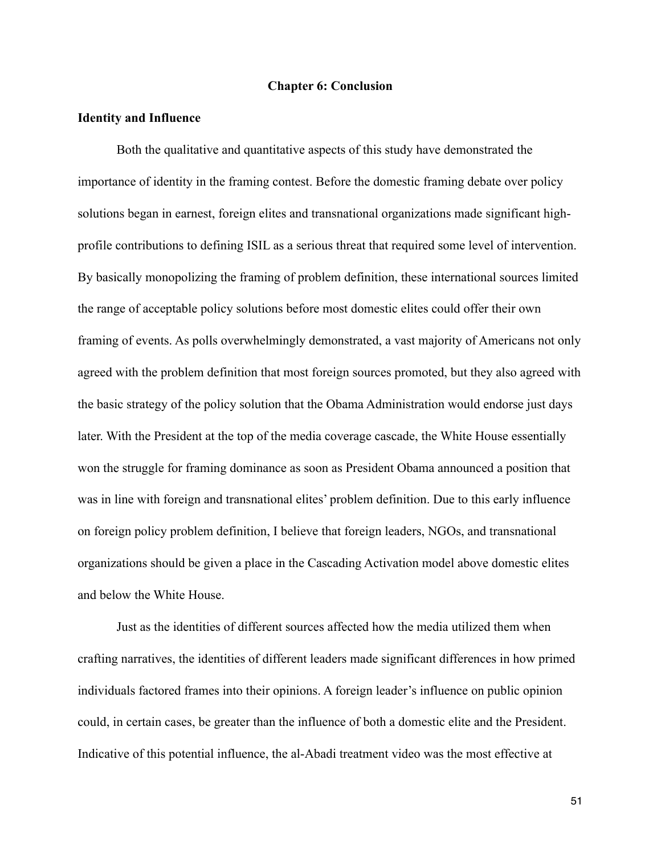#### **Chapter 6: Conclusion**

### **Identity and Influence**

 Both the qualitative and quantitative aspects of this study have demonstrated the importance of identity in the framing contest. Before the domestic framing debate over policy solutions began in earnest, foreign elites and transnational organizations made significant highprofile contributions to defining ISIL as a serious threat that required some level of intervention. By basically monopolizing the framing of problem definition, these international sources limited the range of acceptable policy solutions before most domestic elites could offer their own framing of events. As polls overwhelmingly demonstrated, a vast majority of Americans not only agreed with the problem definition that most foreign sources promoted, but they also agreed with the basic strategy of the policy solution that the Obama Administration would endorse just days later. With the President at the top of the media coverage cascade, the White House essentially won the struggle for framing dominance as soon as President Obama announced a position that was in line with foreign and transnational elites' problem definition. Due to this early influence on foreign policy problem definition, I believe that foreign leaders, NGOs, and transnational organizations should be given a place in the Cascading Activation model above domestic elites and below the White House.

 Just as the identities of different sources affected how the media utilized them when crafting narratives, the identities of different leaders made significant differences in how primed individuals factored frames into their opinions. A foreign leader's influence on public opinion could, in certain cases, be greater than the influence of both a domestic elite and the President. Indicative of this potential influence, the al-Abadi treatment video was the most effective at

51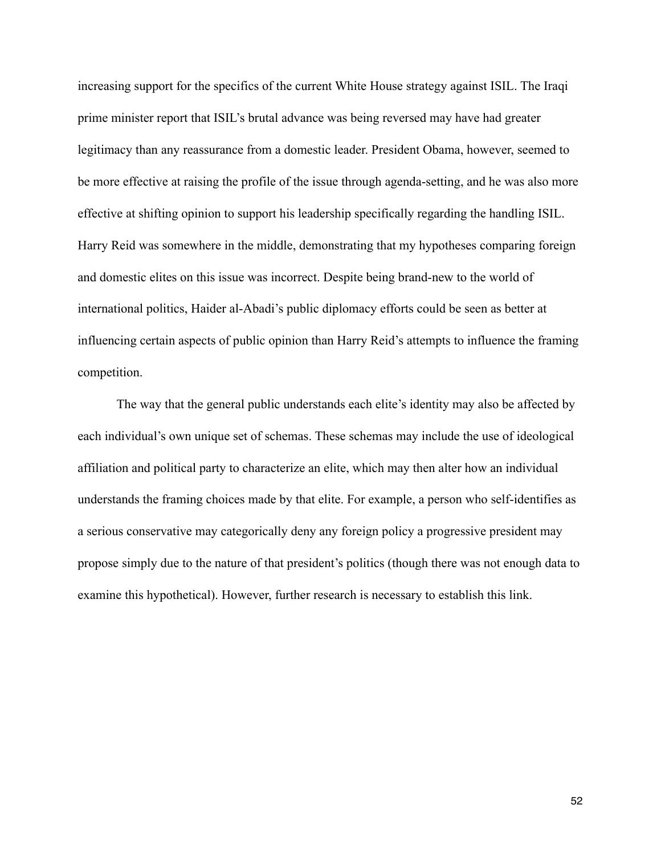increasing support for the specifics of the current White House strategy against ISIL. The Iraqi prime minister report that ISIL's brutal advance was being reversed may have had greater legitimacy than any reassurance from a domestic leader. President Obama, however, seemed to be more effective at raising the profile of the issue through agenda-setting, and he was also more effective at shifting opinion to support his leadership specifically regarding the handling ISIL. Harry Reid was somewhere in the middle, demonstrating that my hypotheses comparing foreign and domestic elites on this issue was incorrect. Despite being brand-new to the world of international politics, Haider al-Abadi's public diplomacy efforts could be seen as better at influencing certain aspects of public opinion than Harry Reid's attempts to influence the framing competition.

 The way that the general public understands each elite's identity may also be affected by each individual's own unique set of schemas. These schemas may include the use of ideological affiliation and political party to characterize an elite, which may then alter how an individual understands the framing choices made by that elite. For example, a person who self-identifies as a serious conservative may categorically deny any foreign policy a progressive president may propose simply due to the nature of that president's politics (though there was not enough data to examine this hypothetical). However, further research is necessary to establish this link.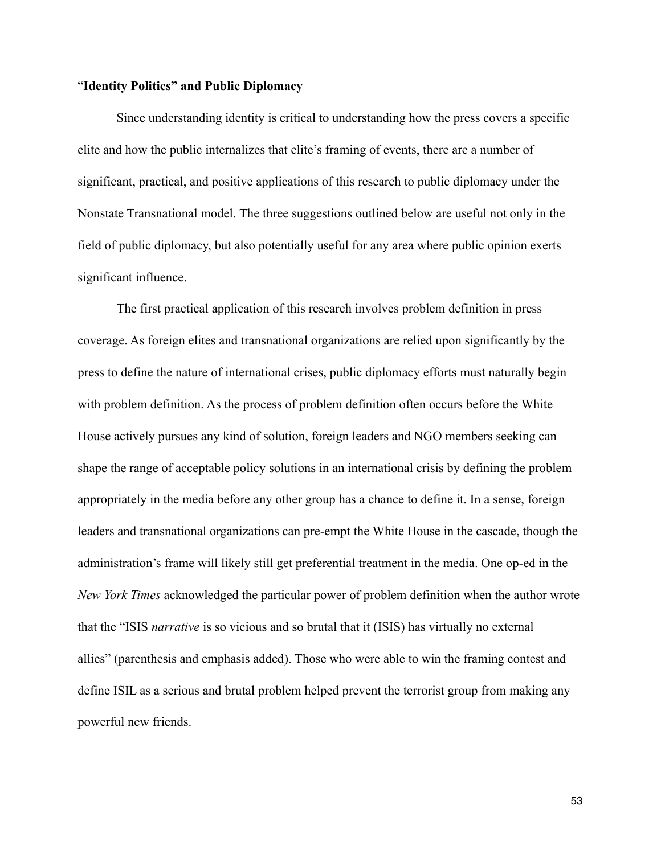#### "**Identity Politics" and Public Diplomacy**

 Since understanding identity is critical to understanding how the press covers a specific elite and how the public internalizes that elite's framing of events, there are a number of significant, practical, and positive applications of this research to public diplomacy under the Nonstate Transnational model. The three suggestions outlined below are useful not only in the field of public diplomacy, but also potentially useful for any area where public opinion exerts significant influence.

 The first practical application of this research involves problem definition in press coverage. As foreign elites and transnational organizations are relied upon significantly by the press to define the nature of international crises, public diplomacy efforts must naturally begin with problem definition. As the process of problem definition often occurs before the White House actively pursues any kind of solution, foreign leaders and NGO members seeking can shape the range of acceptable policy solutions in an international crisis by defining the problem appropriately in the media before any other group has a chance to define it. In a sense, foreign leaders and transnational organizations can pre-empt the White House in the cascade, though the administration's frame will likely still get preferential treatment in the media. One op-ed in the *New York Times* acknowledged the particular power of problem definition when the author wrote that the "ISIS *narrative* is so vicious and so brutal that it (ISIS) has virtually no external allies" (parenthesis and emphasis added). Those who were able to win the framing contest and define ISIL as a serious and brutal problem helped prevent the terrorist group from making any powerful new friends.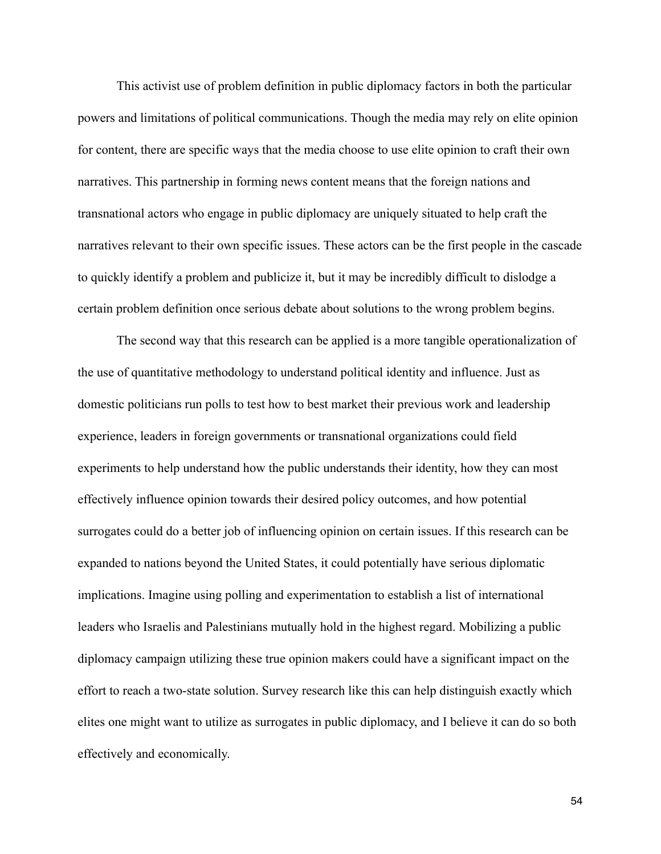This activist use of problem definition in public diplomacy factors in both the particular powers and limitations of political communications. Though the media may rely on elite opinion for content, there are specific ways that the media choose to use elite opinion to craft their own narratives. This partnership in forming news content means that the foreign nations and transnational actors who engage in public diplomacy are uniquely situated to help craft the narratives relevant to their own specific issues. These actors can be the first people in the cascade to quickly identify a problem and publicize it, but it may be incredibly difficult to dislodge a certain problem definition once serious debate about solutions to the wrong problem begins.

 The second way that this research can be applied is a more tangible operationalization of the use of quantitative methodology to understand political identity and influence. Just as domestic politicians run polls to test how to best market their previous work and leadership experience, leaders in foreign governments or transnational organizations could field experiments to help understand how the public understands their identity, how they can most effectively influence opinion towards their desired policy outcomes, and how potential surrogates could do a better job of influencing opinion on certain issues. If this research can be expanded to nations beyond the United States, it could potentially have serious diplomatic implications. Imagine using polling and experimentation to establish a list of international leaders who Israelis and Palestinians mutually hold in the highest regard. Mobilizing a public diplomacy campaign utilizing these true opinion makers could have a significant impact on the effort to reach a two-state solution. Survey research like this can help distinguish exactly which elites one might want to utilize as surrogates in public diplomacy, and I believe it can do so both effectively and economically.

54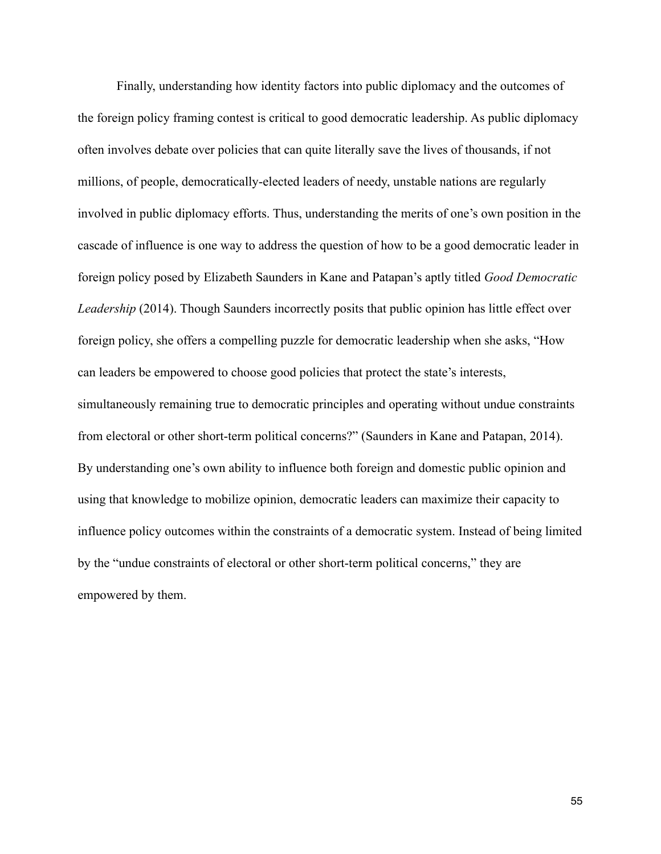Finally, understanding how identity factors into public diplomacy and the outcomes of the foreign policy framing contest is critical to good democratic leadership. As public diplomacy often involves debate over policies that can quite literally save the lives of thousands, if not millions, of people, democratically-elected leaders of needy, unstable nations are regularly involved in public diplomacy efforts. Thus, understanding the merits of one's own position in the cascade of influence is one way to address the question of how to be a good democratic leader in foreign policy posed by Elizabeth Saunders in Kane and Patapan's aptly titled *Good Democratic Leadership* (2014). Though Saunders incorrectly posits that public opinion has little effect over foreign policy, she offers a compelling puzzle for democratic leadership when she asks, "How can leaders be empowered to choose good policies that protect the state's interests, simultaneously remaining true to democratic principles and operating without undue constraints from electoral or other short-term political concerns?" (Saunders in Kane and Patapan, 2014). By understanding one's own ability to influence both foreign and domestic public opinion and using that knowledge to mobilize opinion, democratic leaders can maximize their capacity to influence policy outcomes within the constraints of a democratic system. Instead of being limited by the "undue constraints of electoral or other short-term political concerns," they are empowered by them.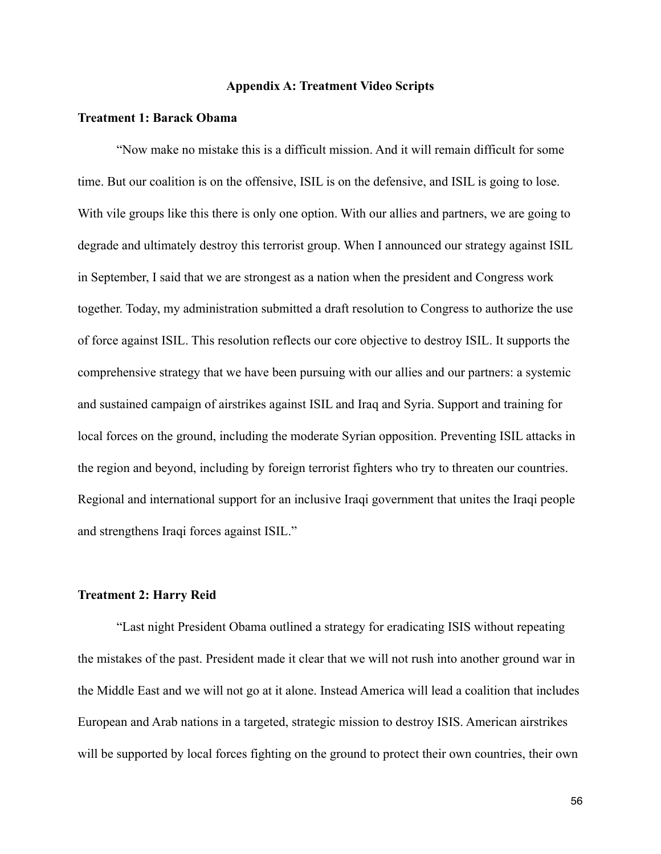### **Appendix A: Treatment Video Scripts**

#### **Treatment 1: Barack Obama**

 "Now make no mistake this is a difficult mission. And it will remain difficult for some time. But our coalition is on the offensive, ISIL is on the defensive, and ISIL is going to lose. With vile groups like this there is only one option. With our allies and partners, we are going to degrade and ultimately destroy this terrorist group. When I announced our strategy against ISIL in September, I said that we are strongest as a nation when the president and Congress work together. Today, my administration submitted a draft resolution to Congress to authorize the use of force against ISIL. This resolution reflects our core objective to destroy ISIL. It supports the comprehensive strategy that we have been pursuing with our allies and our partners: a systemic and sustained campaign of airstrikes against ISIL and Iraq and Syria. Support and training for local forces on the ground, including the moderate Syrian opposition. Preventing ISIL attacks in the region and beyond, including by foreign terrorist fighters who try to threaten our countries. Regional and international support for an inclusive Iraqi government that unites the Iraqi people and strengthens Iraqi forces against ISIL."

### **Treatment 2: Harry Reid**

 "Last night President Obama outlined a strategy for eradicating ISIS without repeating the mistakes of the past. President made it clear that we will not rush into another ground war in the Middle East and we will not go at it alone. Instead America will lead a coalition that includes European and Arab nations in a targeted, strategic mission to destroy ISIS. American airstrikes will be supported by local forces fighting on the ground to protect their own countries, their own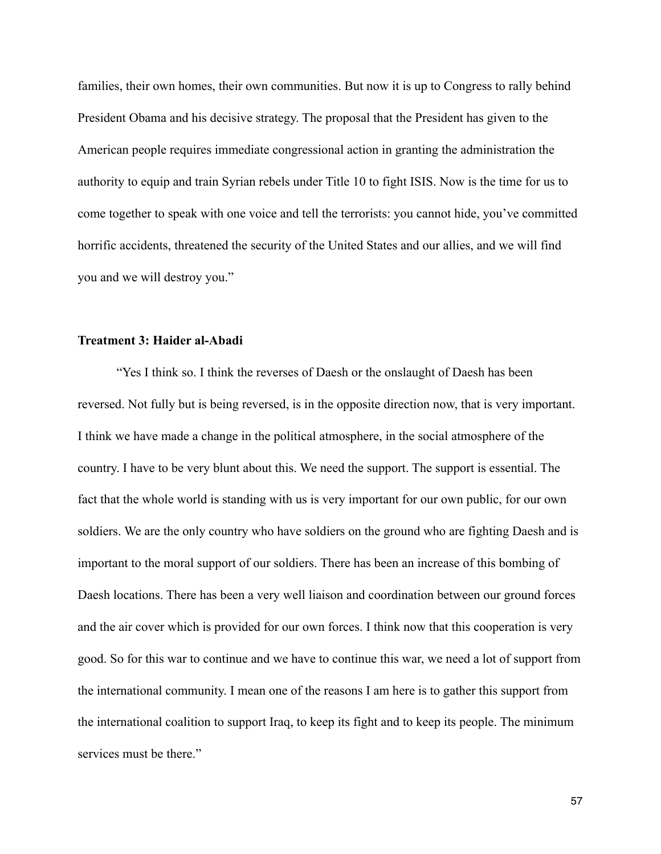families, their own homes, their own communities. But now it is up to Congress to rally behind President Obama and his decisive strategy. The proposal that the President has given to the American people requires immediate congressional action in granting the administration the authority to equip and train Syrian rebels under Title 10 to fight ISIS. Now is the time for us to come together to speak with one voice and tell the terrorists: you cannot hide, you've committed horrific accidents, threatened the security of the United States and our allies, and we will find you and we will destroy you."

### **Treatment 3: Haider al-Abadi**

 "Yes I think so. I think the reverses of Daesh or the onslaught of Daesh has been reversed. Not fully but is being reversed, is in the opposite direction now, that is very important. I think we have made a change in the political atmosphere, in the social atmosphere of the country. I have to be very blunt about this. We need the support. The support is essential. The fact that the whole world is standing with us is very important for our own public, for our own soldiers. We are the only country who have soldiers on the ground who are fighting Daesh and is important to the moral support of our soldiers. There has been an increase of this bombing of Daesh locations. There has been a very well liaison and coordination between our ground forces and the air cover which is provided for our own forces. I think now that this cooperation is very good. So for this war to continue and we have to continue this war, we need a lot of support from the international community. I mean one of the reasons I am here is to gather this support from the international coalition to support Iraq, to keep its fight and to keep its people. The minimum services must be there."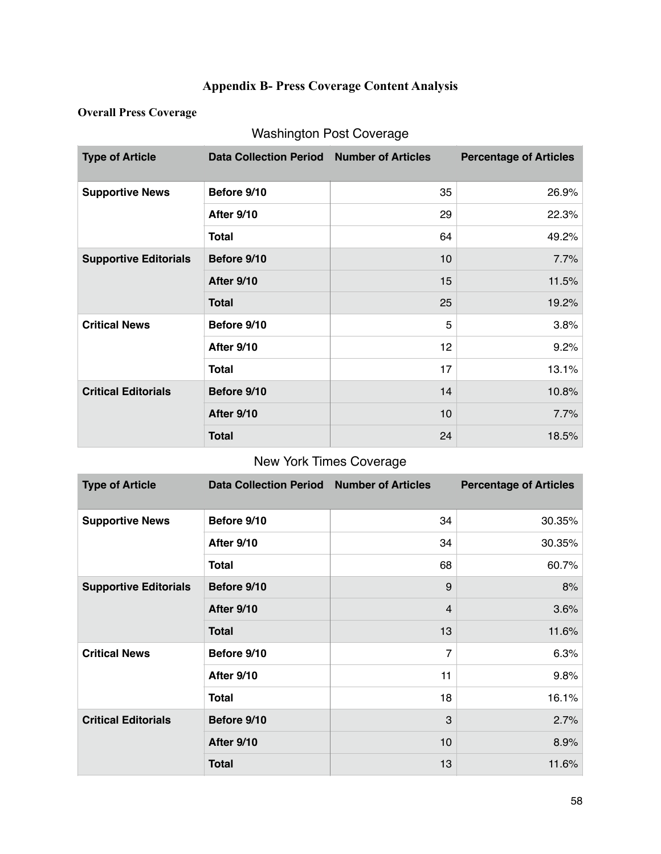# **Appendix B- Press Coverage Content Analysis**

### **Overall Press Coverage**

# Washington Post Coverage

| <b>Type of Article</b>       | Data Collection Period Number of Articles |    | <b>Percentage of Articles</b> |
|------------------------------|-------------------------------------------|----|-------------------------------|
| <b>Supportive News</b>       | Before 9/10                               | 35 | 26.9%                         |
|                              | After 9/10                                | 29 | 22.3%                         |
|                              | Total                                     | 64 | 49.2%                         |
| <b>Supportive Editorials</b> | Before 9/10                               | 10 | 7.7%                          |
|                              | After 9/10                                | 15 | 11.5%                         |
|                              | <b>Total</b>                              | 25 | 19.2%                         |
| <b>Critical News</b>         | Before 9/10                               | 5  | 3.8%                          |
|                              | After 9/10                                | 12 | 9.2%                          |
|                              | <b>Total</b>                              | 17 | 13.1%                         |
| <b>Critical Editorials</b>   | Before 9/10                               | 14 | 10.8%                         |
|                              | After 9/10                                | 10 | 7.7%                          |
|                              | <b>Total</b>                              | 24 | 18.5%                         |

## New York Times Coverage

| <b>Type of Article</b>       | Data Collection Period Number of Articles |                | <b>Percentage of Articles</b> |
|------------------------------|-------------------------------------------|----------------|-------------------------------|
| <b>Supportive News</b>       | Before 9/10                               | 34             | 30.35%                        |
|                              | After 9/10                                | 34             | 30.35%                        |
|                              | Total                                     | 68             | 60.7%                         |
| <b>Supportive Editorials</b> | Before 9/10                               | 9              | 8%                            |
|                              | After 9/10                                | $\overline{4}$ | 3.6%                          |
|                              | <b>Total</b>                              | 13             | 11.6%                         |
| <b>Critical News</b>         | Before 9/10                               | 7              | 6.3%                          |
|                              | <b>After 9/10</b>                         | 11             | 9.8%                          |
|                              | <b>Total</b>                              | 18             | 16.1%                         |
| <b>Critical Editorials</b>   | Before 9/10                               | 3              | 2.7%                          |
|                              | After 9/10                                | 10             | 8.9%                          |
|                              | <b>Total</b>                              | 13             | 11.6%                         |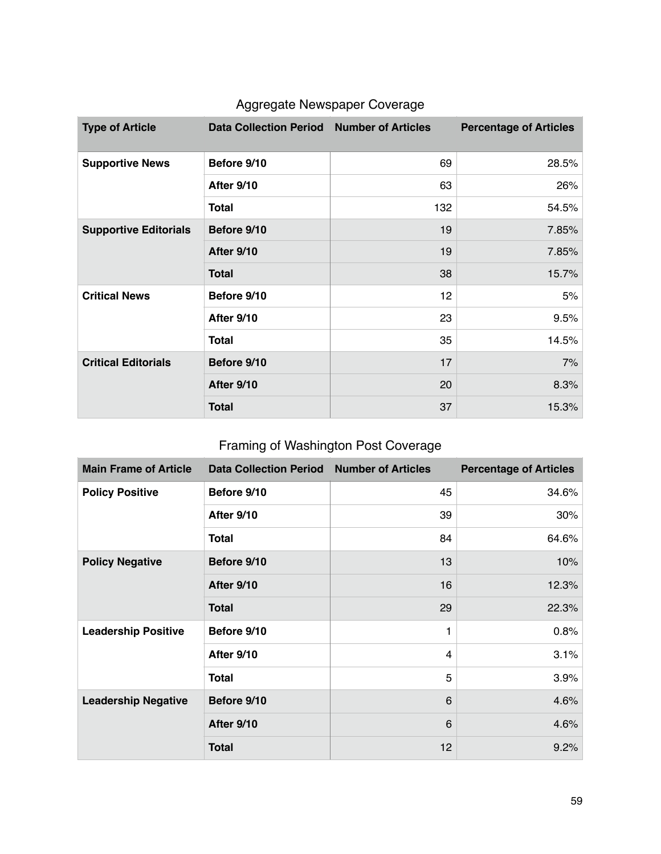| <b>Type of Article</b>       | Data Collection Period Number of Articles |     | <b>Percentage of Articles</b> |
|------------------------------|-------------------------------------------|-----|-------------------------------|
| <b>Supportive News</b>       | Before 9/10                               | 69  | 28.5%                         |
|                              | <b>After 9/10</b>                         | 63  | 26%                           |
|                              | <b>Total</b>                              | 132 | 54.5%                         |
| <b>Supportive Editorials</b> | Before 9/10                               | 19  | 7.85%                         |
|                              | <b>After 9/10</b>                         | 19  | 7.85%                         |
|                              | <b>Total</b>                              | 38  | 15.7%                         |
| <b>Critical News</b>         | Before 9/10                               | 12  | 5%                            |
|                              | After 9/10                                | 23  | 9.5%                          |
|                              | <b>Total</b>                              | 35  | 14.5%                         |
| <b>Critical Editorials</b>   | Before 9/10                               | 17  | 7%                            |
|                              | After 9/10                                | 20  | 8.3%                          |
|                              | <b>Total</b>                              | 37  | 15.3%                         |

# Aggregate Newspaper Coverage

# Framing of Washington Post Coverage

| <b>Main Frame of Article</b> | Data Collection Period Number of Articles |    | <b>Percentage of Articles</b> |
|------------------------------|-------------------------------------------|----|-------------------------------|
| <b>Policy Positive</b>       | Before 9/10                               | 45 | 34.6%                         |
|                              | After 9/10                                | 39 | 30%                           |
|                              | <b>Total</b>                              | 84 | 64.6%                         |
| <b>Policy Negative</b>       | Before 9/10                               | 13 | 10%                           |
|                              | After 9/10                                | 16 | 12.3%                         |
|                              | <b>Total</b>                              | 29 | 22.3%                         |
| <b>Leadership Positive</b>   | Before 9/10                               | 1  | 0.8%                          |
|                              | After 9/10                                | 4  | 3.1%                          |
|                              | <b>Total</b>                              | 5  | 3.9%                          |
| <b>Leadership Negative</b>   | Before 9/10                               | 6  | 4.6%                          |
|                              | After 9/10                                | 6  | 4.6%                          |
|                              | <b>Total</b>                              | 12 | 9.2%                          |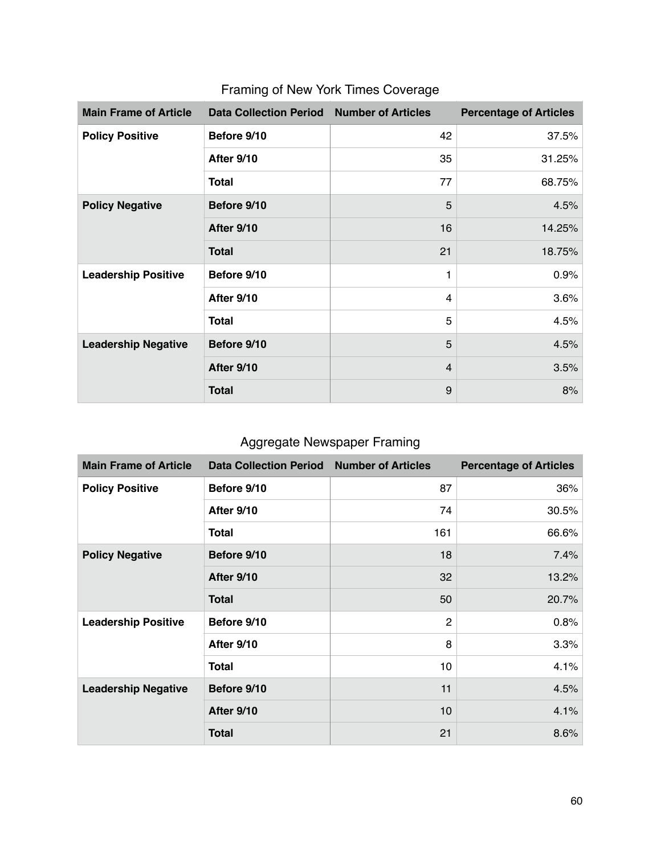| <b>Main Frame of Article</b> | <b>Data Collection Period</b> | <b>Number of Articles</b> | <b>Percentage of Articles</b> |
|------------------------------|-------------------------------|---------------------------|-------------------------------|
| <b>Policy Positive</b>       | Before 9/10                   | 42                        | 37.5%                         |
|                              | After 9/10                    | 35                        | 31.25%                        |
|                              | Total                         | 77                        | 68.75%                        |
| <b>Policy Negative</b>       | Before 9/10                   | 5                         | 4.5%                          |
|                              | After 9/10                    | 16                        | 14.25%                        |
|                              | <b>Total</b>                  | 21                        | 18.75%                        |
| <b>Leadership Positive</b>   | Before 9/10                   | 1                         | 0.9%                          |
|                              | After 9/10                    | 4                         | 3.6%                          |
|                              | <b>Total</b>                  | 5                         | 4.5%                          |
| <b>Leadership Negative</b>   | Before 9/10                   | 5                         | 4.5%                          |
|                              | After 9/10                    | $\overline{4}$            | 3.5%                          |
|                              | <b>Total</b>                  | 9                         | 8%                            |

# Framing of New York Times Coverage

# Aggregate Newspaper Framing

| <b>Main Frame of Article</b> | <b>Data Collection Period</b> | <b>Number of Articles</b> | <b>Percentage of Articles</b> |
|------------------------------|-------------------------------|---------------------------|-------------------------------|
| <b>Policy Positive</b>       | Before 9/10                   | 87                        | 36%                           |
|                              | After 9/10                    | 74                        | 30.5%                         |
|                              | <b>Total</b>                  | 161                       | 66.6%                         |
| <b>Policy Negative</b>       | Before 9/10                   | 18                        | 7.4%                          |
|                              | After 9/10                    | 32                        | 13.2%                         |
|                              | <b>Total</b>                  | 50                        | 20.7%                         |
| <b>Leadership Positive</b>   | Before 9/10                   | $\overline{2}$            | 0.8%                          |
|                              | After 9/10                    | 8                         | 3.3%                          |
|                              | <b>Total</b>                  | 10                        | 4.1%                          |
| <b>Leadership Negative</b>   | Before 9/10                   | 11                        | 4.5%                          |
|                              | After 9/10                    | 10                        | 4.1%                          |
|                              | <b>Total</b>                  | 21                        | 8.6%                          |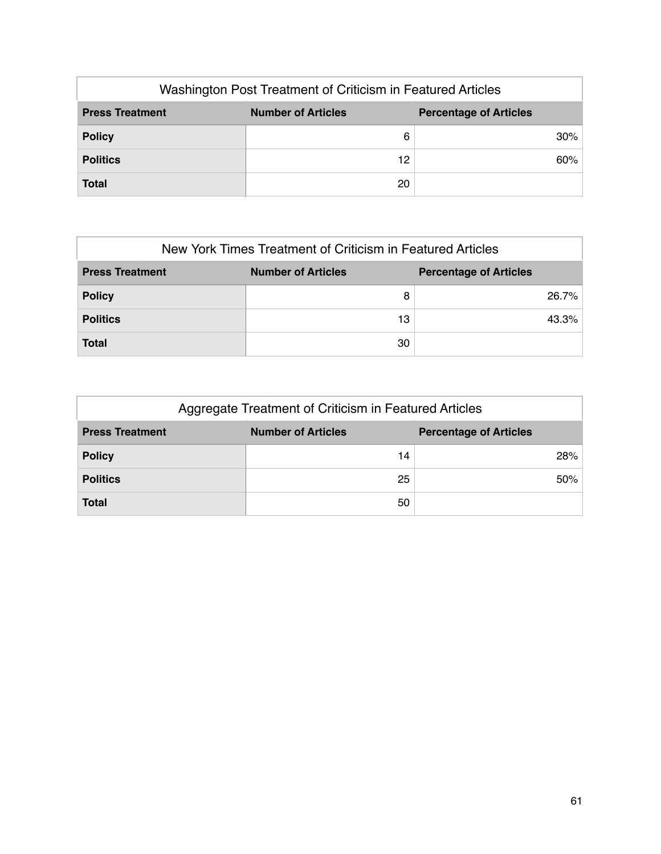| Washington Post Treatment of Criticism in Featured Articles                          |    |        |  |  |
|--------------------------------------------------------------------------------------|----|--------|--|--|
| <b>Number of Articles</b><br><b>Press Treatment</b><br><b>Percentage of Articles</b> |    |        |  |  |
| <b>Policy</b>                                                                        | 6  | $30\%$ |  |  |
| <b>Politics</b>                                                                      | 12 | 60%    |  |  |
| <b>Total</b>                                                                         | 20 |        |  |  |

| New York Times Treatment of Criticism in Featured Articles                           |    |       |  |  |
|--------------------------------------------------------------------------------------|----|-------|--|--|
| <b>Number of Articles</b><br><b>Press Treatment</b><br><b>Percentage of Articles</b> |    |       |  |  |
| <b>Policy</b>                                                                        | 8  | 26.7% |  |  |
| <b>Politics</b>                                                                      | 13 | 43.3% |  |  |
| <b>Total</b>                                                                         | 30 |       |  |  |

| Aggregate Treatment of Criticism in Featured Articles                                |    |     |  |  |
|--------------------------------------------------------------------------------------|----|-----|--|--|
| <b>Number of Articles</b><br><b>Press Treatment</b><br><b>Percentage of Articles</b> |    |     |  |  |
| <b>Policy</b>                                                                        | 14 | 28% |  |  |
| <b>Politics</b>                                                                      | 25 | 50% |  |  |
| <b>Total</b>                                                                         | 50 |     |  |  |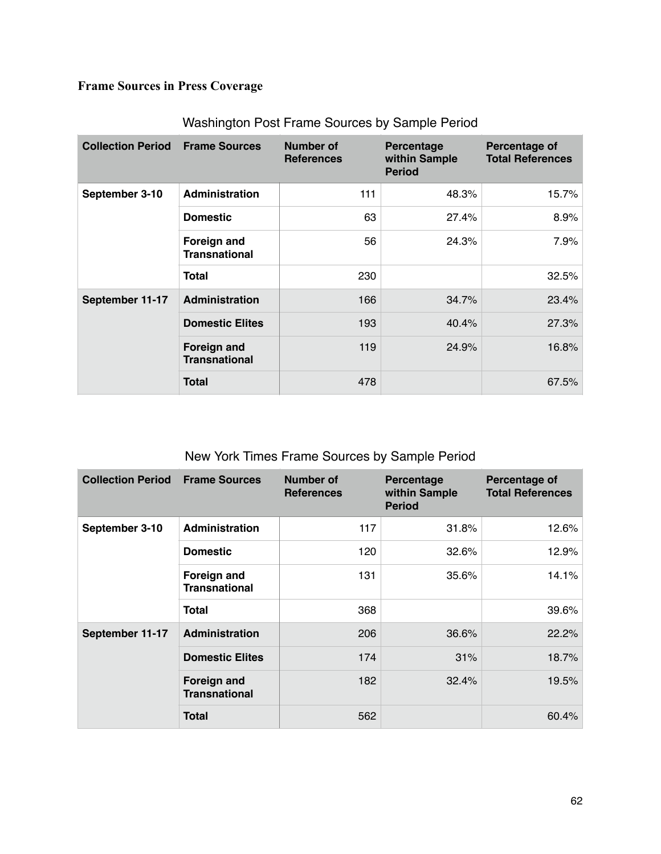# **Frame Sources in Press Coverage**

| <b>Collection Period</b> | <b>Frame Sources</b>                | Number of<br><b>References</b> | <b>Percentage</b><br>within Sample<br><b>Period</b> | Percentage of<br><b>Total References</b> |
|--------------------------|-------------------------------------|--------------------------------|-----------------------------------------------------|------------------------------------------|
| September 3-10           | <b>Administration</b>               | 111                            | 48.3%                                               | 15.7%                                    |
|                          | <b>Domestic</b>                     | 63                             | 27.4%                                               | 8.9%                                     |
|                          | Foreign and<br><b>Transnational</b> | 56                             | 24.3%                                               | 7.9%                                     |
|                          | <b>Total</b>                        | 230                            |                                                     | 32.5%                                    |
| September 11-17          | Administration                      | 166                            | 34.7%                                               | 23.4%                                    |
|                          | <b>Domestic Elites</b>              | 193                            | 40.4%                                               | 27.3%                                    |
|                          | Foreign and<br><b>Transnational</b> | 119                            | 24.9%                                               | 16.8%                                    |
|                          | <b>Total</b>                        | 478                            |                                                     | 67.5%                                    |

## Washington Post Frame Sources by Sample Period

## New York Times Frame Sources by Sample Period

| <b>Collection Period</b> | <b>Frame Sources</b>                       | <b>Number of</b><br><b>References</b> | Percentage<br>within Sample<br><b>Period</b> | Percentage of<br><b>Total References</b> |
|--------------------------|--------------------------------------------|---------------------------------------|----------------------------------------------|------------------------------------------|
| September 3-10           | Administration                             | 117                                   | 31.8%                                        | 12.6%                                    |
|                          | <b>Domestic</b>                            | 120                                   | 32.6%                                        | 12.9%                                    |
|                          | <b>Foreign and</b><br><b>Transnational</b> | 131                                   | 35.6%                                        | 14.1%                                    |
|                          | <b>Total</b>                               | 368                                   |                                              | 39.6%                                    |
| September 11-17          | Administration                             | 206                                   | 36.6%                                        | 22.2%                                    |
|                          | <b>Domestic Elites</b>                     | 174                                   | 31%                                          | 18.7%                                    |
|                          | <b>Foreign and</b><br><b>Transnational</b> | 182                                   | 32.4%                                        | 19.5%                                    |
|                          | <b>Total</b>                               | 562                                   |                                              | 60.4%                                    |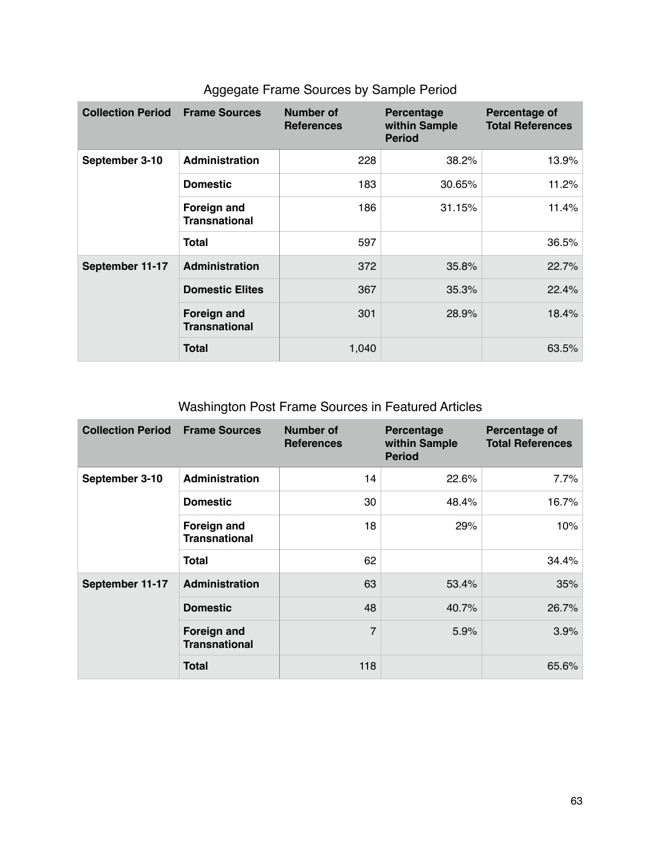| <b>Collection Period</b> | <b>Frame Sources</b>                       | Number of<br><b>References</b> | <b>Percentage</b><br>within Sample<br><b>Period</b> | Percentage of<br><b>Total References</b> |
|--------------------------|--------------------------------------------|--------------------------------|-----------------------------------------------------|------------------------------------------|
| September 3-10           | <b>Administration</b>                      | 228                            | 38.2%                                               | 13.9%                                    |
|                          | <b>Domestic</b>                            | 183                            | 30.65%                                              | 11.2%                                    |
|                          | Foreign and<br><b>Transnational</b>        | 186                            | 31.15%                                              | 11.4%                                    |
|                          | <b>Total</b>                               | 597                            |                                                     | 36.5%                                    |
| September 11-17          | Administration                             | 372                            | 35.8%                                               | 22.7%                                    |
|                          | <b>Domestic Elites</b>                     | 367                            | 35.3%                                               | 22.4%                                    |
|                          | <b>Foreign and</b><br><b>Transnational</b> | 301                            | 28.9%                                               | 18.4%                                    |
|                          | <b>Total</b>                               | 1,040                          |                                                     | 63.5%                                    |

## Aggegate Frame Sources by Sample Period

Washington Post Frame Sources in Featured Articles

| <b>Collection Period</b> | <b>Frame Sources</b>                       | <b>Number of</b><br><b>References</b> | Percentage<br>within Sample<br><b>Period</b> | Percentage of<br><b>Total References</b> |
|--------------------------|--------------------------------------------|---------------------------------------|----------------------------------------------|------------------------------------------|
| September 3-10           | <b>Administration</b>                      | 14                                    | 22.6%                                        | 7.7%                                     |
|                          | <b>Domestic</b>                            | 30                                    | 48.4%                                        | 16.7%                                    |
|                          | Foreign and<br><b>Transnational</b>        | 18                                    | 29%                                          | 10%                                      |
|                          | <b>Total</b>                               | 62                                    |                                              | 34.4%                                    |
| September 11-17          | <b>Administration</b>                      | 63                                    | 53.4%                                        | 35%                                      |
|                          | <b>Domestic</b>                            | 48                                    | 40.7%                                        | 26.7%                                    |
|                          | <b>Foreign and</b><br><b>Transnational</b> | $\overline{7}$                        | 5.9%                                         | 3.9%                                     |
|                          | <b>Total</b>                               | 118                                   |                                              | 65.6%                                    |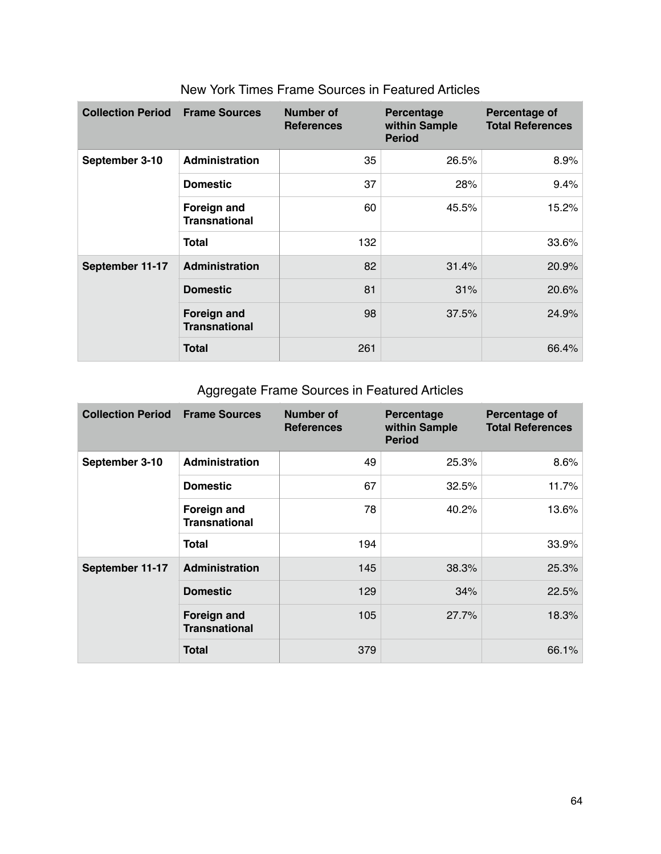| <b>Collection Period</b> | <b>Frame Sources</b>                | Number of<br><b>References</b> | Percentage<br>within Sample<br><b>Period</b> | Percentage of<br><b>Total References</b> |
|--------------------------|-------------------------------------|--------------------------------|----------------------------------------------|------------------------------------------|
| September 3-10           | <b>Administration</b>               | 35                             | 26.5%                                        | 8.9%                                     |
|                          | <b>Domestic</b>                     | 37                             | 28%                                          | 9.4%                                     |
|                          | Foreign and<br><b>Transnational</b> | 60                             | 45.5%                                        | 15.2%                                    |
|                          | <b>Total</b>                        | 132                            |                                              | 33.6%                                    |
| September 11-17          | <b>Administration</b>               | 82                             | 31.4%                                        | 20.9%                                    |
|                          | <b>Domestic</b>                     | 81                             | 31%                                          | 20.6%                                    |
|                          | Foreign and<br><b>Transnational</b> | 98                             | 37.5%                                        | 24.9%                                    |
|                          | <b>Total</b>                        | 261                            |                                              | 66.4%                                    |

### New York Times Frame Sources in Featured Articles

# Aggregate Frame Sources in Featured Articles

| <b>Collection Period</b> | <b>Frame Sources</b>                       | <b>Number of</b><br><b>References</b> | Percentage<br>within Sample<br><b>Period</b> | Percentage of<br><b>Total References</b> |
|--------------------------|--------------------------------------------|---------------------------------------|----------------------------------------------|------------------------------------------|
| September 3-10           | Administration                             | 49                                    | 25.3%                                        | 8.6%                                     |
|                          | <b>Domestic</b>                            | 67                                    | 32.5%                                        | 11.7%                                    |
|                          | Foreign and<br><b>Transnational</b>        | 78                                    | 40.2%                                        | 13.6%                                    |
|                          | <b>Total</b>                               | 194                                   |                                              | 33.9%                                    |
| September 11-17          | Administration                             | 145                                   | 38.3%                                        | 25.3%                                    |
|                          | <b>Domestic</b>                            | 129                                   | 34%                                          | 22.5%                                    |
|                          | <b>Foreign and</b><br><b>Transnational</b> | 105                                   | 27.7%                                        | 18.3%                                    |
|                          | <b>Total</b>                               | 379                                   |                                              | 66.1%                                    |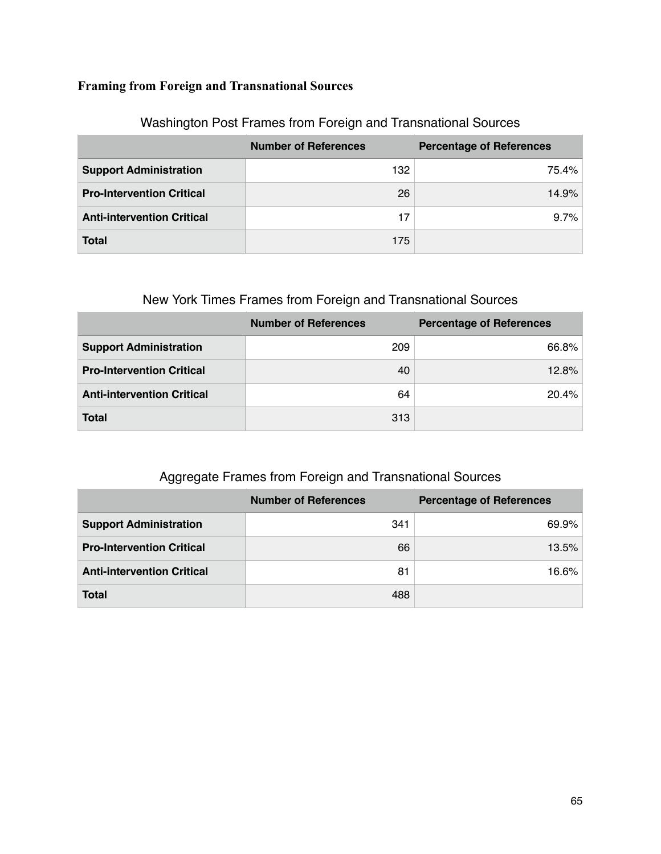## **Framing from Foreign and Transnational Sources**

|                                   | <b>Number of References</b> | <b>Percentage of References</b> |
|-----------------------------------|-----------------------------|---------------------------------|
| <b>Support Administration</b>     | 132                         | 75.4%                           |
| <b>Pro-Intervention Critical</b>  | 26                          | 14.9%                           |
| <b>Anti-intervention Critical</b> | 17                          | 9.7%                            |
| <b>Total</b>                      | 175                         |                                 |

## Washington Post Frames from Foreign and Transnational Sources

## New York Times Frames from Foreign and Transnational Sources

|                                   | <b>Number of References</b> | <b>Percentage of References</b> |
|-----------------------------------|-----------------------------|---------------------------------|
| <b>Support Administration</b>     | 209                         | 66.8%                           |
| <b>Pro-Intervention Critical</b>  | 40                          | 12.8%                           |
| <b>Anti-intervention Critical</b> | 64                          | 20.4%                           |
| <b>Total</b>                      | 313                         |                                 |

## Aggregate Frames from Foreign and Transnational Sources

|                                   | <b>Number of References</b> | <b>Percentage of References</b> |
|-----------------------------------|-----------------------------|---------------------------------|
| <b>Support Administration</b>     | 341                         | 69.9%                           |
| <b>Pro-Intervention Critical</b>  | 66                          | 13.5%                           |
| <b>Anti-intervention Critical</b> | 81                          | 16.6%                           |
| <b>Total</b>                      | 488                         |                                 |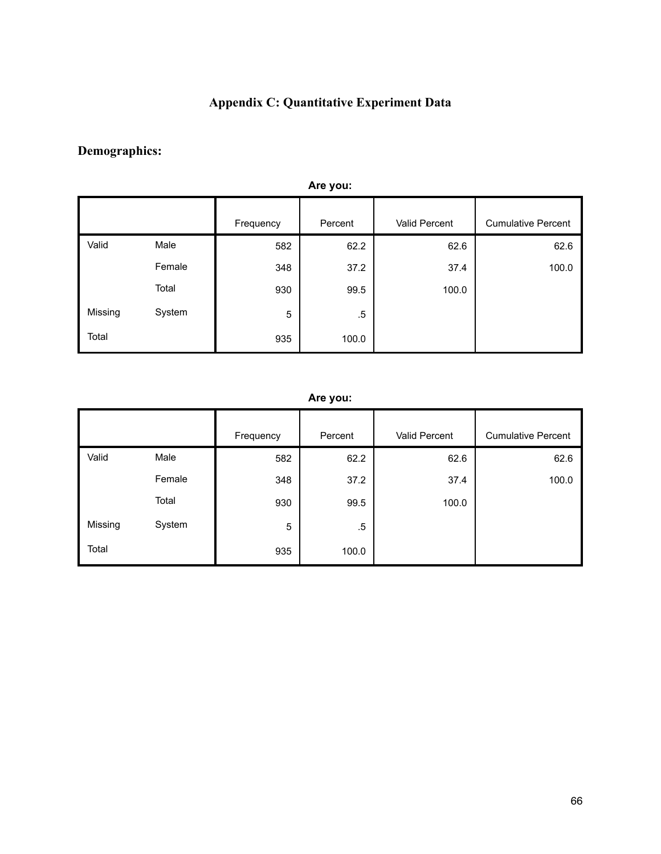## **Appendix C: Quantitative Experiment Data**

## **Demographics:**

| Arv you. |        |           |         |               |                           |  |
|----------|--------|-----------|---------|---------------|---------------------------|--|
|          |        | Frequency | Percent | Valid Percent | <b>Cumulative Percent</b> |  |
| Valid    | Male   | 582       | 62.2    | 62.6          | 62.6                      |  |
|          | Female | 348       | 37.2    | 37.4          | 100.0                     |  |
|          | Total  | 930       | 99.5    | 100.0         |                           |  |
| Missing  | System | 5         | .5      |               |                           |  |
| Total    |        | 935       | 100.0   |               |                           |  |

### **Are you:**

### **Are you:**

|         |        | Frequency | Percent | Valid Percent | <b>Cumulative Percent</b> |
|---------|--------|-----------|---------|---------------|---------------------------|
| Valid   | Male   | 582       | 62.2    | 62.6          | 62.6                      |
|         | Female | 348       | 37.2    | 37.4          | 100.0                     |
|         | Total  | 930       | 99.5    | 100.0         |                           |
| Missing | System | 5         | $.5\,$  |               |                           |
| Total   |        | 935       | 100.0   |               |                           |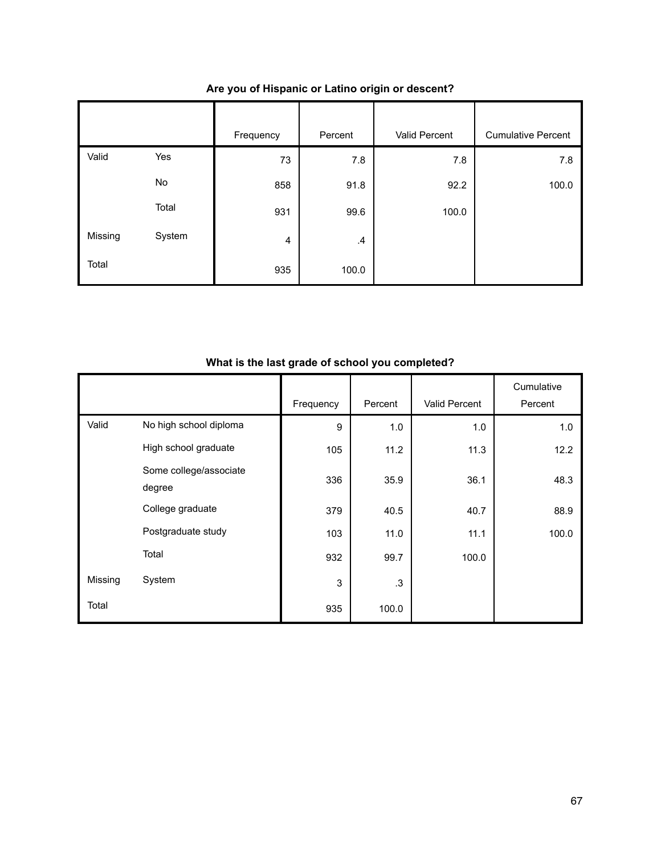|         |        | Frequency      | Percent | Valid Percent | <b>Cumulative Percent</b> |
|---------|--------|----------------|---------|---------------|---------------------------|
| Valid   | Yes    | 73             | 7.8     | 7.8           | 7.8                       |
|         | No     | 858            | 91.8    | 92.2          | 100.0                     |
|         | Total  | 931            | 99.6    | 100.0         |                           |
| Missing | System | $\overline{4}$ | $\cdot$ |               |                           |
| Total   |        | 935            | 100.0   |               |                           |

### **Are you of Hispanic or Latino origin or descent?**

### **What is the last grade of school you completed?**

|         |                        | Frequency | Percent | <b>Valid Percent</b> | Cumulative<br>Percent |
|---------|------------------------|-----------|---------|----------------------|-----------------------|
|         |                        |           |         |                      |                       |
| Valid   | No high school diploma | 9         | 1.0     | 1.0                  | 1.0                   |
|         | High school graduate   | 105       | 11.2    | 11.3                 | 12.2                  |
|         | Some college/associate | 336       | 35.9    | 36.1                 | 48.3                  |
|         | degree                 |           |         |                      |                       |
|         | College graduate       | 379       | 40.5    | 40.7                 | 88.9                  |
|         | Postgraduate study     | 103       | 11.0    | 11.1                 | 100.0                 |
|         | Total                  | 932       | 99.7    | 100.0                |                       |
| Missing | System                 | 3         | .3      |                      |                       |
| Total   |                        | 935       | 100.0   |                      |                       |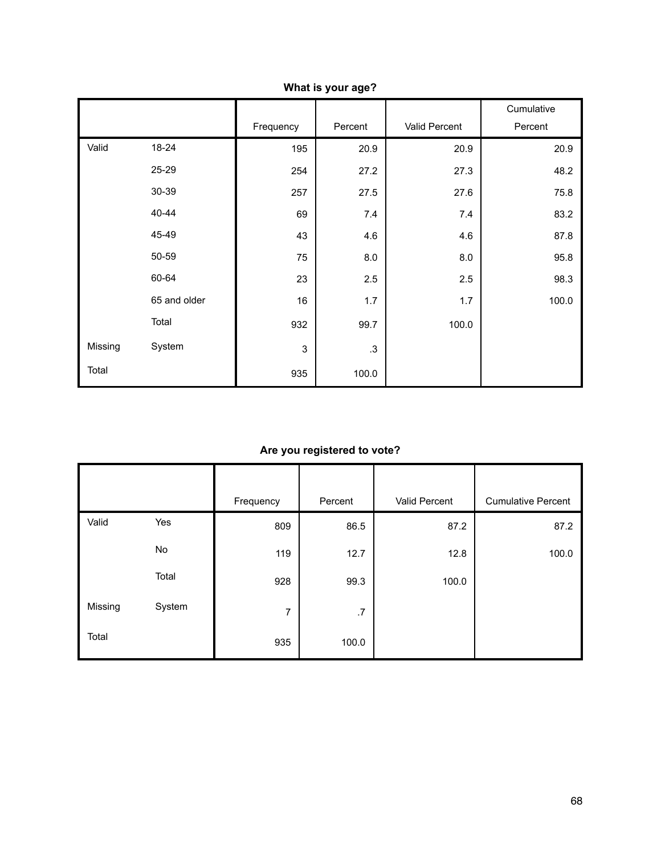|         |              | Frequency | Percent   | Valid Percent | Cumulative<br>Percent |
|---------|--------------|-----------|-----------|---------------|-----------------------|
| Valid   | 18-24        | 195       | 20.9      | 20.9          | 20.9                  |
|         | 25-29        | 254       | 27.2      | 27.3          | 48.2                  |
|         | 30-39        | 257       | 27.5      | 27.6          | 75.8                  |
|         | 40-44        | 69        | 7.4       | 7.4           | 83.2                  |
|         | 45-49        | 43        | 4.6       | 4.6           | 87.8                  |
|         | 50-59        | 75        | 8.0       | 8.0           | 95.8                  |
|         | 60-64        | 23        | 2.5       | 2.5           | 98.3                  |
|         | 65 and older | 16        | 1.7       | 1.7           | 100.0                 |
|         | Total        | 932       | 99.7      | 100.0         |                       |
| Missing | System       | 3         | $\cdot$ 3 |               |                       |
| Total   |              | 935       | 100.0     |               |                       |

**What is your age?**

### **Are you registered to vote?**

|         |        | Frequency      | Percent | Valid Percent | <b>Cumulative Percent</b> |
|---------|--------|----------------|---------|---------------|---------------------------|
| Valid   | Yes    | 809            | 86.5    | 87.2          | 87.2                      |
|         | No     | 119            | 12.7    | 12.8          | 100.0                     |
|         | Total  | 928            | 99.3    | 100.0         |                           |
| Missing | System | $\overline{7}$ | .7      |               |                           |
| Total   |        | 935            | 100.0   |               |                           |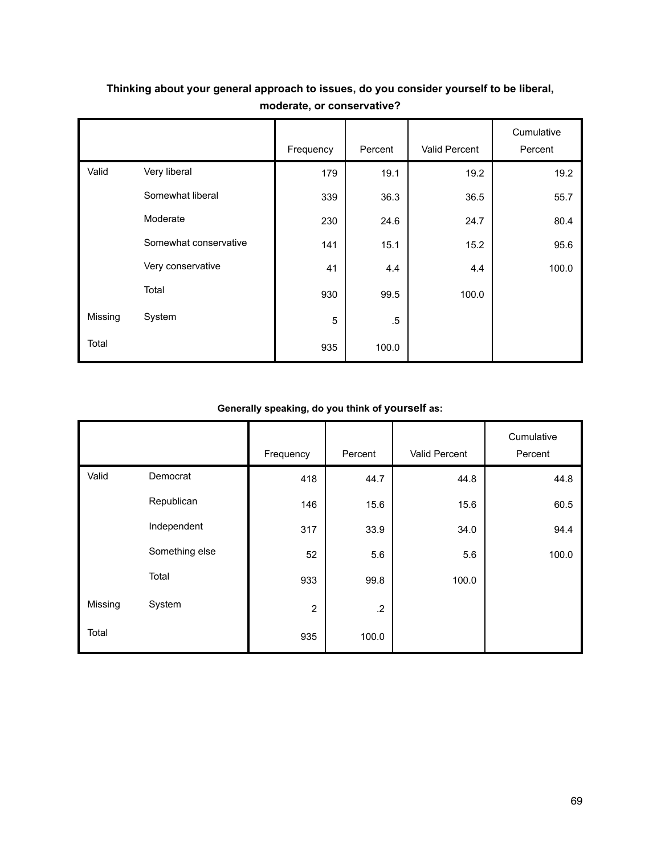|         |                       | Frequency | Percent | Valid Percent | Cumulative<br>Percent |
|---------|-----------------------|-----------|---------|---------------|-----------------------|
|         |                       |           |         |               |                       |
| Valid   | Very liberal          | 179       | 19.1    | 19.2          | 19.2                  |
|         | Somewhat liberal      | 339       | 36.3    | 36.5          | 55.7                  |
|         | Moderate              | 230       | 24.6    | 24.7          | 80.4                  |
|         | Somewhat conservative | 141       | 15.1    | 15.2          | 95.6                  |
|         | Very conservative     | 41        | 4.4     | 4.4           | 100.0                 |
|         | Total                 | 930       | 99.5    | 100.0         |                       |
| Missing | System                | 5         | $.5\,$  |               |                       |
| Total   |                       | 935       | 100.0   |               |                       |

## **Thinking about your general approach to issues, do you consider yourself to be liberal, moderate, or conservative?**

### **Generally speaking, do you think of yourself as:**

|         |                | Frequency      | Percent    | Valid Percent | Cumulative<br>Percent |
|---------|----------------|----------------|------------|---------------|-----------------------|
| Valid   | Democrat       | 418            | 44.7       | 44.8          | 44.8                  |
|         | Republican     | 146            | 15.6       | 15.6          | 60.5                  |
|         | Independent    | 317            | 33.9       | 34.0          | 94.4                  |
|         | Something else | 52             | 5.6        | 5.6           | 100.0                 |
|         | Total          | 933            | 99.8       | 100.0         |                       |
| Missing | System         | $\overline{2}$ | $\cdot$ .2 |               |                       |
| Total   |                | 935            | 100.0      |               |                       |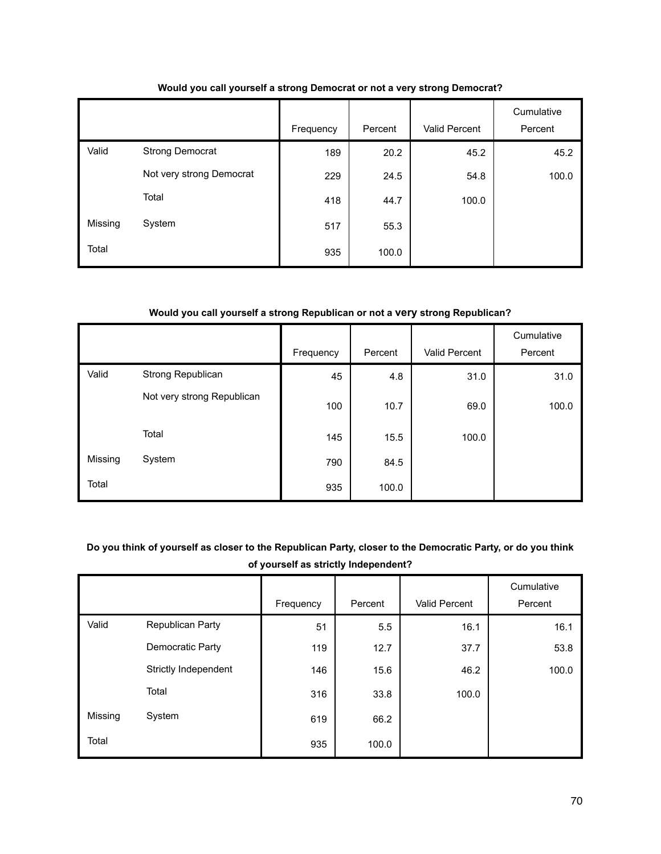|         |                          | Frequency | Percent | Valid Percent | Cumulative<br>Percent |
|---------|--------------------------|-----------|---------|---------------|-----------------------|
| Valid   | <b>Strong Democrat</b>   | 189       | 20.2    | 45.2          | 45.2                  |
|         | Not very strong Democrat | 229       | 24.5    | 54.8          | 100.0                 |
|         | Total                    | 418       | 44.7    | 100.0         |                       |
| Missing | System                   | 517       | 55.3    |               |                       |
| Total   |                          | 935       | 100.0   |               |                       |

### **Would you call yourself a strong Democrat or not a very strong Democrat?**

#### **Would you call yourself a strong Republican or not a very strong Republican?**

|         |                            |           |         |               | Cumulative |
|---------|----------------------------|-----------|---------|---------------|------------|
|         |                            | Frequency | Percent | Valid Percent | Percent    |
| Valid   | Strong Republican          | 45        | 4.8     | 31.0          | 31.0       |
|         | Not very strong Republican | 100       | 10.7    | 69.0          | 100.0      |
|         | Total                      | 145       | 15.5    | 100.0         |            |
| Missing | System                     | 790       | 84.5    |               |            |
| Total   |                            | 935       | 100.0   |               |            |

### **Do you think of yourself as closer to the Republican Party, closer to the Democratic Party, or do you think of yourself as strictly Independent?**

|         |                      |           |         |               | Cumulative |
|---------|----------------------|-----------|---------|---------------|------------|
|         |                      | Frequency | Percent | Valid Percent | Percent    |
| Valid   | Republican Party     | 51        | 5.5     | 16.1          | 16.1       |
|         | Democratic Party     | 119       | 12.7    | 37.7          | 53.8       |
|         | Strictly Independent | 146       | 15.6    | 46.2          | 100.0      |
|         | Total                | 316       | 33.8    | 100.0         |            |
| Missing | System               | 619       | 66.2    |               |            |
| Total   |                      | 935       | 100.0   |               |            |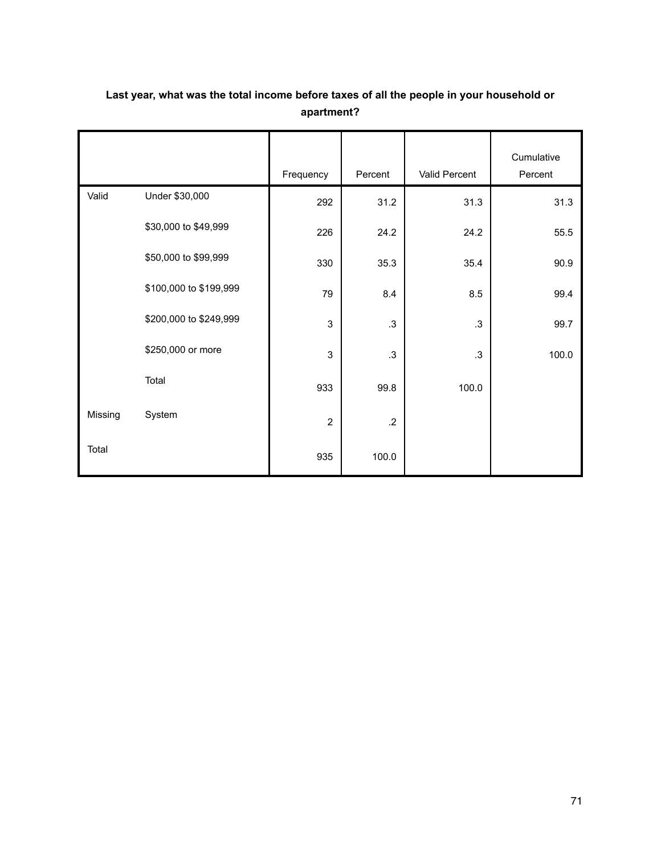|         |                        | Frequency      | Percent | Valid Percent | Cumulative<br>Percent |
|---------|------------------------|----------------|---------|---------------|-----------------------|
| Valid   | Under \$30,000         | 292            | 31.2    | 31.3          | 31.3                  |
|         | \$30,000 to \$49,999   | 226            | 24.2    | 24.2          | 55.5                  |
|         | \$50,000 to \$99,999   | 330            | 35.3    | 35.4          | 90.9                  |
|         | \$100,000 to \$199,999 | 79             | 8.4     | 8.5           | 99.4                  |
|         | \$200,000 to \$249,999 | 3              | .3      | $\cdot$ 3     | 99.7                  |
|         | \$250,000 or more      | $\mathsf 3$    | $\cdot$ | $\cdot$ 3     | 100.0                 |
|         | Total                  | 933            | 99.8    | 100.0         |                       |
| Missing | System                 | $\overline{2}$ | $.2\,$  |               |                       |
| Total   |                        | 935            | 100.0   |               |                       |

## **Last year, what was the total income before taxes of all the people in your household or apartment?**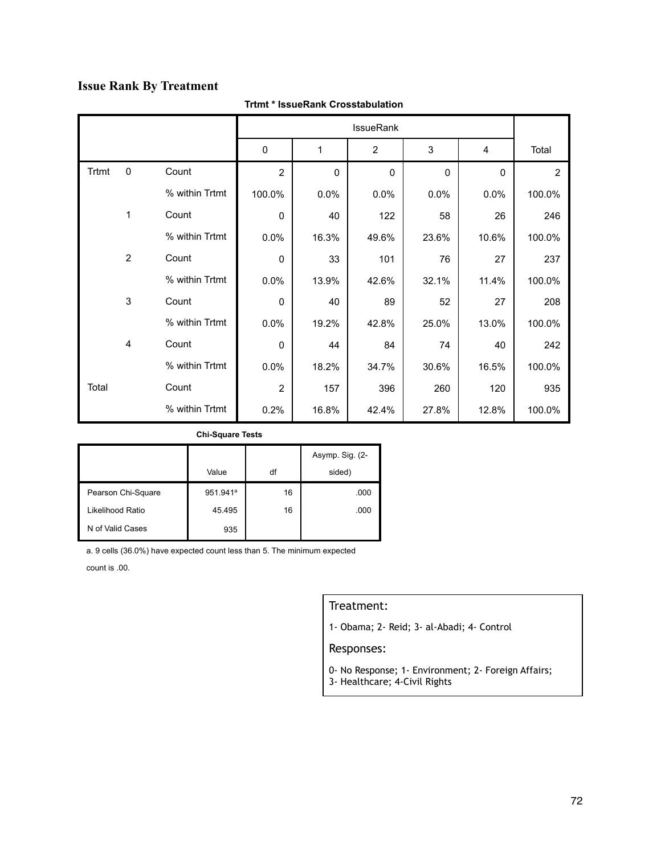## **Issue Rank By Treatment**

|              |                |                |              |          | <b>IssueRank</b> |             |          |                |
|--------------|----------------|----------------|--------------|----------|------------------|-------------|----------|----------------|
|              |                |                | $\mathbf 0$  | 1        | $\overline{2}$   | 3           | 4        | Total          |
| <b>Trtmt</b> | $\mathbf 0$    | Count          | 2            | $\Omega$ | $\mathbf 0$      | $\mathbf 0$ | $\Omega$ | $\overline{2}$ |
|              |                | % within Trtmt | 100.0%       | 0.0%     | 0.0%             | 0.0%        | 0.0%     | 100.0%         |
|              | 1              | Count          | $\Omega$     | 40       | 122              | 58          | 26       | 246            |
|              |                | % within Trtmt | 0.0%         | 16.3%    | 49.6%            | 23.6%       | 10.6%    | 100.0%         |
|              | $\overline{2}$ | Count          | $\mathbf 0$  | 33       | 101              | 76          | 27       | 237            |
|              |                | % within Trtmt | 0.0%         | 13.9%    | 42.6%            | 32.1%       | 11.4%    | 100.0%         |
|              | 3              | Count          | $\mathbf 0$  | 40       | 89               | 52          | 27       | 208            |
|              |                | % within Trtmt | 0.0%         | 19.2%    | 42.8%            | 25.0%       | 13.0%    | 100.0%         |
|              | 4              | Count          | $\mathbf{0}$ | 44       | 84               | 74          | 40       | 242            |
|              |                | % within Trtmt | 0.0%         | 18.2%    | 34.7%            | 30.6%       | 16.5%    | 100.0%         |
| Total        |                | Count          | 2            | 157      | 396              | 260         | 120      | 935            |
|              |                | % within Trtmt | 0.2%         | 16.8%    | 42.4%            | 27.8%       | 12.8%    | 100.0%         |

### **Trtmt \* IssueRank Crosstabulation**

#### **Chi-Square Tests**

|                    |                      |    | Asymp. Sig. (2- |
|--------------------|----------------------|----|-----------------|
|                    | Value                | df | sided)          |
| Pearson Chi-Square | 951.941 <sup>a</sup> | 16 | .000            |
| Likelihood Ratio   | 45.495               | 16 | .000            |
| N of Valid Cases   | 935                  |    |                 |

a. 9 cells (36.0%) have expected count less than 5. The minimum expected

count is .00.

### Treatment:

1- Obama; 2- Reid; 3- al-Abadi; 4- Control

- 0- No Response; 1- Environment; 2- Foreign Affairs;
- 3- Healthcare; 4-Civil Rights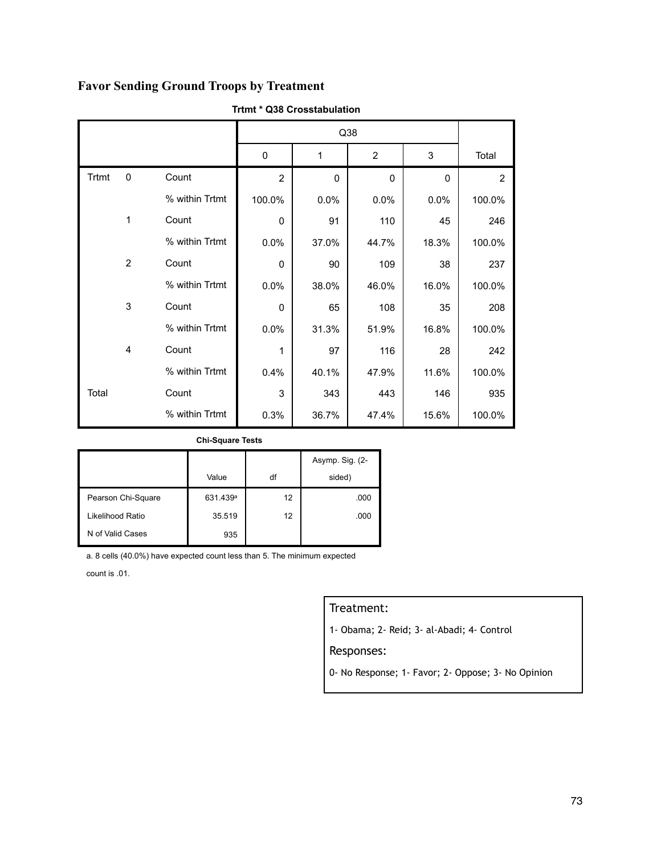## **Favor Sending Ground Troops by Treatment**

|       |              |                |                |              | Q38      |          |                |
|-------|--------------|----------------|----------------|--------------|----------|----------|----------------|
|       |              |                | 0              | 1            | 2        | 3        | Total          |
| Trtmt | $\mathbf 0$  | Count          | $\overline{2}$ | $\mathbf{0}$ | $\Omega$ | $\Omega$ | $\overline{2}$ |
|       |              | % within Trtmt | 100.0%         | 0.0%         | 0.0%     | 0.0%     | 100.0%         |
|       | $\mathbf{1}$ | Count          | 0              | 91           | 110      | 45       | 246            |
|       |              | % within Trtmt | 0.0%           | 37.0%        | 44.7%    | 18.3%    | 100.0%         |
|       | 2            | Count          | 0              | 90           | 109      | 38       | 237            |
|       |              | % within Trtmt | 0.0%           | 38.0%        | 46.0%    | 16.0%    | 100.0%         |
|       | 3            | Count          | 0              | 65           | 108      | 35       | 208            |
|       |              | % within Trtmt | 0.0%           | 31.3%        | 51.9%    | 16.8%    | 100.0%         |
|       | 4            | Count          | 1              | 97           | 116      | 28       | 242            |
|       |              | % within Trtmt | 0.4%           | 40.1%        | 47.9%    | 11.6%    | 100.0%         |
| Total |              | Count          | 3              | 343          | 443      | 146      | 935            |
|       |              | % within Trtmt | 0.3%           | 36.7%        | 47.4%    | 15.6%    | 100.0%         |

#### **Trtmt \* Q38 Crosstabulation**

#### **Chi-Square Tests**

|                    |                      |    | Asymp. Sig. (2- |
|--------------------|----------------------|----|-----------------|
|                    | Value                | df | sided)          |
| Pearson Chi-Square | 631.439 <sup>a</sup> | 12 | .000            |
| Likelihood Ratio   | 35.519               | 12 | .000            |
| N of Valid Cases   | 935                  |    |                 |

a. 8 cells (40.0%) have expected count less than 5. The minimum expected

count is .01.

## Treatment:

1- Obama; 2- Reid; 3- al-Abadi; 4- Control

### Responses:

0- No Response; 1- Favor; 2- Oppose; 3- No Opinion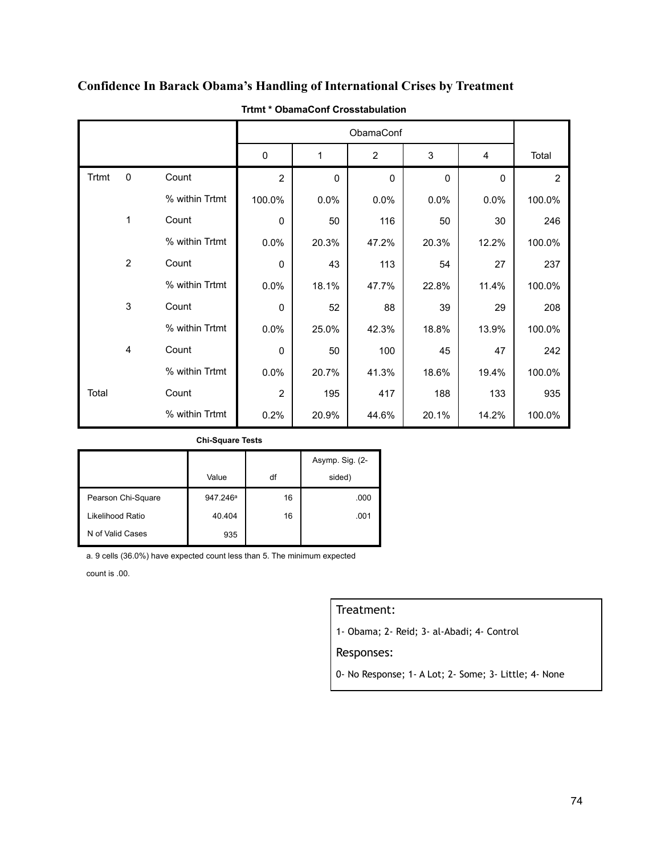|              |                |                |                |             | ObamaConf      |             |          |                |
|--------------|----------------|----------------|----------------|-------------|----------------|-------------|----------|----------------|
|              |                |                | $\mathbf 0$    | 1           | $\overline{2}$ | 3           | 4        | Total          |
| <b>Trtmt</b> | $\mathbf 0$    | Count          | $\overline{2}$ | $\mathbf 0$ | $\mathbf 0$    | $\mathbf 0$ | $\Omega$ | $\overline{2}$ |
|              |                | % within Trtmt | 100.0%         | 0.0%        | 0.0%           | 0.0%        | 0.0%     | 100.0%         |
|              | 1              | Count          | $\mathbf 0$    | 50          | 116            | 50          | 30       | 246            |
|              |                | % within Trtmt | 0.0%           | 20.3%       | 47.2%          | 20.3%       | 12.2%    | 100.0%         |
|              | $\overline{2}$ | Count          | $\mathbf 0$    | 43          | 113            | 54          | 27       | 237            |
|              |                | % within Trtmt | 0.0%           | 18.1%       | 47.7%          | 22.8%       | 11.4%    | 100.0%         |
|              | 3              | Count          | $\mathbf 0$    | 52          | 88             | 39          | 29       | 208            |
|              |                | % within Trtmt | 0.0%           | 25.0%       | 42.3%          | 18.8%       | 13.9%    | 100.0%         |
|              | $\overline{4}$ | Count          | $\mathbf 0$    | 50          | 100            | 45          | 47       | 242            |
|              |                | % within Trtmt | 0.0%           | 20.7%       | 41.3%          | 18.6%       | 19.4%    | 100.0%         |
| Total        |                | Count          | $\overline{2}$ | 195         | 417            | 188         | 133      | 935            |
|              |                | % within Trtmt | 0.2%           | 20.9%       | 44.6%          | 20.1%       | 14.2%    | 100.0%         |

## **Confidence In Barack Obama's Handling of International Crises by Treatment**

### **Trtmt \* ObamaConf Crosstabulation**

#### **Chi-Square Tests**

|                    |                      |    | Asymp. Sig. (2- |
|--------------------|----------------------|----|-----------------|
|                    | Value                | df | sided)          |
| Pearson Chi-Square | 947.246 <sup>a</sup> | 16 | .000            |
| Likelihood Ratio   | 40.404               | 16 | .001            |
| N of Valid Cases   | 935                  |    |                 |

a. 9 cells (36.0%) have expected count less than 5. The minimum expected

count is .00.

### Treatment:

1- Obama; 2- Reid; 3- al-Abadi; 4- Control

#### Responses:

0- No Response; 1- A Lot; 2- Some; 3- Little; 4- None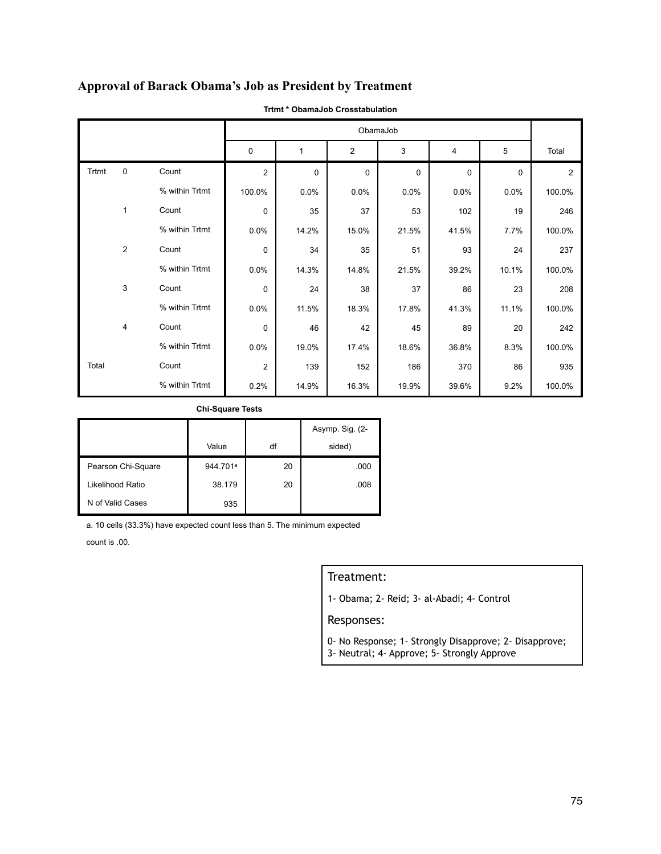## **Approval of Barack Obama's Job as President by Treatment**

|       |                |                |                |             |             | ObamaJob    |             |             |                |
|-------|----------------|----------------|----------------|-------------|-------------|-------------|-------------|-------------|----------------|
|       |                |                | $\mathbf 0$    | 1           | 2           | 3           | 4           | 5           | Total          |
| Trtmt | $\mathbf 0$    | Count          | $\overline{2}$ | $\mathbf 0$ | $\mathbf 0$ | $\mathbf 0$ | $\mathsf 0$ | $\mathbf 0$ | $\overline{2}$ |
|       |                | % within Trtmt | 100.0%         | 0.0%        | 0.0%        | 0.0%        | 0.0%        | 0.0%        | 100.0%         |
|       | $\mathbf{1}$   | Count          | $\mathbf 0$    | 35          | 37          | 53          | 102         | 19          | 246            |
|       |                | % within Trtmt | 0.0%           | 14.2%       | 15.0%       | 21.5%       | 41.5%       | 7.7%        | 100.0%         |
|       | 2              | Count          | $\mathbf 0$    | 34          | 35          | 51          | 93          | 24          | 237            |
|       |                | % within Trtmt | 0.0%           | 14.3%       | 14.8%       | 21.5%       | 39.2%       | 10.1%       | 100.0%         |
|       | 3              | Count          | $\mathbf 0$    | 24          | 38          | 37          | 86          | 23          | 208            |
|       |                | % within Trtmt | 0.0%           | 11.5%       | 18.3%       | 17.8%       | 41.3%       | 11.1%       | 100.0%         |
|       | $\overline{4}$ | Count          | $\mathbf 0$    | 46          | 42          | 45          | 89          | 20          | 242            |
|       |                | % within Trtmt | 0.0%           | 19.0%       | 17.4%       | 18.6%       | 36.8%       | 8.3%        | 100.0%         |
| Total |                | Count          | $\overline{2}$ | 139         | 152         | 186         | 370         | 86          | 935            |
|       |                | % within Trtmt | 0.2%           | 14.9%       | 16.3%       | 19.9%       | 39.6%       | 9.2%        | 100.0%         |

**Trtmt \* ObamaJob Crosstabulation**

**Chi-Square Tests**

|                    |          |    | Asymp. Sig. (2- |
|--------------------|----------|----|-----------------|
|                    | Value    | df | sided)          |
| Pearson Chi-Square | 944.701ª | 20 | .000            |
| Likelihood Ratio   | 38.179   | 20 | .008            |
| N of Valid Cases   | 935      |    |                 |

a. 10 cells (33.3%) have expected count less than 5. The minimum expected

count is .00.

### Treatment:

1- Obama; 2- Reid; 3- al-Abadi; 4- Control

- 0- No Response; 1- Strongly Disapprove; 2- Disapprove;
- 3- Neutral; 4- Approve; 5- Strongly Approve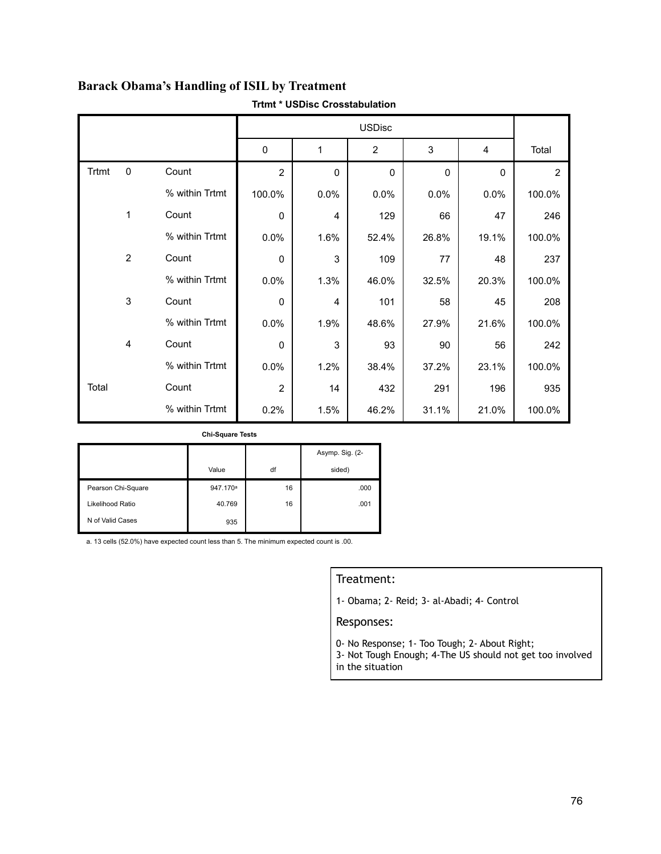|              |                |                | $\mathbf 0$    | 1              | $\overline{2}$ | 3     | 4           | Total          |
|--------------|----------------|----------------|----------------|----------------|----------------|-------|-------------|----------------|
| <b>Trtmt</b> | 0              | Count          | $\overline{2}$ | $\Omega$       | $\mathbf 0$    | 0     | $\mathbf 0$ | $\overline{2}$ |
|              |                | % within Trtmt | 100.0%         | 0.0%           | 0.0%           | 0.0%  | 0.0%        | 100.0%         |
|              | $\mathbf{1}$   | Count          | $\mathbf 0$    | $\overline{4}$ | 129            | 66    | 47          | 246            |
|              |                | % within Trtmt | 0.0%           | 1.6%           | 52.4%          | 26.8% | 19.1%       | 100.0%         |
|              | 2              | Count          | 0              | 3              | 109            | 77    | 48          | 237            |
|              |                | % within Trtmt | 0.0%           | 1.3%           | 46.0%          | 32.5% | 20.3%       | 100.0%         |
|              | $\mathsf 3$    | Count          | $\mathbf 0$    | 4              | 101            | 58    | 45          | 208            |
|              |                | % within Trtmt | 0.0%           | 1.9%           | 48.6%          | 27.9% | 21.6%       | 100.0%         |
|              | $\overline{4}$ | Count          | $\mathbf{0}$   | 3              | 93             | 90    | 56          | 242            |
|              |                | % within Trtmt | 0.0%           | 1.2%           | 38.4%          | 37.2% | 23.1%       | 100.0%         |
| Total        |                | Count          | $\overline{2}$ | 14             | 432            | 291   | 196         | 935            |
|              |                | % within Trtmt | 0.2%           | 1.5%           | 46.2%          | 31.1% | 21.0%       | 100.0%         |

# **Barack Obama's Handling of ISIL by Treatment**

**Trtmt \* USDisc Crosstabulation**

**Chi-Square Tests**

|                    |                      |    | Asymp. Sig. (2- |
|--------------------|----------------------|----|-----------------|
|                    | Value                | df | sided)          |
| Pearson Chi-Square | 947.170 <sup>a</sup> | 16 | .000            |
| Likelihood Ratio   | 40.769               | 16 | .001            |
| N of Valid Cases   | 935                  |    |                 |

a. 13 cells (52.0%) have expected count less than 5. The minimum expected count is .00.

#### Treatment:

1- Obama; 2- Reid; 3- al-Abadi; 4- Control

- 0- No Response; 1- Too Tough; 2- About Right;
- 3- Not Tough Enough; 4-The US should not get too involved in the situation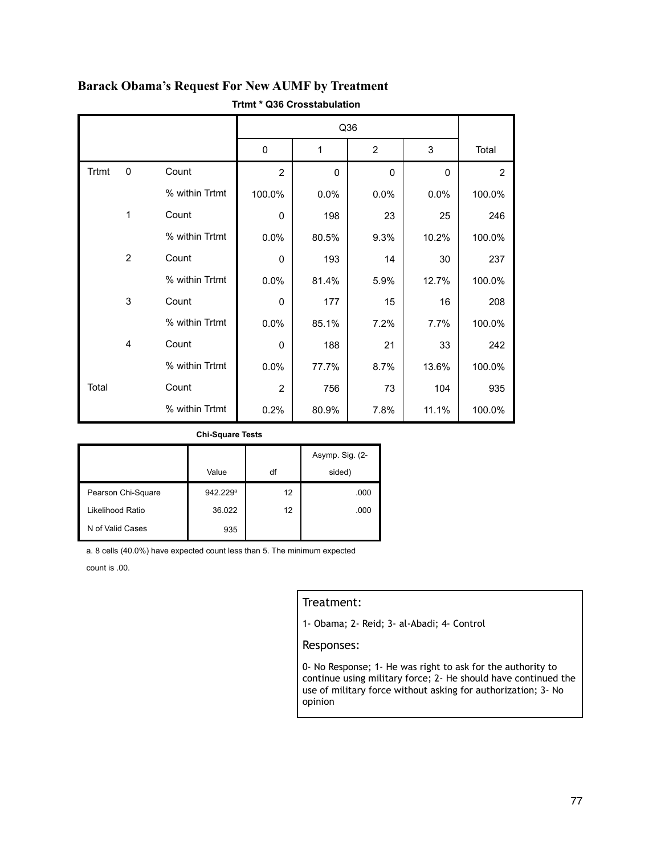|              |                |                |                |              | Q36          |              |                |
|--------------|----------------|----------------|----------------|--------------|--------------|--------------|----------------|
|              |                |                | 0              | 1            | 2            | 3            | Total          |
| <b>Trtmt</b> | $\mathbf 0$    | Count          | $\overline{2}$ | $\mathbf{0}$ | $\mathbf{0}$ | $\mathbf{0}$ | $\overline{2}$ |
|              |                | % within Trtmt | 100.0%         | 0.0%         | 0.0%         | 0.0%         | 100.0%         |
|              | 1              | Count          | $\mathbf 0$    | 198          | 23           | 25           | 246            |
|              |                | % within Trtmt | 0.0%           | 80.5%        | 9.3%         | 10.2%        | 100.0%         |
|              | 2              | Count          | 0              | 193          | 14           | 30           | 237            |
|              |                | % within Trtmt | 0.0%           | 81.4%        | 5.9%         | 12.7%        | 100.0%         |
|              | 3              | Count          | 0              | 177          | 15           | 16           | 208            |
|              |                | % within Trtmt | 0.0%           | 85.1%        | 7.2%         | 7.7%         | 100.0%         |
|              | $\overline{4}$ | Count          | $\Omega$       | 188          | 21           | 33           | 242            |
|              |                | % within Trtmt | 0.0%           | 77.7%        | 8.7%         | 13.6%        | 100.0%         |
| Total        |                | Count          | $\overline{2}$ | 756          | 73           | 104          | 935            |
|              |                | % within Trtmt | 0.2%           | 80.9%        | 7.8%         | 11.1%        | 100.0%         |

### **Barack Obama's Request For New AUMF by Treatment Trtmt \* Q36 Crosstabulation**

#### **Chi-Square Tests**

|                    |          |    | Asymp. Sig. (2- |
|--------------------|----------|----|-----------------|
|                    | Value    | df | sided)          |
| Pearson Chi-Square | 942.229ª | 12 | .000            |
| Likelihood Ratio   | 36.022   | 12 | .000            |
| N of Valid Cases   | 935      |    |                 |

a. 8 cells (40.0%) have expected count less than 5. The minimum expected

count is .00.

### Treatment:

1- Obama; 2- Reid; 3- al-Abadi; 4- Control

#### Responses:

0- No Response; 1- He was right to ask for the authority to continue using military force; 2- He should have continued the use of military force without asking for authorization; 3- No opinion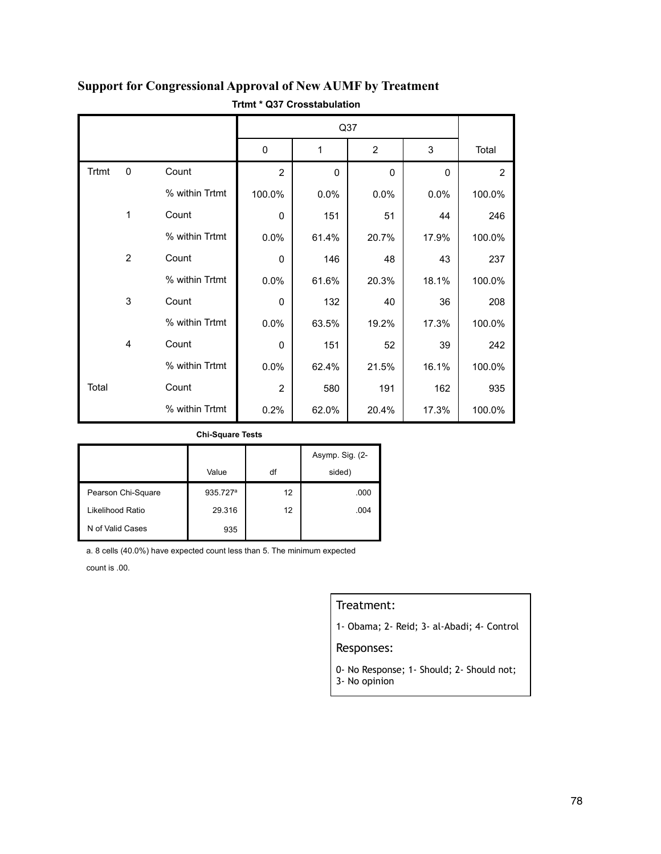|       |                |                |                | Q37      |                |       |        |  |
|-------|----------------|----------------|----------------|----------|----------------|-------|--------|--|
|       |                |                | $\mathbf 0$    | 1        | $\overline{2}$ | 3     | Total  |  |
| Trtmt | $\mathbf 0$    | Count          | $\overline{2}$ | $\Omega$ | $\mathbf{0}$   | 0     | 2      |  |
|       |                | % within Trtmt | 100.0%         | 0.0%     | 0.0%           | 0.0%  | 100.0% |  |
|       | 1              | Count          | $\mathbf 0$    | 151      | 51             | 44    | 246    |  |
|       |                | % within Trtmt | 0.0%           | 61.4%    | 20.7%          | 17.9% | 100.0% |  |
|       | $\overline{2}$ | Count          | 0              | 146      | 48             | 43    | 237    |  |
|       |                | % within Trtmt | 0.0%           | 61.6%    | 20.3%          | 18.1% | 100.0% |  |
|       | 3              | Count          | 0              | 132      | 40             | 36    | 208    |  |
|       |                | % within Trtmt | 0.0%           | 63.5%    | 19.2%          | 17.3% | 100.0% |  |
|       | $\overline{4}$ | Count          | $\mathbf 0$    | 151      | 52             | 39    | 242    |  |
|       |                | % within Trtmt | 0.0%           | 62.4%    | 21.5%          | 16.1% | 100.0% |  |
| Total |                | Count          | $\overline{2}$ | 580      | 191            | 162   | 935    |  |
|       |                | % within Trtmt | 0.2%           | 62.0%    | 20.4%          | 17.3% | 100.0% |  |

## **Support for Congressional Approval of New AUMF by Treatment Trtmt \* Q37 Crosstabulation**

#### **Chi-Square Tests**

|                    |                      |    | Asymp. Sig. (2- |
|--------------------|----------------------|----|-----------------|
|                    | Value                | df | sided)          |
| Pearson Chi-Square | 935.727 <sup>a</sup> | 12 | .000            |
| Likelihood Ratio   | 29.316               | 12 | .004            |
| N of Valid Cases   | 935                  |    |                 |

a. 8 cells (40.0%) have expected count less than 5. The minimum expected

count is .00.

### Treatment:

1- Obama; 2- Reid; 3- al-Abadi; 4- Control

### Responses:

0- No Response; 1- Should; 2- Should not; 3- No opinion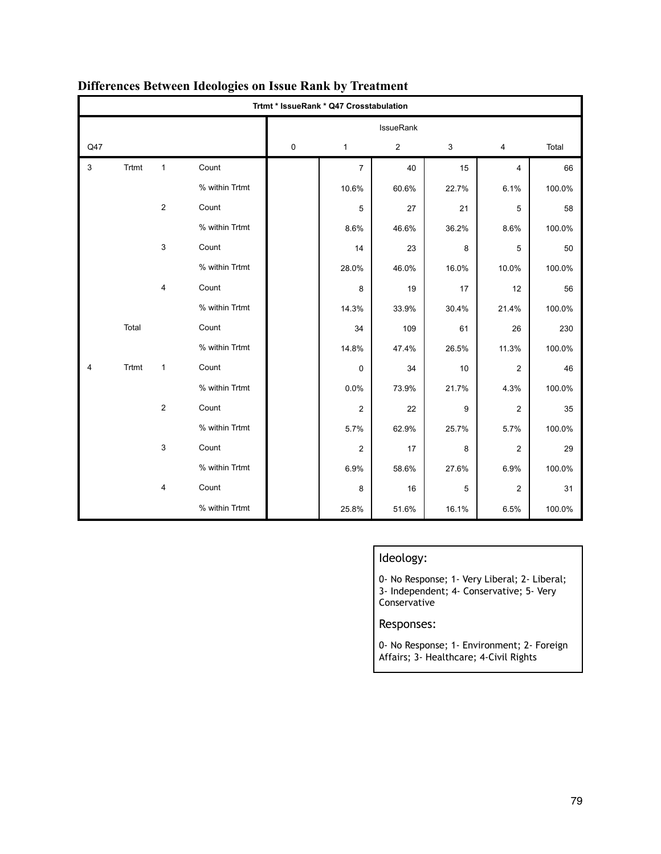|     | Trtmt * IssueRank * Q47 Crosstabulation |                |                |   |                |                |       |                |        |
|-----|-----------------------------------------|----------------|----------------|---|----------------|----------------|-------|----------------|--------|
|     |                                         |                |                |   |                | IssueRank      |       |                |        |
| Q47 |                                         |                |                | 0 | $\mathbf{1}$   | $\overline{2}$ | 3     | 4              | Total  |
| 3   | Trtmt                                   | $\mathbf{1}$   | Count          |   | $\overline{7}$ | 40             | 15    | 4              | 66     |
|     |                                         |                | % within Trtmt |   | 10.6%          | 60.6%          | 22.7% | 6.1%           | 100.0% |
|     |                                         | $\overline{2}$ | Count          |   | 5              | 27             | 21    | 5              | 58     |
|     |                                         |                | % within Trtmt |   | 8.6%           | 46.6%          | 36.2% | 8.6%           | 100.0% |
|     |                                         | 3              | Count          |   | 14             | 23             | 8     | 5              | 50     |
|     |                                         |                | % within Trtmt |   | 28.0%          | 46.0%          | 16.0% | 10.0%          | 100.0% |
|     |                                         | 4              | Count          |   | 8              | 19             | 17    | 12             | 56     |
|     |                                         |                | % within Trtmt |   | 14.3%          | 33.9%          | 30.4% | 21.4%          | 100.0% |
|     | Total                                   |                | Count          |   | 34             | 109            | 61    | 26             | 230    |
|     |                                         |                | % within Trtmt |   | 14.8%          | 47.4%          | 26.5% | 11.3%          | 100.0% |
| 4   | Trtmt                                   | $\mathbf{1}$   | Count          |   | 0              | 34             | 10    | $\overline{2}$ | 46     |
|     |                                         |                | % within Trtmt |   | 0.0%           | 73.9%          | 21.7% | 4.3%           | 100.0% |
|     |                                         | 2              | Count          |   | 2              | 22             | 9     | $\overline{2}$ | 35     |
|     |                                         |                | % within Trtmt |   | 5.7%           | 62.9%          | 25.7% | 5.7%           | 100.0% |
|     |                                         | 3              | Count          |   | $\overline{2}$ | 17             | 8     | $\overline{2}$ | 29     |
|     |                                         |                | % within Trtmt |   | 6.9%           | 58.6%          | 27.6% | 6.9%           | 100.0% |
|     |                                         | 4              | Count          |   | 8              | 16             | 5     | $\overline{2}$ | 31     |
|     |                                         |                | % within Trtmt |   | 25.8%          | 51.6%          | 16.1% | 6.5%           | 100.0% |

## **Differences Between Ideologies on Issue Rank by Treatment**

### Ideology:

0- No Response; 1- Very Liberal; 2- Liberal; 3- Independent; 4- Conservative; 5- Very Conservative

Responses:

0- No Response; 1- Environment; 2- Foreign Affairs; 3- Healthcare; 4-Civil Rights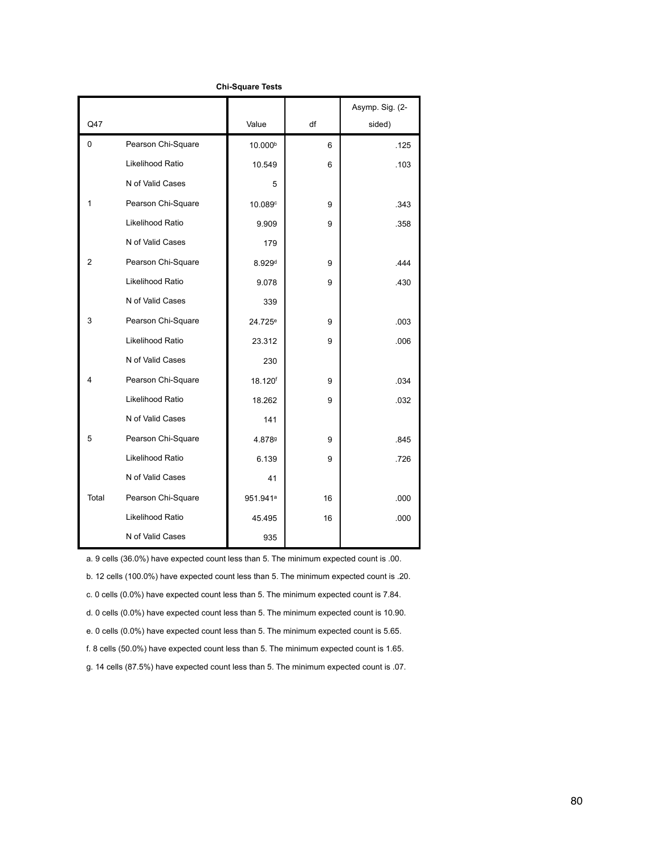|          |                    |                      |    | Asymp. Sig. (2- |
|----------|--------------------|----------------------|----|-----------------|
| Q47      |                    | Value                | df | sided)          |
| $\Omega$ | Pearson Chi-Square | 10.000b              | 6  | .125            |
|          | Likelihood Ratio   | 10.549               | 6  | .103            |
|          | N of Valid Cases   | 5                    |    |                 |
| 1        | Pearson Chi-Square | 10.089c              | 9  | .343            |
|          | Likelihood Ratio   | 9.909                | 9  | .358            |
|          | N of Valid Cases   | 179                  |    |                 |
| 2        | Pearson Chi-Square | 8.929 <sup>d</sup>   | 9  | .444            |
|          | Likelihood Ratio   | 9.078                | 9  | .430            |
|          | N of Valid Cases   | 339                  |    |                 |
| 3        | Pearson Chi-Square | 24.725 <sup>e</sup>  | 9  | .003            |
|          | Likelihood Ratio   | 23.312               | 9  | .006            |
|          | N of Valid Cases   | 230                  |    |                 |
| 4        | Pearson Chi-Square | 18.120 <sup>f</sup>  | 9  | .034            |
|          | Likelihood Ratio   | 18.262               | 9  | .032            |
|          | N of Valid Cases   | 141                  |    |                 |
| 5        | Pearson Chi-Square | 4.8789               | 9  | .845            |
|          | Likelihood Ratio   | 6.139                | 9  | .726            |
|          | N of Valid Cases   | 41                   |    |                 |
| Total    | Pearson Chi-Square | 951.941 <sup>a</sup> | 16 | .000            |
|          | Likelihood Ratio   | 45.495               | 16 | .000            |
|          | N of Valid Cases   | 935                  |    |                 |

a. 9 cells (36.0%) have expected count less than 5. The minimum expected count is .00.

b. 12 cells (100.0%) have expected count less than 5. The minimum expected count is .20.

c. 0 cells (0.0%) have expected count less than 5. The minimum expected count is 7.84.

d. 0 cells (0.0%) have expected count less than 5. The minimum expected count is 10.90.

e. 0 cells (0.0%) have expected count less than 5. The minimum expected count is 5.65.

f. 8 cells (50.0%) have expected count less than 5. The minimum expected count is 1.65.

g. 14 cells (87.5%) have expected count less than 5. The minimum expected count is .07.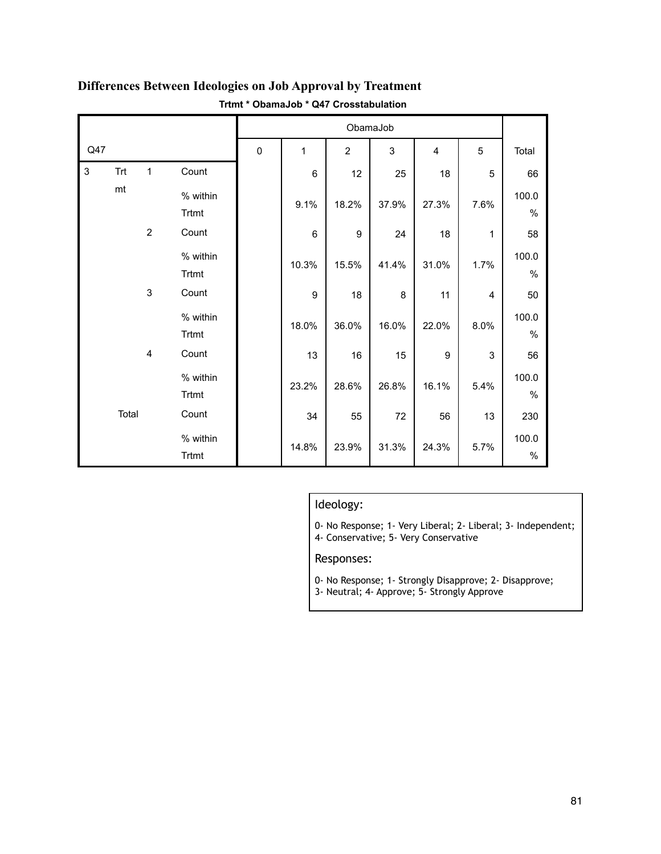|     |            |                         |                   |             | ObamaJob       |                  |       |                  |      |               |
|-----|------------|-------------------------|-------------------|-------------|----------------|------------------|-------|------------------|------|---------------|
| Q47 |            |                         |                   | $\mathbf 0$ | 1              | $\boldsymbol{2}$ | 3     | $\overline{4}$   | 5    | Total         |
| 3   | <b>Trt</b> | $\mathbf{1}$            | Count             |             | 6              | 12               | 25    | 18               | 5    | 66            |
|     | mt         |                         | % within<br>Trtmt |             | 9.1%           | 18.2%            | 37.9% | 27.3%            | 7.6% | 100.0<br>$\%$ |
|     |            | $\overline{2}$          | Count             |             | $6\phantom{1}$ | $9\,$            | 24    | 18               | 1    | 58            |
|     |            |                         | % within<br>Trtmt |             | 10.3%          | 15.5%            | 41.4% | 31.0%            | 1.7% | 100.0<br>$\%$ |
|     |            | $\mathsf 3$             | Count             |             | 9              | 18               | 8     | 11               | 4    | 50            |
|     |            |                         | % within<br>Trtmt |             | 18.0%          | 36.0%            | 16.0% | 22.0%            | 8.0% | 100.0<br>$\%$ |
|     |            | $\overline{\mathbf{4}}$ | Count             |             | 13             | 16               | 15    | $\boldsymbol{9}$ | 3    | 56            |
|     |            |                         | % within<br>Trtmt |             | 23.2%          | 28.6%            | 26.8% | 16.1%            | 5.4% | 100.0<br>$\%$ |
|     | Total      |                         | Count             |             | 34             | 55               | 72    | 56               | 13   | 230           |
|     |            |                         | % within<br>Trtmt |             | 14.8%          | 23.9%            | 31.3% | 24.3%            | 5.7% | 100.0<br>$\%$ |

## **Differences Between Ideologies on Job Approval by Treatment Trtmt \* ObamaJob \* Q47 Crosstabulation**

### Ideology:

0- No Response; 1- Very Liberal; 2- Liberal; 3- Independent;

4- Conservative; 5- Very Conservative

- 0- No Response; 1- Strongly Disapprove; 2- Disapprove;
- 3- Neutral; 4- Approve; 5- Strongly Approve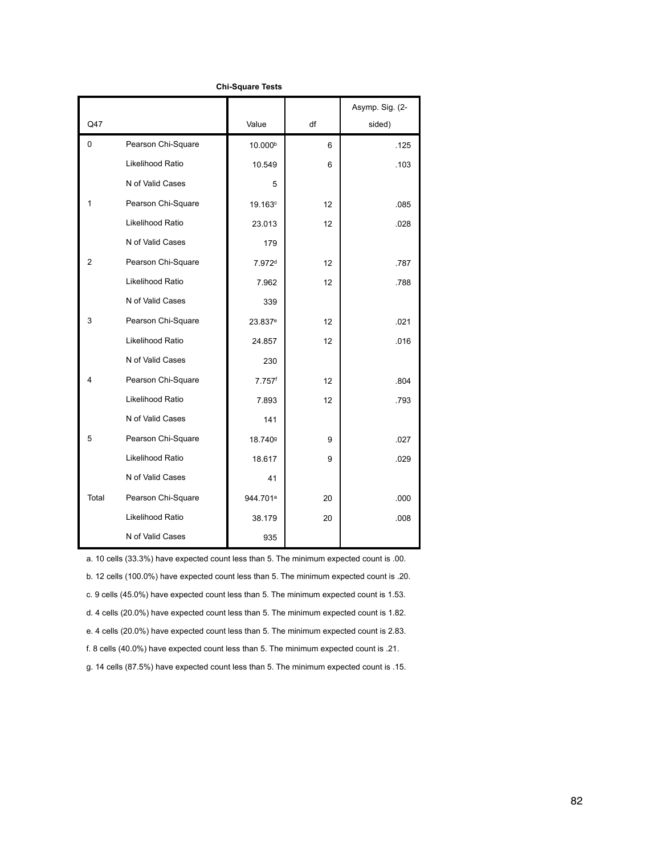|                |                    |                      |                 | Asymp. Sig. (2- |
|----------------|--------------------|----------------------|-----------------|-----------------|
| Q47            |                    | Value                | df              | sided)          |
| $\Omega$       | Pearson Chi-Square | 10.000b              | 6               | .125            |
|                | Likelihood Ratio   | 10.549               | 6               | .103            |
|                | N of Valid Cases   | 5                    |                 |                 |
| 1              | Pearson Chi-Square | 19.163 <sup>c</sup>  | 12              | .085            |
|                | Likelihood Ratio   | 23.013               | 12 <sup>2</sup> | .028            |
|                | N of Valid Cases   | 179                  |                 |                 |
| $\overline{2}$ | Pearson Chi-Square | 7.972 <sup>d</sup>   | 12              | .787            |
|                | Likelihood Ratio   | 7.962                | 12 <sup>2</sup> | .788            |
|                | N of Valid Cases   | 339                  |                 |                 |
| 3              | Pearson Chi-Square | 23.837 <sup>e</sup>  | 12 <sup>2</sup> | .021            |
|                | Likelihood Ratio   | 24.857               | 12              | .016            |
|                | N of Valid Cases   | 230                  |                 |                 |
| 4              | Pearson Chi-Square | $7.757$ <sup>f</sup> | 12 <sup>2</sup> | .804            |
|                | Likelihood Ratio   | 7.893                | 12 <sup>2</sup> | .793            |
|                | N of Valid Cases   | 141                  |                 |                 |
| 5              | Pearson Chi-Square | 18.7409              | 9               | .027            |
|                | Likelihood Ratio   | 18.617               | 9               | .029            |
|                | N of Valid Cases   | 41                   |                 |                 |
| Total          | Pearson Chi-Square | 944.701ª             | 20              | .000            |
|                | Likelihood Ratio   | 38.179               | 20              | .008            |
|                | N of Valid Cases   | 935                  |                 |                 |

a. 10 cells (33.3%) have expected count less than 5. The minimum expected count is .00.

b. 12 cells (100.0%) have expected count less than 5. The minimum expected count is .20.

c. 9 cells (45.0%) have expected count less than 5. The minimum expected count is 1.53.

d. 4 cells (20.0%) have expected count less than 5. The minimum expected count is 1.82.

e. 4 cells (20.0%) have expected count less than 5. The minimum expected count is 2.83.

f. 8 cells (40.0%) have expected count less than 5. The minimum expected count is .21.

g. 14 cells (87.5%) have expected count less than 5. The minimum expected count is .15.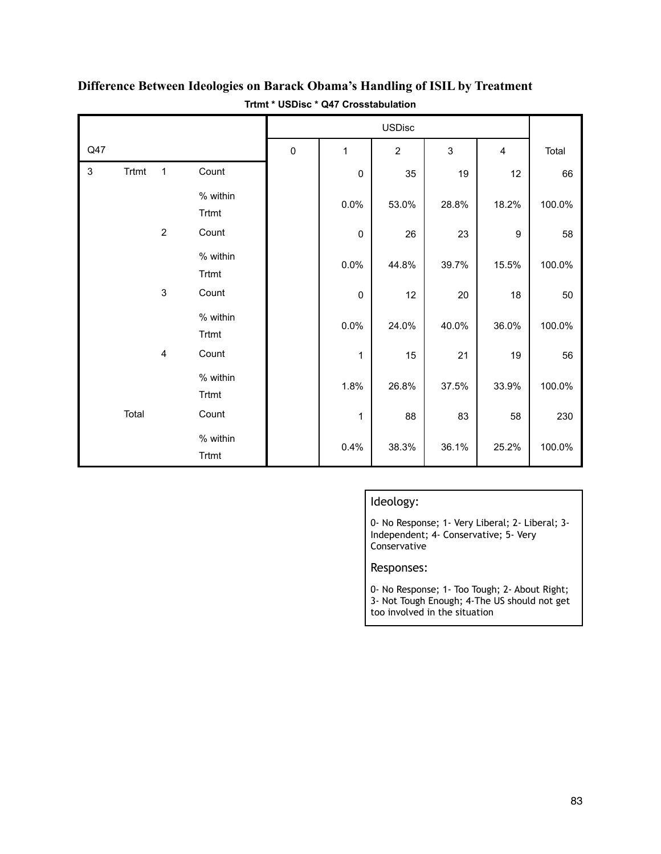|                |       |                         |                   |           | <b>USDisc</b> |                |       |       |        |
|----------------|-------|-------------------------|-------------------|-----------|---------------|----------------|-------|-------|--------|
| Q47            |       |                         |                   | $\pmb{0}$ | 1             | $\overline{2}$ | 3     | 4     | Total  |
| $\mathfrak{S}$ | Trtmt | $\mathbf{1}$            | Count             |           | $\pmb{0}$     | 35             | 19    | 12    | 66     |
|                |       |                         | % within<br>Trtmt |           | 0.0%          | 53.0%          | 28.8% | 18.2% | 100.0% |
|                |       | $\overline{2}$          | Count             |           | $\mathbf 0$   | 26             | 23    | 9     | 58     |
|                |       |                         | % within<br>Trtmt |           | 0.0%          | 44.8%          | 39.7% | 15.5% | 100.0% |
|                |       | $\mathsf 3$             | Count             |           | $\pmb{0}$     | 12             | 20    | 18    | 50     |
|                |       |                         | % within<br>Trtmt |           | 0.0%          | 24.0%          | 40.0% | 36.0% | 100.0% |
|                |       | $\overline{\mathbf{4}}$ | Count             |           | 1             | 15             | 21    | 19    | 56     |
|                |       |                         | % within<br>Trtmt |           | 1.8%          | 26.8%          | 37.5% | 33.9% | 100.0% |
|                | Total |                         | Count             |           | 1             | 88             | 83    | 58    | 230    |
|                |       |                         | % within<br>Trtmt |           | 0.4%          | 38.3%          | 36.1% | 25.2% | 100.0% |

## **Difference Between Ideologies on Barack Obama's Handling of ISIL by Treatment Trtmt \* USDisc \* Q47 Crosstabulation**

## Ideology:

0- No Response; 1- Very Liberal; 2- Liberal; 3- Independent; 4- Conservative; 5- Very Conservative

Responses:

0- No Response; 1- Too Tough; 2- About Right; 3- Not Tough Enough; 4-The US should not get too involved in the situation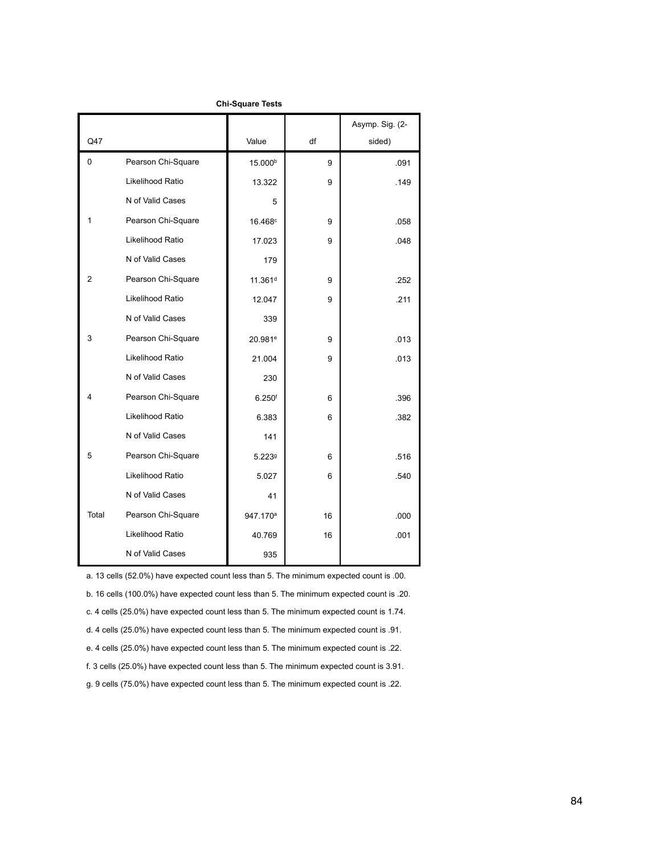|                |                    |                      |    | Asymp. Sig. (2- |
|----------------|--------------------|----------------------|----|-----------------|
| Q47            |                    | Value                | df | sided)          |
| 0              | Pearson Chi-Square | 15.000 <sup>b</sup>  | 9  | .091            |
|                | Likelihood Ratio   | 13.322               | 9  | .149            |
|                | N of Valid Cases   | 5                    |    |                 |
| 1              | Pearson Chi-Square | 16.468c              | 9  | .058            |
|                | Likelihood Ratio   | 17.023               | 9  | .048            |
|                | N of Valid Cases   | 179                  |    |                 |
| $\overline{2}$ | Pearson Chi-Square | 11.361 <sup>d</sup>  | 9  | .252            |
|                | Likelihood Ratio   | 12.047               | 9  | .211            |
|                | N of Valid Cases   | 339                  |    |                 |
| 3              | Pearson Chi-Square | 20.981 <sup>e</sup>  | 9  | .013            |
|                | Likelihood Ratio   | 21.004               | 9  | .013            |
|                | N of Valid Cases   | 230                  |    |                 |
| 4              | Pearson Chi-Square | 6.250 <sup>f</sup>   | 6  | .396            |
|                | Likelihood Ratio   | 6.383                | 6  | .382            |
|                | N of Valid Cases   | 141                  |    |                 |
| 5              | Pearson Chi-Square | 5.2239               | 6  | .516            |
|                | Likelihood Ratio   | 5.027                | 6  | .540            |
|                | N of Valid Cases   | 41                   |    |                 |
| Total          | Pearson Chi-Square | 947.170 <sup>a</sup> | 16 | .000            |
|                | Likelihood Ratio   | 40.769               | 16 | .001            |
|                | N of Valid Cases   | 935                  |    |                 |

a. 13 cells (52.0%) have expected count less than 5. The minimum expected count is .00.

b. 16 cells (100.0%) have expected count less than 5. The minimum expected count is .20.

c. 4 cells (25.0%) have expected count less than 5. The minimum expected count is 1.74.

d. 4 cells (25.0%) have expected count less than 5. The minimum expected count is .91.

e. 4 cells (25.0%) have expected count less than 5. The minimum expected count is .22.

f. 3 cells (25.0%) have expected count less than 5. The minimum expected count is 3.91.

g. 9 cells (75.0%) have expected count less than 5. The minimum expected count is .22.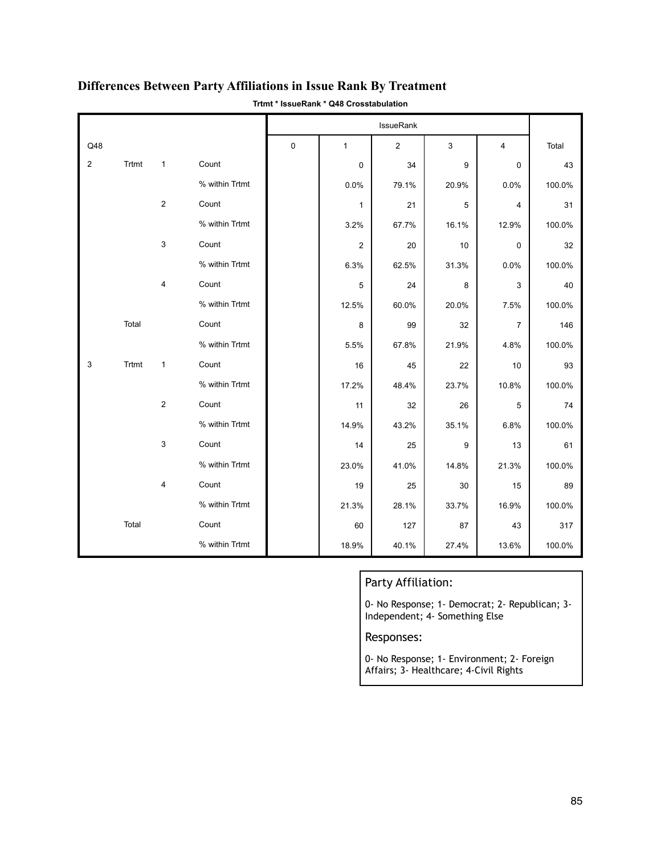|                |       |                |                |   | IssueRank      |                |       |                |        |
|----------------|-------|----------------|----------------|---|----------------|----------------|-------|----------------|--------|
| Q48            |       |                |                | 0 | $\mathbf{1}$   | $\overline{2}$ | 3     | 4              | Total  |
| $\overline{2}$ | Trtmt | $\mathbf{1}$   | Count          |   | $\mathbf 0$    | 34             | 9     | 0              | 43     |
|                |       |                | % within Trtmt |   | 0.0%           | 79.1%          | 20.9% | 0.0%           | 100.0% |
|                |       | $\overline{2}$ | Count          |   | $\mathbf{1}$   | 21             | 5     | 4              | 31     |
|                |       |                | % within Trtmt |   | 3.2%           | 67.7%          | 16.1% | 12.9%          | 100.0% |
|                |       | 3              | Count          |   | $\overline{c}$ | 20             | 10    | $\mathsf 0$    | 32     |
|                |       |                | % within Trtmt |   | 6.3%           | 62.5%          | 31.3% | 0.0%           | 100.0% |
|                |       | 4              | Count          |   | 5              | 24             | 8     | 3              | 40     |
|                |       |                | % within Trtmt |   | 12.5%          | 60.0%          | 20.0% | 7.5%           | 100.0% |
|                | Total |                | Count          |   | 8              | 99             | 32    | $\overline{7}$ | 146    |
|                |       |                | % within Trtmt |   | 5.5%           | 67.8%          | 21.9% | 4.8%           | 100.0% |
| 3              | Trtmt | $\mathbf{1}$   | Count          |   | 16             | 45             | 22    | 10             | 93     |
|                |       |                | % within Trtmt |   | 17.2%          | 48.4%          | 23.7% | 10.8%          | 100.0% |
|                |       | $\overline{2}$ | Count          |   | 11             | 32             | 26    | 5              | 74     |
|                |       |                | % within Trtmt |   | 14.9%          | 43.2%          | 35.1% | 6.8%           | 100.0% |
|                |       | 3              | Count          |   | 14             | 25             | 9     | 13             | 61     |
|                |       |                | % within Trtmt |   | 23.0%          | 41.0%          | 14.8% | 21.3%          | 100.0% |
|                |       | 4              | Count          |   | 19             | 25             | 30    | 15             | 89     |
|                |       |                | % within Trtmt |   | 21.3%          | 28.1%          | 33.7% | 16.9%          | 100.0% |
|                | Total |                | Count          |   | 60             | 127            | 87    | 43             | 317    |
|                |       |                | % within Trtmt |   | 18.9%          | 40.1%          | 27.4% | 13.6%          | 100.0% |

## **Differences Between Party Affiliations in Issue Rank By Treatment**

**Trtmt \* IssueRank \* Q48 Crosstabulation**

## Party Affiliation:

0- No Response; 1- Democrat; 2- Republican; 3- Independent; 4- Something Else

### Responses:

0- No Response; 1- Environment; 2- Foreign Affairs; 3- Healthcare; 4-Civil Rights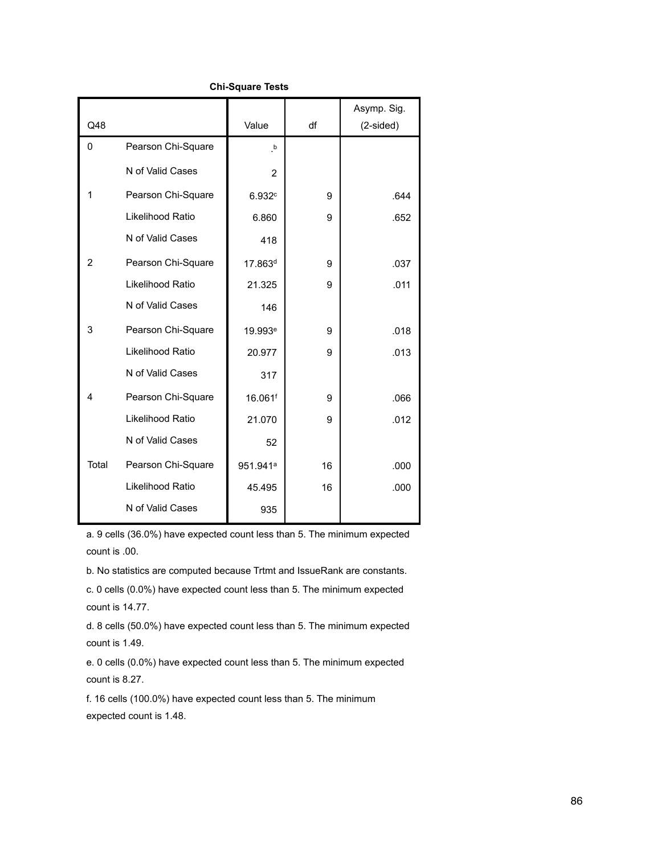|                |                    |                      |    | Asymp. Sig. |
|----------------|--------------------|----------------------|----|-------------|
| Q48            |                    | Value                | df | $(2-sided)$ |
| $\mathbf 0$    | Pearson Chi-Square | $\cdot^{\mathsf{b}}$ |    |             |
|                | N of Valid Cases   | $\overline{2}$       |    |             |
| 1              | Pearson Chi-Square | 6.932c               | 9  | .644        |
|                | Likelihood Ratio   | 6.860                | 9  | .652        |
|                | N of Valid Cases   | 418                  |    |             |
| $\overline{2}$ | Pearson Chi-Square | 17.863 <sup>d</sup>  | 9  | .037        |
|                | Likelihood Ratio   | 21.325               | 9  | .011        |
|                | N of Valid Cases   | 146                  |    |             |
| 3              | Pearson Chi-Square | 19.993 <sup>e</sup>  | 9  | .018        |
|                | Likelihood Ratio   | 20.977               | 9  | .013        |
|                | N of Valid Cases   | 317                  |    |             |
| 4              | Pearson Chi-Square | 16.061 <sup>f</sup>  | 9  | .066        |
|                | Likelihood Ratio   | 21.070               | 9  | .012        |
|                | N of Valid Cases   | 52                   |    |             |
| Total          | Pearson Chi-Square | 951.941 <sup>a</sup> | 16 | .000        |
|                | Likelihood Ratio   | 45.495               | 16 | .000        |
|                | N of Valid Cases   | 935                  |    |             |

a. 9 cells (36.0%) have expected count less than 5. The minimum expected count is .00.

b. No statistics are computed because Trtmt and IssueRank are constants.

c. 0 cells (0.0%) have expected count less than 5. The minimum expected count is 14.77.

d. 8 cells (50.0%) have expected count less than 5. The minimum expected count is 1.49.

e. 0 cells (0.0%) have expected count less than 5. The minimum expected count is 8.27.

f. 16 cells (100.0%) have expected count less than 5. The minimum expected count is 1.48.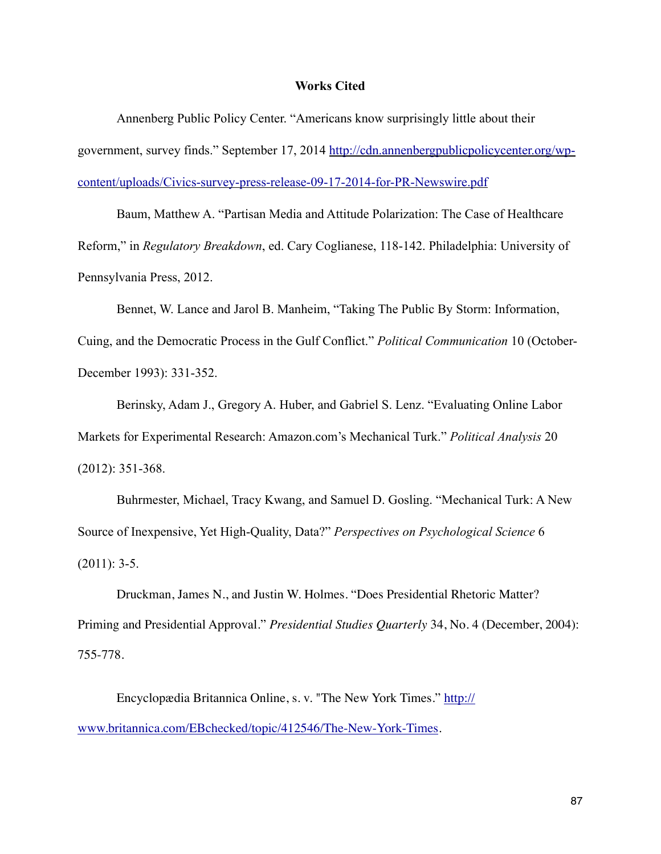#### **Works Cited**

 Annenberg Public Policy Center. "Americans know surprisingly little about their [government, survey finds." September 17, 2014 http://cdn.annenbergpublicpolicycenter.org/wp](http://cdn.annenbergpublicpolicycenter.org/wp-content/uploads/Civics-survey-press-release-09-17-2014-for-PR-Newswire.pdf)content/uploads/Civics-survey-press-release-09-17-2014-for-PR-Newswire.pdf

Baum, Matthew A. "Partisan Media and Attitude Polarization: The Case of Healthcare Reform," in *Regulatory Breakdown*, ed. Cary Coglianese, 118-142. Philadelphia: University of Pennsylvania Press, 2012.

 Bennet, W. Lance and Jarol B. Manheim, "Taking The Public By Storm: Information, Cuing, and the Democratic Process in the Gulf Conflict." *Political Communication* 10 (October-December 1993): 331-352.

 Berinsky, Adam J., Gregory A. Huber, and Gabriel S. Lenz. "Evaluating Online Labor Markets for Experimental Research: Amazon.com's Mechanical Turk." *Political Analysis* 20 (2012): 351-368.

 Buhrmester, Michael, Tracy Kwang, and Samuel D. Gosling. "Mechanical Turk: A New Source of Inexpensive, Yet High-Quality, Data?" *Perspectives on Psychological Science* 6  $(2011): 3-5.$ 

Druckman, James N., and Justin W. Holmes. "Does Presidential Rhetoric Matter? Priming and Presidential Approval." *Presidential Studies Quarterly* 34, No. 4 (December, 2004): 755-778.

Encyclopædia Britannica Online, s. v. "The New York Times." http:// [www.britannica.com/EBchecked/topic/412546/The-New-York-Times.](http://www.britannica.com/EBchecked/topic/412546/The-New-York-Times)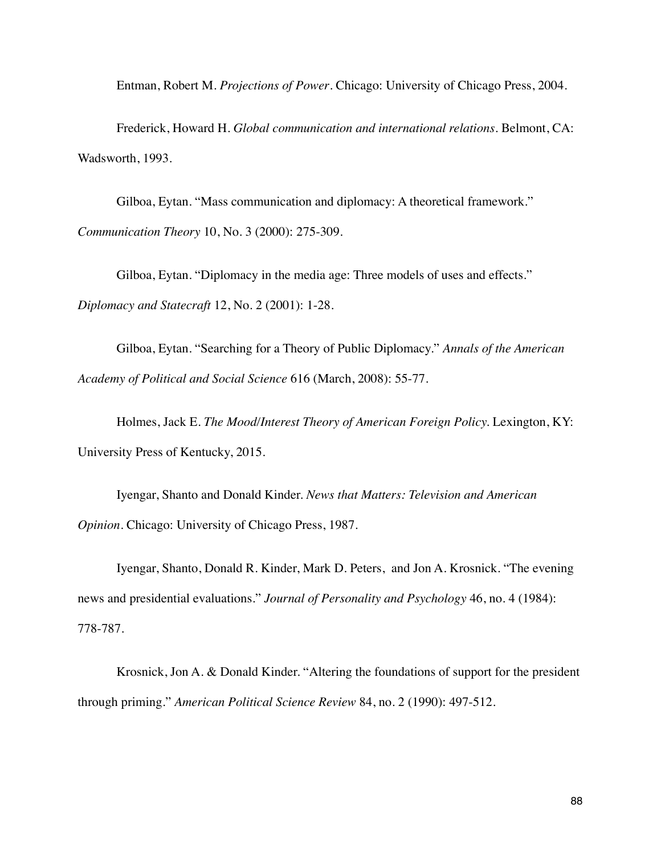Entman, Robert M. *Projections of Power*. Chicago: University of Chicago Press, 2004.

Frederick, Howard H. *Global communication and international relations*. Belmont, CA: Wadsworth, 1993.

Gilboa, Eytan. "Mass communication and diplomacy: A theoretical framework." *Communication Theory* 10, No. 3 (2000): 275-309.

Gilboa, Eytan. "Diplomacy in the media age: Three models of uses and effects." *Diplomacy and Statecraft* 12, No. 2 (2001): 1-28.

Gilboa, Eytan. "Searching for a Theory of Public Diplomacy." *Annals of the American Academy of Political and Social Science* 616 (March, 2008): 55-77.

Holmes, Jack E. *The Mood/Interest Theory of American Foreign Policy.* Lexington, KY: University Press of Kentucky, 2015.

Iyengar, Shanto and Donald Kinder. *News that Matters: Television and American Opinion*. Chicago: University of Chicago Press, 1987.

Iyengar, Shanto, Donald R. Kinder, Mark D. Peters, and Jon A. Krosnick. "The evening news and presidential evaluations." *Journal of Personality and Psychology* 46, no. 4 (1984): 778-787.

Krosnick, Jon A. & Donald Kinder. "Altering the foundations of support for the president through priming." *American Political Science Review* 84, no. 2 (1990): 497-512.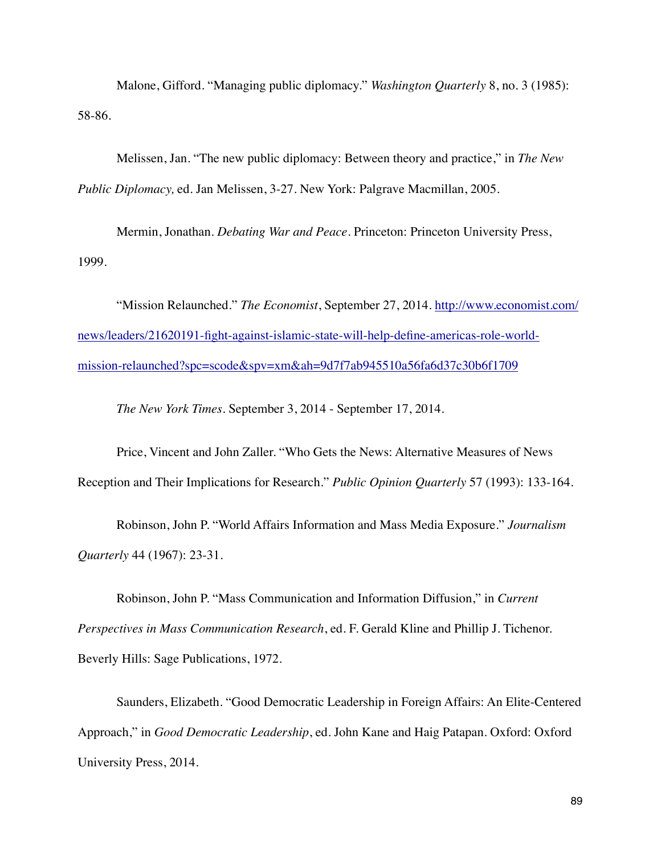Malone, Gifford. "Managing public diplomacy." *Washington Quarterly* 8, no. 3 (1985): 58-86.

Melissen, Jan. "The new public diplomacy: Between theory and practice," in *The New Public Diplomacy,* ed. Jan Melissen, 3-27. New York: Palgrave Macmillan, 2005.

Mermin, Jonathan. *Debating War and Peace*. Princeton: Princeton University Press, 1999.

"Mission Relaunched." *The Economist*, September 27, 2014. http://www.economist.com/ [news/leaders/21620191-fight-against-islamic-state-will-help-define-americas-role-world](http://www.economist.com/news/leaders/21620191-fight-against-islamic-state-will-help-define-americas-role-world-mission-relaunched?spc=scode&spv=xm&ah=9d7f7ab945510a56fa6d37c30b6f1709)mission-relaunched?spc=scode&spv=xm&ah=9d7f7ab945510a56fa6d37c30b6f1709

*The New York Times.* September 3, 2014 - September 17, 2014.

Price, Vincent and John Zaller. "Who Gets the News: Alternative Measures of News Reception and Their Implications for Research." *Public Opinion Quarterly* 57 (1993): 133-164.

Robinson, John P. "World Affairs Information and Mass Media Exposure." *Journalism Quarterly* 44 (1967): 23-31.

Robinson, John P. "Mass Communication and Information Diffusion," in *Current Perspectives in Mass Communication Research*, ed. F. Gerald Kline and Phillip J. Tichenor. Beverly Hills: Sage Publications, 1972.

Saunders, Elizabeth. "Good Democratic Leadership in Foreign Affairs: An Elite-Centered Approach," in *Good Democratic Leadership*, ed. John Kane and Haig Patapan. Oxford: Oxford University Press, 2014.